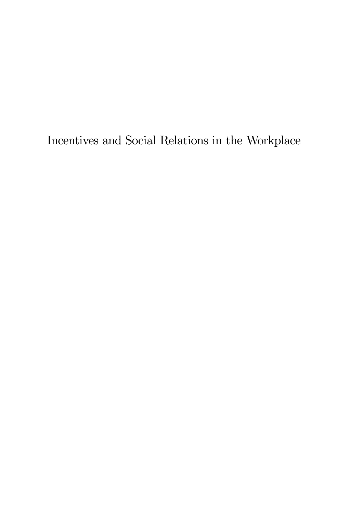Incentives and Social Relations in the Workplace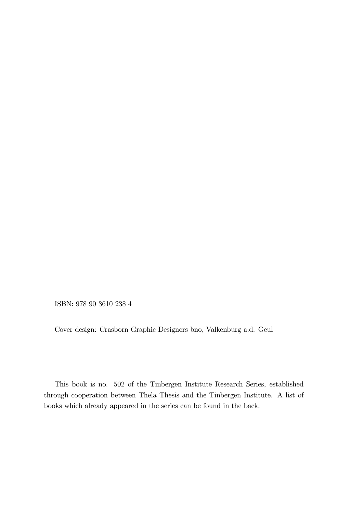ISBN: 978 90 3610 238 4

Cover design: Crasborn Graphic Designers bno, Valkenburg a.d. Geul

This book is no. 502 of the Tinbergen Institute Research Series, established through cooperation between Thela Thesis and the Tinbergen Institute. A list of books which already appeared in the series can be found in the back.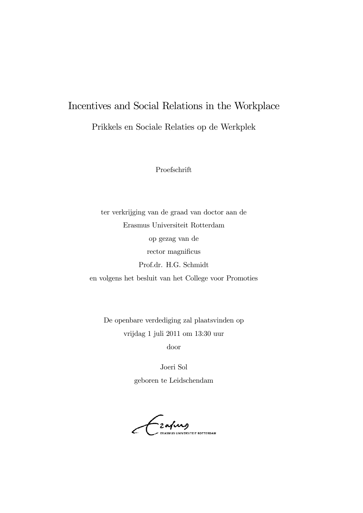### Incentives and Social Relations in the Workplace

Prikkels en Sociale Relaties op de Werkplek

Proefschrift

ter verkrijging van de graad van doctor aan de Erasmus Universiteit Rotterdam op gezag van de rector magnificus Prof.dr. H.G. Schmidt en volgens het besluit van het College voor Promoties

De openbare verdediging zal plaatsvinden op vrijdag 1 juli 2011 om 13:30 uur

door

Joeri Sol geboren te Leidschendam

Eafung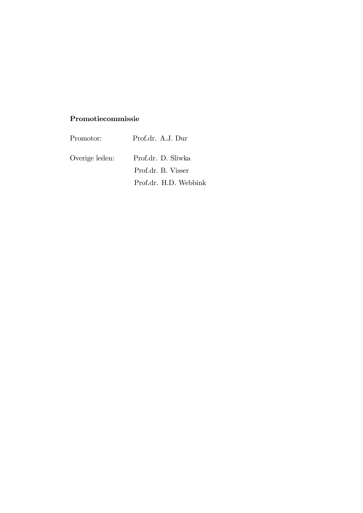### Promotiecommissie

| Promotor:      | Prof.dr. A.J. Dur     |
|----------------|-----------------------|
| Overige leden: | Prof.dr. D. Sliwka    |
|                | Prof.dr. B. Visser    |
|                | Prof.dr. H.D. Webbink |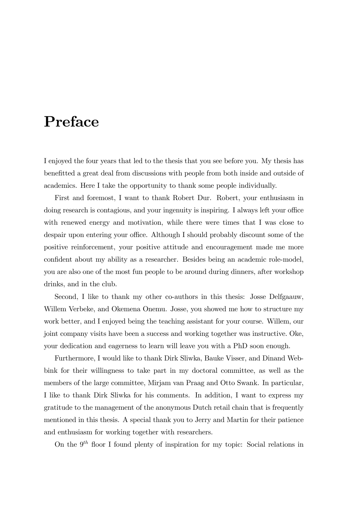### Preface

I enjoyed the four years that led to the thesis that you see before you. My thesis has benefitted a great deal from discussions with people from both inside and outside of academics. Here I take the opportunity to thank some people individually.

First and foremost, I want to thank Robert Dur. Robert, your enthusiasm in doing research is contagious, and your ingenuity is inspiring. I always left your office with renewed energy and motivation, while there were times that I was close to despair upon entering your office. Although I should probably discount some of the positive reinforcement, your positive attitude and encouragement made me more confident about my ability as a researcher. Besides being an academic role-model, you are also one of the most fun people to be around during dinners, after workshop drinks, and in the club.

Second, I like to thank my other co-authors in this thesis: Josse Delfgaauw, Willem Verbeke, and Okemena Onemu. Josse, you showed me how to structure my work better, and I enjoyed being the teaching assistant for your course. Willem, our joint company visits have been a success and working together was instructive. Oke, your dedication and eagerness to learn will leave you with a PhD soon enough.

Furthermore, I would like to thank Dirk Sliwka, Bauke Visser, and Dinand Webbink for their willingness to take part in my doctoral committee, as well as the members of the large committee, Mirjam van Praag and Otto Swank. In particular, I like to thank Dirk Sliwka for his comments. In addition, I want to express my gratitude to the management of the anonymous Dutch retail chain that is frequently mentioned in this thesis. A special thank you to Jerry and Martin for their patience and enthusiasm for working together with researchers.

On the  $9<sup>th</sup>$  floor I found plenty of inspiration for my topic: Social relations in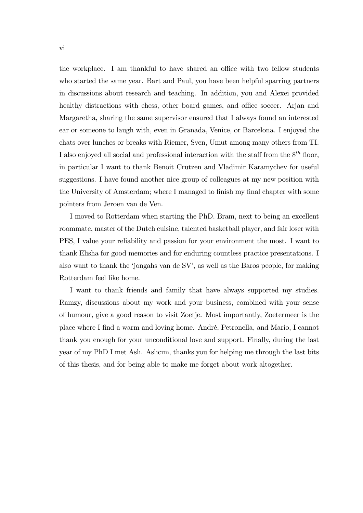the workplace. I am thankful to have shared an office with two fellow students who started the same year. Bart and Paul, you have been helpful sparring partners in discussions about research and teaching. In addition, you and Alexei provided healthy distractions with chess, other board games, and office soccer. Arjan and Margaretha, sharing the same supervisor ensured that I always found an interested ear or someone to laugh with, even in Granada, Venice, or Barcelona. I enjoyed the chats over lunches or breaks with Riemer, Sven, Umut among many others from TI. I also enjoyed all social and professional interaction with the staff from the  $8^{th}$  floor, in particular I want to thank Benoit Crutzen and Vladimir Karamychev for useful suggestions. I have found another nice group of colleagues at my new position with the University of Amsterdam; where I managed to finish my final chapter with some pointers from Jeroen van de Ven.

I moved to Rotterdam when starting the PhD. Bram, next to being an excellent roommate, master of the Dutch cuisine, talented basketball player, and fair loser with PES, I value your reliability and passion for your environment the most. I want to thank Elisha for good memories and for enduring countless practice presentations. I also want to thank the 'jongahs van de  $SV$ ', as well as the Baros people, for making Rotterdam feel like home.

I want to thank friends and family that have always supported my studies. Ramzy, discussions about my work and your business, combined with your sense of humour, give a good reason to visit Zoetje. Most importantly, Zoetermeer is the place where I find a warm and loving home. André, Petronella, and Mario, I cannot thank you enough for your unconditional love and support. Finally, during the last year of my PhD I met Aslı. Aslıcım, thanks you for helping me through the last bits of this thesis, and for being able to make me forget about work altogether.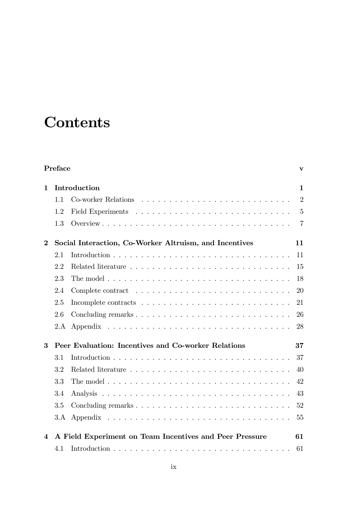## **Contents**

|                                                          | Preface                                                |                                                                                          | v              |
|----------------------------------------------------------|--------------------------------------------------------|------------------------------------------------------------------------------------------|----------------|
| 1                                                        |                                                        | Introduction                                                                             | 1              |
|                                                          | 1.1                                                    |                                                                                          | $\overline{2}$ |
|                                                          | 1.2                                                    |                                                                                          | $\overline{5}$ |
|                                                          | 1.3                                                    |                                                                                          | $\overline{7}$ |
| $\bf{2}$                                                 | Social Interaction, Co-Worker Altruism, and Incentives |                                                                                          |                |
|                                                          | 2.1                                                    |                                                                                          | 11             |
|                                                          | 2.2                                                    |                                                                                          | 15             |
|                                                          | 2.3                                                    |                                                                                          | 18             |
|                                                          | 2.4                                                    |                                                                                          | 20             |
|                                                          | 2.5                                                    |                                                                                          | 21             |
|                                                          | 2.6                                                    |                                                                                          | 26             |
|                                                          | 2.A                                                    |                                                                                          | 28             |
| 3<br>Peer Evaluation: Incentives and Co-worker Relations |                                                        |                                                                                          | 37             |
|                                                          | 3.1                                                    |                                                                                          | 37             |
|                                                          | 3.2                                                    |                                                                                          | 40             |
|                                                          | 3.3                                                    | The model $\ldots \ldots \ldots \ldots \ldots \ldots \ldots \ldots \ldots \ldots \ldots$ | 42             |
|                                                          | 3.4                                                    |                                                                                          | 43             |
|                                                          | 3.5                                                    |                                                                                          | 52             |
|                                                          | 3.A                                                    |                                                                                          | 55             |
| 4                                                        |                                                        | A Field Experiment on Team Incentives and Peer Pressure                                  | 61             |
|                                                          | 4.1                                                    |                                                                                          | 61             |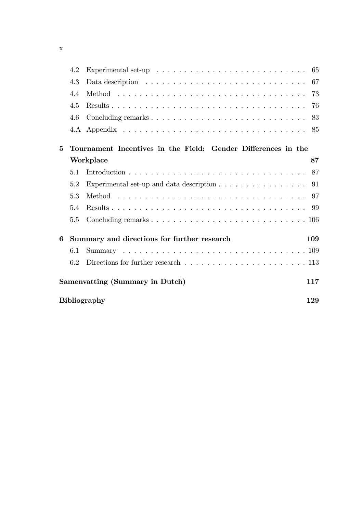|                                 | 4.2                 |                                                                               | 65  |
|---------------------------------|---------------------|-------------------------------------------------------------------------------|-----|
|                                 | 4.3                 |                                                                               | 67  |
|                                 | 4.4                 |                                                                               | 73  |
|                                 | 4.5                 |                                                                               | 76  |
|                                 | 4.6                 |                                                                               | 83  |
|                                 | 4.A                 |                                                                               | 85  |
| 5                               |                     | Tournament Incentives in the Field: Gender Differences in the                 |     |
|                                 | 87<br>Workplace     |                                                                               |     |
|                                 | 5.1                 |                                                                               | 87  |
|                                 | 5.2                 | Experimental set-up and data description $\ldots \ldots \ldots \ldots \ldots$ | 91  |
|                                 | 5.3                 |                                                                               | 97  |
|                                 | 5.4                 |                                                                               | 99  |
|                                 | 5.5                 |                                                                               |     |
| 6                               |                     | Summary and directions for further research                                   | 109 |
|                                 | 6.1                 |                                                                               |     |
|                                 | 6.2                 |                                                                               |     |
| Samenvatting (Summary in Dutch) |                     |                                                                               | 117 |
|                                 | <b>Bibliography</b> |                                                                               |     |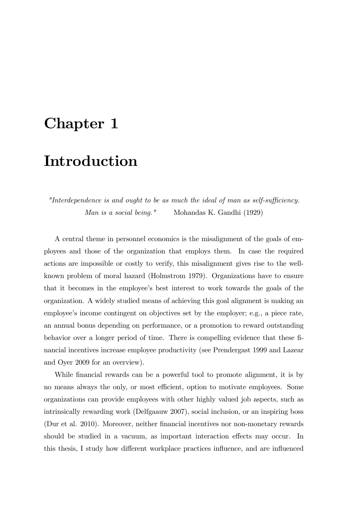### Chapter 1

### Introduction

"Interdependence is and ought to be as much the ideal of man as self-sufficiency. Man is a social being." Mohandas K. Gandhi (1929)

A central theme in personnel economics is the misalignment of the goals of employees and those of the organization that employs them. In case the required actions are impossible or costly to verify, this misalignment gives rise to the wellknown problem of moral hazard (Holmstrom 1979). Organizations have to ensure that it becomes in the employee's best interest to work towards the goals of the organization. A widely studied means of achieving this goal alignment is making an employee's income contingent on objectives set by the employer; e.g., a piece rate, an annual bonus depending on performance, or a promotion to reward outstanding behavior over a longer period of time. There is compelling evidence that these financial incentives increase employee productivity (see Prendergast 1999 and Lazear and Oyer 2009 for an overview).

While financial rewards can be a powerful tool to promote alignment, it is by no means always the only, or most efficient, option to motivate employees. Some organizations can provide employees with other highly valued job aspects, such as intrinsically rewarding work (Delfgaauw 2007), social inclusion, or an inspiring boss (Dur et al. 2010). Moreover, neither Önancial incentives nor non-monetary rewards should be studied in a vacuum, as important interaction effects may occur. In this thesis, I study how different workplace practices influence, and are influenced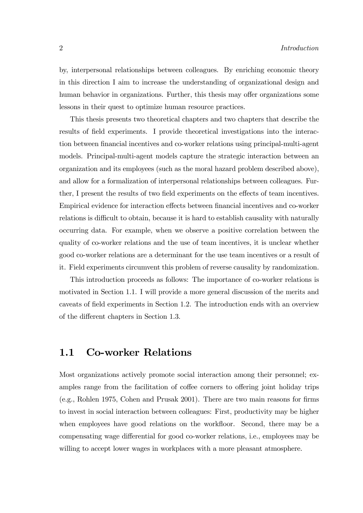by, interpersonal relationships between colleagues. By enriching economic theory in this direction I aim to increase the understanding of organizational design and human behavior in organizations. Further, this thesis may offer organizations some lessons in their quest to optimize human resource practices.

This thesis presents two theoretical chapters and two chapters that describe the results of field experiments. I provide theoretical investigations into the interaction between financial incentives and co-worker relations using principal-multi-agent models. Principal-multi-agent models capture the strategic interaction between an organization and its employees (such as the moral hazard problem described above), and allow for a formalization of interpersonal relationships between colleagues. Further, I present the results of two field experiments on the effects of team incentives. Empirical evidence for interaction effects between financial incentives and co-worker relations is difficult to obtain, because it is hard to establish causality with naturally occurring data. For example, when we observe a positive correlation between the quality of co-worker relations and the use of team incentives, it is unclear whether good co-worker relations are a determinant for the use team incentives or a result of it. Field experiments circumvent this problem of reverse causality by randomization.

This introduction proceeds as follows: The importance of co-worker relations is motivated in Section 1.1. I will provide a more general discussion of the merits and caveats of Öeld experiments in Section 1.2. The introduction ends with an overview of the different chapters in Section 1.3.

### 1.1 Co-worker Relations

Most organizations actively promote social interaction among their personnel; examples range from the facilitation of coffee corners to offering joint holiday trips  $(e.g., Rohlen 1975, Cohen and Prusak 2001).$  There are two main reasons for firms to invest in social interaction between colleagues: First, productivity may be higher when employees have good relations on the workfloor. Second, there may be a compensating wage differential for good co-worker relations, i.e., employees may be willing to accept lower wages in workplaces with a more pleasant atmosphere.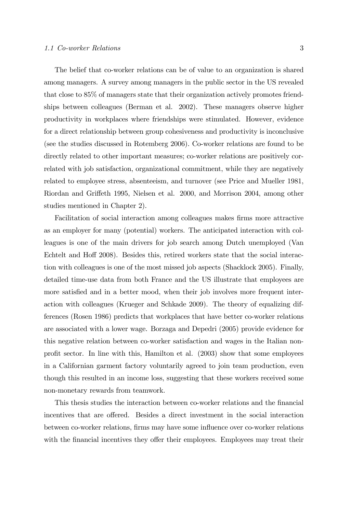The belief that co-worker relations can be of value to an organization is shared among managers. A survey among managers in the public sector in the US revealed that close to 85% of managers state that their organization actively promotes friendships between colleagues (Berman et al. 2002). These managers observe higher productivity in workplaces where friendships were stimulated. However, evidence for a direct relationship between group cohesiveness and productivity is inconclusive (see the studies discussed in Rotemberg 2006). Co-worker relations are found to be directly related to other important measures; co-worker relations are positively correlated with job satisfaction, organizational commitment, while they are negatively related to employee stress, absenteeism, and turnover (see Price and Mueller 1981, Riordan and Griffeth 1995, Nielsen et al. 2000, and Morrison 2004, among other studies mentioned in Chapter 2).

Facilitation of social interaction among colleagues makes Örms more attractive as an employer for many (potential) workers. The anticipated interaction with colleagues is one of the main drivers for job search among Dutch unemployed (Van Echtelt and Hoff 2008). Besides this, retired workers state that the social interaction with colleagues is one of the most missed job aspects (Shacklock 2005). Finally, detailed time-use data from both France and the US illustrate that employees are more satisfied and in a better mood, when their job involves more frequent interaction with colleagues (Krueger and Schkade 2009). The theory of equalizing differences (Rosen 1986) predicts that workplaces that have better co-worker relations are associated with a lower wage. Borzaga and Depedri (2005) provide evidence for this negative relation between co-worker satisfaction and wages in the Italian nonproÖt sector. In line with this, Hamilton et al. (2003) show that some employees in a Californian garment factory voluntarily agreed to join team production, even though this resulted in an income loss, suggesting that these workers received some non-monetary rewards from teamwork.

This thesis studies the interaction between co-worker relations and the financial incentives that are offered. Besides a direct investment in the social interaction between co-worker relations, Örms may have some ináuence over co-worker relations with the financial incentives they offer their employees. Employees may treat their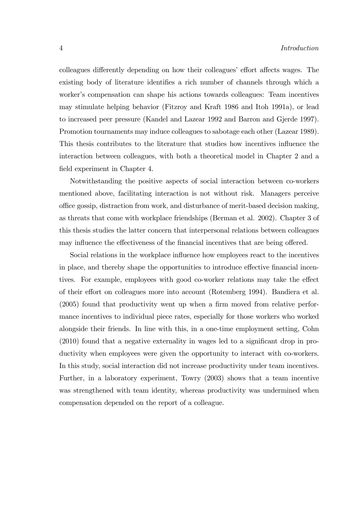colleagues differently depending on how their colleagues' effort affects wages. The existing body of literature identifies a rich number of channels through which a worker's compensation can shape his actions towards colleagues: Team incentives may stimulate helping behavior (Fitzroy and Kraft 1986 and Itoh 1991a), or lead to increased peer pressure (Kandel and Lazear 1992 and Barron and Gjerde 1997). Promotion tournaments may induce colleagues to sabotage each other (Lazear 1989). This thesis contributes to the literature that studies how incentives ináuence the interaction between colleagues, with both a theoretical model in Chapter 2 and a field experiment in Chapter 4.

Notwithstanding the positive aspects of social interaction between co-workers mentioned above, facilitating interaction is not without risk. Managers perceive o¢ ce gossip, distraction from work, and disturbance of merit-based decision making, as threats that come with workplace friendships (Berman et al. 2002). Chapter 3 of this thesis studies the latter concern that interpersonal relations between colleagues may influence the effectiveness of the financial incentives that are being offered.

Social relations in the workplace influence how employees react to the incentives in place, and thereby shape the opportunities to introduce effective financial incentives. For example, employees with good co-worker relations may take the effect of their effort on colleagues more into account (Rotemberg 1994). Bandiera et al.  $(2005)$  found that productivity went up when a firm moved from relative performance incentives to individual piece rates, especially for those workers who worked alongside their friends. In line with this, in a one-time employment setting, Cohn  $(2010)$  found that a negative externality in wages led to a significant drop in productivity when employees were given the opportunity to interact with co-workers. In this study, social interaction did not increase productivity under team incentives. Further, in a laboratory experiment, Towry (2003) shows that a team incentive was strengthened with team identity, whereas productivity was undermined when compensation depended on the report of a colleague.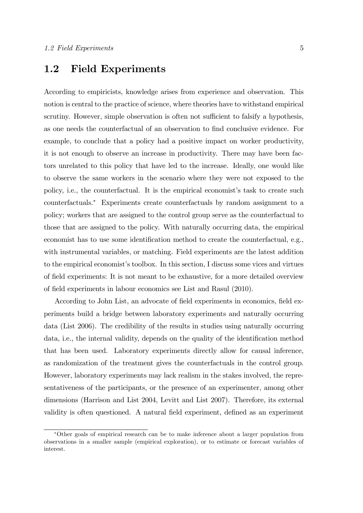### 1.2 Field Experiments

According to empiricists, knowledge arises from experience and observation. This notion is central to the practice of science, where theories have to withstand empirical scrutiny. However, simple observation is often not sufficient to falsify a hypothesis, as one needs the counterfactual of an observation to find conclusive evidence. For example, to conclude that a policy had a positive impact on worker productivity, it is not enough to observe an increase in productivity. There may have been factors unrelated to this policy that have led to the increase. Ideally, one would like to observe the same workers in the scenario where they were not exposed to the policy, i.e., the counterfactual. It is the empirical economist's task to create such counterfactuals. Experiments create counterfactuals by random assignment to a policy; workers that are assigned to the control group serve as the counterfactual to those that are assigned to the policy. With naturally occurring data, the empirical economist has to use some identification method to create the counterfactual, e.g., with instrumental variables, or matching. Field experiments are the latest addition to the empirical economist's toolbox. In this section, I discuss some vices and virtues of Öeld experiments: It is not meant to be exhaustive, for a more detailed overview of field experiments in labour economics see List and Rasul (2010).

According to John List, an advocate of field experiments in economics, field experiments build a bridge between laboratory experiments and naturally occurring data (List 2006). The credibility of the results in studies using naturally occurring data, i.e., the internal validity, depends on the quality of the identification method that has been used. Laboratory experiments directly allow for causal inference, as randomization of the treatment gives the counterfactuals in the control group. However, laboratory experiments may lack realism in the stakes involved, the representativeness of the participants, or the presence of an experimenter, among other dimensions (Harrison and List 2004, Levitt and List 2007). Therefore, its external validity is often questioned. A natural field experiment, defined as an experiment

Other goals of empirical research can be to make inference about a larger population from observations in a smaller sample (empirical exploration), or to estimate or forecast variables of interest.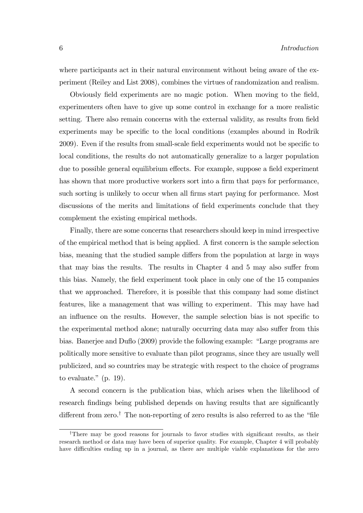where participants act in their natural environment without being aware of the experiment (Reiley and List 2008), combines the virtues of randomization and realism.

Obviously field experiments are no magic potion. When moving to the field, experimenters often have to give up some control in exchange for a more realistic setting. There also remain concerns with the external validity, as results from field experiments may be specific to the local conditions (examples abound in Rodrik 2009). Even if the results from small-scale field experiments would not be specific to local conditions, the results do not automatically generalize to a larger population due to possible general equilibrium effects. For example, suppose a field experiment has shown that more productive workers sort into a firm that pays for performance, such sorting is unlikely to occur when all firms start paying for performance. Most discussions of the merits and limitations of field experiments conclude that they complement the existing empirical methods.

Finally, there are some concerns that researchers should keep in mind irrespective of the empirical method that is being applied. A first concern is the sample selection bias, meaning that the studied sample differs from the population at large in ways that may bias the results. The results in Chapter  $4$  and  $5$  may also suffer from this bias. Namely, the Öeld experiment took place in only one of the 15 companies that we approached. Therefore, it is possible that this company had some distinct features, like a management that was willing to experiment. This may have had an influence on the results. However, the sample selection bias is not specific to the experimental method alone; naturally occurring data may also suffer from this bias. Banerjee and Dufto (2009) provide the following example: "Large programs are politically more sensitive to evaluate than pilot programs, since they are usually well publicized, and so countries may be strategic with respect to the choice of programs to evaluate." (p. 19).

A second concern is the publication bias, which arises when the likelihood of research findings being published depends on having results that are significantly different from zero.<sup>†</sup> The non-reporting of zero results is also referred to as the "file"

<sup>&</sup>lt;sup>†</sup>There may be good reasons for journals to favor studies with significant results, as their research method or data may have been of superior quality. For example, Chapter 4 will probably have difficulties ending up in a journal, as there are multiple viable explanations for the zero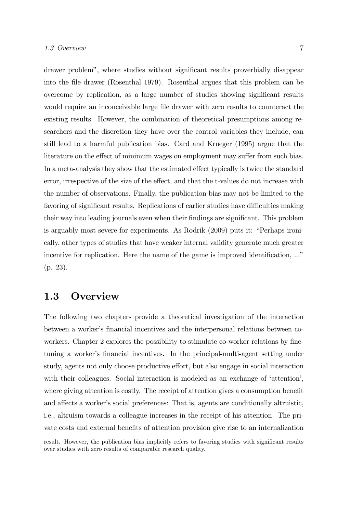drawer problem", where studies without significant results proverbially disappear into the Öle drawer (Rosenthal 1979). Rosenthal argues that this problem can be overcome by replication, as a large number of studies showing significant results would require an inconceivable large file drawer with zero results to counteract the existing results. However, the combination of theoretical presumptions among researchers and the discretion they have over the control variables they include, can still lead to a harmful publication bias. Card and Krueger (1995) argue that the literature on the effect of minimum wages on employment may suffer from such bias. In a meta-analysis they show that the estimated effect typically is twice the standard error, irrespective of the size of the effect, and that the t-values do not increase with the number of observations. Finally, the publication bias may not be limited to the favoring of significant results. Replications of earlier studies have difficulties making their way into leading journals even when their findings are significant. This problem is arguably most severe for experiments. As Rodrik (2009) puts it: "Perhaps ironically, other types of studies that have weaker internal validity generate much greater incentive for replication. Here the name of the game is improved identification,  $\ldots$ <sup>n</sup> (p. 23).

#### 1.3 Overview

The following two chapters provide a theoretical investigation of the interaction between a worker's financial incentives and the interpersonal relations between coworkers. Chapter 2 explores the possibility to stimulate co-worker relations by finetuning a worker's financial incentives. In the principal-multi-agent setting under study, agents not only choose productive effort, but also engage in social interaction with their colleagues. Social interaction is modeled as an exchange of 'attention', where giving attention is costly. The receipt of attention gives a consumption benefit and affects a worker's social preferences: That is, agents are conditionally altruistic, i.e., altruism towards a colleague increases in the receipt of his attention. The private costs and external benefits of attention provision give rise to an internalization

result. However, the publication bias implicitly refers to favoring studies with significant results over studies with zero results of comparable research quality.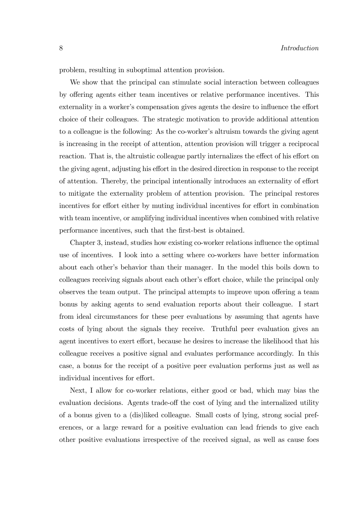problem, resulting in suboptimal attention provision.

We show that the principal can stimulate social interaction between colleagues by offering agents either team incentives or relative performance incentives. This externality in a worker's compensation gives agents the desire to influence the effort choice of their colleagues. The strategic motivation to provide additional attention to a colleague is the following: As the co-worker's altruism towards the giving agent is increasing in the receipt of attention, attention provision will trigger a reciprocal reaction. That is, the altruistic colleague partly internalizes the effect of his effort on the giving agent, adjusting his effort in the desired direction in response to the receipt of attention. Thereby, the principal intentionally introduces an externality of effort to mitigate the externality problem of attention provision. The principal restores incentives for effort either by muting individual incentives for effort in combination with team incentive, or amplifying individual incentives when combined with relative performance incentives, such that the Örst-best is obtained.

Chapter 3, instead, studies how existing co-worker relations influence the optimal use of incentives. I look into a setting where co-workers have better information about each other's behavior than their manager. In the model this boils down to colleagues receiving signals about each other's effort choice, while the principal only observes the team output. The principal attempts to improve upon offering a team bonus by asking agents to send evaluation reports about their colleague. I start from ideal circumstances for these peer evaluations by assuming that agents have costs of lying about the signals they receive. Truthful peer evaluation gives an agent incentives to exert effort, because he desires to increase the likelihood that his colleague receives a positive signal and evaluates performance accordingly. In this case, a bonus for the receipt of a positive peer evaluation performs just as well as individual incentives for effort.

Next, I allow for co-worker relations, either good or bad, which may bias the evaluation decisions. Agents trade-off the cost of lying and the internalized utility of a bonus given to a (dis)liked colleague. Small costs of lying, strong social preferences, or a large reward for a positive evaluation can lead friends to give each other positive evaluations irrespective of the received signal, as well as cause foes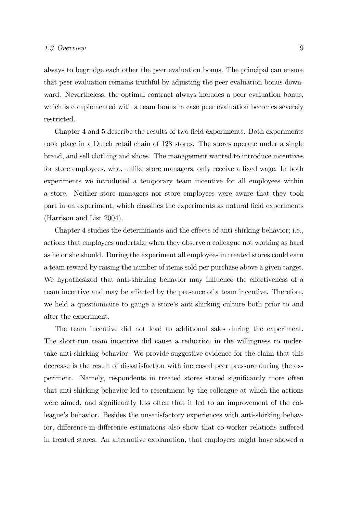always to begrudge each other the peer evaluation bonus. The principal can ensure that peer evaluation remains truthful by adjusting the peer evaluation bonus downward. Nevertheless, the optimal contract always includes a peer evaluation bonus, which is complemented with a team bonus in case peer evaluation becomes severely restricted.

Chapter 4 and 5 describe the results of two field experiments. Both experiments took place in a Dutch retail chain of 128 stores. The stores operate under a single brand, and sell clothing and shoes. The management wanted to introduce incentives for store employees, who, unlike store managers, only receive a fixed wage. In both experiments we introduced a temporary team incentive for all employees within a store. Neither store managers nor store employees were aware that they took part in an experiment, which classifies the experiments as natural field experiments (Harrison and List 2004).

Chapter 4 studies the determinants and the effects of anti-shirking behavior; i.e., actions that employees undertake when they observe a colleague not working as hard as he or she should. During the experiment all employees in treated stores could earn a team reward by raising the number of items sold per purchase above a given target. We hypothesized that anti-shirking behavior may influence the effectiveness of a team incentive and may be affected by the presence of a team incentive. Therefore, we held a questionnaire to gauge a store's anti-shirking culture both prior to and after the experiment.

The team incentive did not lead to additional sales during the experiment. The short-run team incentive did cause a reduction in the willingness to undertake anti-shirking behavior. We provide suggestive evidence for the claim that this decrease is the result of dissatisfaction with increased peer pressure during the experiment. Namely, respondents in treated stores stated significantly more often that anti-shirking behavior led to resentment by the colleague at which the actions were aimed, and significantly less often that it led to an improvement of the colleague's behavior. Besides the unsatisfactory experiences with anti-shirking behavior, difference-in-difference estimations also show that co-worker relations suffered in treated stores. An alternative explanation, that employees might have showed a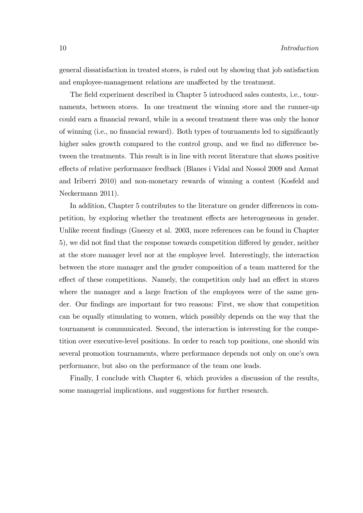general dissatisfaction in treated stores, is ruled out by showing that job satisfaction and employee-management relations are unaffected by the treatment.

The field experiment described in Chapter 5 introduced sales contests, i.e., tournaments, between stores. In one treatment the winning store and the runner-up could earn a financial reward, while in a second treatment there was only the honor of winning (i.e., no financial reward). Both types of tournaments led to significantly higher sales growth compared to the control group, and we find no difference between the treatments. This result is in line with recent literature that shows positive effects of relative performance feedback (Blanes i Vidal and Nossol 2009 and Azmat and Iriberri 2010) and non-monetary rewards of winning a contest (Kosfeld and Neckermann 2011).

In addition, Chapter 5 contributes to the literature on gender differences in competition, by exploring whether the treatment effects are heterogeneous in gender. Unlike recent findings (Gneezy et al. 2003, more references can be found in Chapter 5), we did not find that the response towards competition differed by gender, neither at the store manager level nor at the employee level. Interestingly, the interaction between the store manager and the gender composition of a team mattered for the effect of these competitions. Namely, the competition only had an effect in stores where the manager and a large fraction of the employees were of the same gender. Our findings are important for two reasons: First, we show that competition can be equally stimulating to women, which possibly depends on the way that the tournament is communicated. Second, the interaction is interesting for the competition over executive-level positions. In order to reach top positions, one should win several promotion tournaments, where performance depends not only on one's own performance, but also on the performance of the team one leads.

Finally, I conclude with Chapter 6, which provides a discussion of the results, some managerial implications, and suggestions for further research.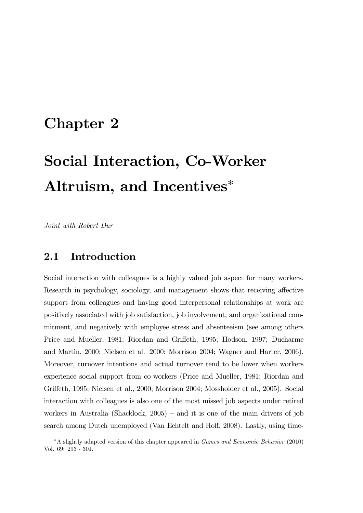### Chapter 2

# Social Interaction, Co-Worker Altruism, and Incentives

Joint with Robert Dur

### 2.1 Introduction

Social interaction with colleagues is a highly valued job aspect for many workers. Research in psychology, sociology, and management shows that receiving affective support from colleagues and having good interpersonal relationships at work are positively associated with job satisfaction, job involvement, and organizational commitment, and negatively with employee stress and absenteeism (see among others Price and Mueller, 1981; Riordan and Griffeth, 1995; Hodson, 1997; Ducharme and Martin, 2000; Nielsen et al. 2000; Morrison 2004; Wagner and Harter, 2006). Moreover, turnover intentions and actual turnover tend to be lower when workers experience social support from co-workers (Price and Mueller, 1981; Riordan and Griffeth, 1995; Nielsen et al., 2000; Morrison 2004; Mossholder et al., 2005). Social interaction with colleagues is also one of the most missed job aspects under retired workers in Australia (Shacklock,  $2005$ ) – and it is one of the main drivers of job search among Dutch unemployed (Van Echtelt and Hoff, 2008). Lastly, using time-

A slightly adapted version of this chapter appeared in Games and Economic Behavior (2010) Vol. 69: 293 - 301.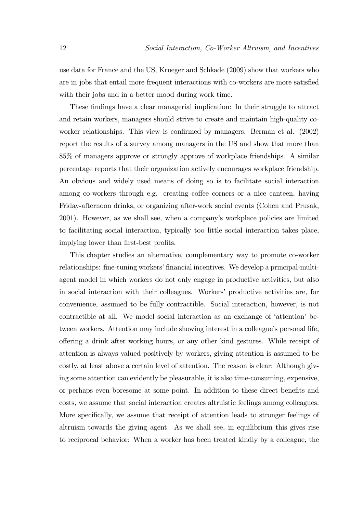use data for France and the US, Krueger and Schkade (2009) show that workers who are in jobs that entail more frequent interactions with co-workers are more satisfied with their jobs and in a better mood during work time.

These findings have a clear managerial implication: In their struggle to attract and retain workers, managers should strive to create and maintain high-quality coworker relationships. This view is confirmed by managers. Berman et al.  $(2002)$ report the results of a survey among managers in the US and show that more than 85% of managers approve or strongly approve of workplace friendships. A similar percentage reports that their organization actively encourages workplace friendship. An obvious and widely used means of doing so is to facilitate social interaction among co-workers through e.g. creating coffee corners or a nice canteen, having Friday-afternoon drinks, or organizing after-work social events (Cohen and Prusak, 2001). However, as we shall see, when a companyís workplace policies are limited to facilitating social interaction, typically too little social interaction takes place, implying lower than first-best profits.

This chapter studies an alternative, complementary way to promote co-worker relationships: fine-tuning workers' financial incentives. We develop a principal-multiagent model in which workers do not only engage in productive activities, but also in social interaction with their colleagues. Workers' productive activities are, for convenience, assumed to be fully contractible. Social interaction, however, is not contractible at all. We model social interaction as an exchange of 'attention' between workers. Attention may include showing interest in a colleague's personal life, o§ering a drink after working hours, or any other kind gestures. While receipt of attention is always valued positively by workers, giving attention is assumed to be costly, at least above a certain level of attention. The reason is clear: Although giving some attention can evidently be pleasurable, it is also time-consuming, expensive, or perhaps even boresome at some point. In addition to these direct benefits and costs, we assume that social interaction creates altruistic feelings among colleagues. More specifically, we assume that receipt of attention leads to stronger feelings of altruism towards the giving agent. As we shall see, in equilibrium this gives rise to reciprocal behavior: When a worker has been treated kindly by a colleague, the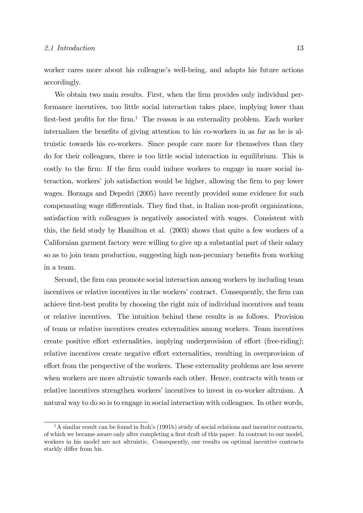worker cares more about his colleague's well-being, and adapts his future actions accordingly.

We obtain two main results. First, when the firm provides only individual performance incentives, too little social interaction takes place, implying lower than first-best profits for the firm.<sup>1</sup> The reason is an externality problem. Each worker internalizes the benefits of giving attention to his co-workers in as far as he is altruistic towards his co-workers. Since people care more for themselves than they do for their colleagues, there is too little social interaction in equilibrium. This is costly to the firm: If the firm could induce workers to engage in more social interaction, workers' job satisfaction would be higher, allowing the firm to pay lower wages. Borzaga and Depedri (2005) have recently provided some evidence for such compensating wage differentials. They find that, in Italian non-profit organizations, satisfaction with colleagues is negatively associated with wages. Consistent with this, the Öeld study by Hamilton et al. (2003) shows that quite a few workers of a Californian garment factory were willing to give up a substantial part of their salary so as to join team production, suggesting high non-pecuniary benefits from working in a team.

Second, the firm can promote social interaction among workers by including team incentives or relative incentives in the workers' contract. Consequently, the firm can achieve first-best profits by choosing the right mix of individual incentives and team or relative incentives. The intuition behind these results is as follows. Provision of team or relative incentives creates externalities among workers. Team incentives create positive effort externalities, implying underprovision of effort (free-riding); relative incentives create negative effort externalities, resulting in overprovision of effort from the perspective of the workers. These externality problems are less severe when workers are more altruistic towards each other. Hence, contracts with team or relative incentives strengthen workers' incentives to invest in co-worker altruism. A natural way to do so is to engage in social interaction with colleagues. In other words,

 $1A$  similar result can be found in Itoh's (1991b) study of social relations and incentive contracts, of which we became aware only after completing a first draft of this paper. In contrast to our model, workers in his model are not altruistic. Consequently, our results on optimal incentive contracts starkly differ from his.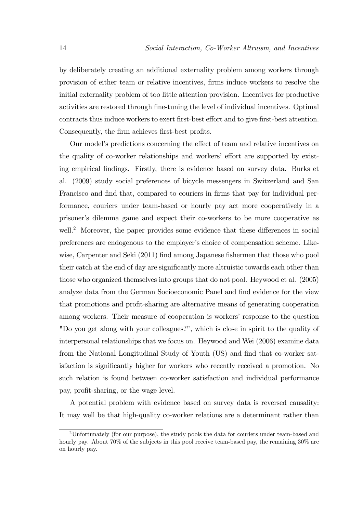by deliberately creating an additional externality problem among workers through provision of either team or relative incentives, Örms induce workers to resolve the initial externality problem of too little attention provision. Incentives for productive activities are restored through fine-tuning the level of individual incentives. Optimal contracts thus induce workers to exert first-best effort and to give first-best attention. Consequently, the firm achieves first-best profits.

Our model's predictions concerning the effect of team and relative incentives on the quality of co-worker relationships and workers' effort are supported by existing empirical Öndings. Firstly, there is evidence based on survey data. Burks et al. (2009) study social preferences of bicycle messengers in Switzerland and San Francisco and find that, compared to couriers in firms that pay for individual performance, couriers under team-based or hourly pay act more cooperatively in a prisoner's dilemma game and expect their co-workers to be more cooperative as well.<sup>2</sup> Moreover, the paper provides some evidence that these differences in social preferences are endogenous to the employerís choice of compensation scheme. Likewise, Carpenter and Seki (2011) find among Japanese fishermen that those who pool their catch at the end of day are significantly more altruistic towards each other than those who organized themselves into groups that do not pool. Heywood et al. (2005) analyze data from the German Socioeconomic Panel and find evidence for the view that promotions and profit-sharing are alternative means of generating cooperation among workers. Their measure of cooperation is workers' response to the question "Do you get along with your colleagues?", which is close in spirit to the quality of interpersonal relationships that we focus on. Heywood and Wei (2006) examine data from the National Longitudinal Study of Youth (US) and find that co-worker satisfaction is significantly higher for workers who recently received a promotion. No such relation is found between co-worker satisfaction and individual performance pay, profit-sharing, or the wage level.

A potential problem with evidence based on survey data is reversed causality: It may well be that high-quality co-worker relations are a determinant rather than

<sup>2</sup>Unfortunately (for our purpose), the study pools the data for couriers under team-based and hourly pay. About 70% of the subjects in this pool receive team-based pay, the remaining  $30\%$  are on hourly pay.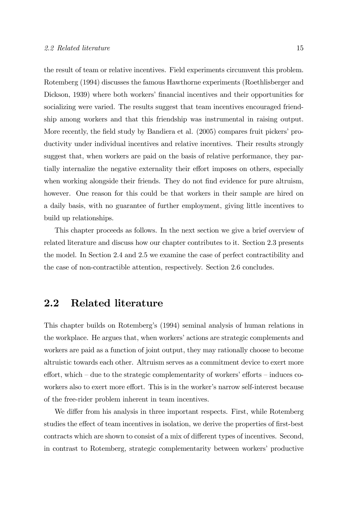the result of team or relative incentives. Field experiments circumvent this problem. Rotemberg (1994) discusses the famous Hawthorne experiments (Roethlisberger and Dickson, 1939) where both workers' financial incentives and their opportunities for socializing were varied. The results suggest that team incentives encouraged friendship among workers and that this friendship was instrumental in raising output. More recently, the field study by Bandiera et al. (2005) compares fruit pickers' productivity under individual incentives and relative incentives. Their results strongly suggest that, when workers are paid on the basis of relative performance, they partially internalize the negative externality their effort imposes on others, especially when working alongside their friends. They do not find evidence for pure altruism, however. One reason for this could be that workers in their sample are hired on a daily basis, with no guarantee of further employment, giving little incentives to build up relationships.

This chapter proceeds as follows. In the next section we give a brief overview of related literature and discuss how our chapter contributes to it. Section 2.3 presents the model. In Section 2.4 and 2.5 we examine the case of perfect contractibility and the case of non-contractible attention, respectively. Section 2.6 concludes.

#### 2.2 Related literature

This chapter builds on Rotembergís (1994) seminal analysis of human relations in the workplace. He argues that, when workers' actions are strategic complements and workers are paid as a function of joint output, they may rationally choose to become altruistic towards each other. Altruism serves as a commitment device to exert more effort, which  $\alpha$  due to the strategic complementarity of workers' efforts  $\alpha$  induces coworkers also to exert more effort. This is in the worker's narrow self-interest because of the free-rider problem inherent in team incentives.

We differ from his analysis in three important respects. First, while Rotemberg studies the effect of team incentives in isolation, we derive the properties of first-best contracts which are shown to consist of a mix of different types of incentives. Second, in contrast to Rotemberg, strategic complementarity between workers' productive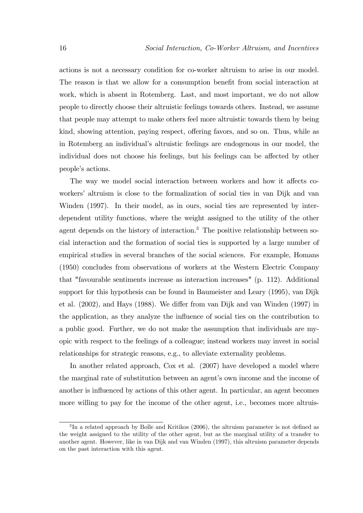actions is not a necessary condition for co-worker altruism to arise in our model. The reason is that we allow for a consumption benefit from social interaction at work, which is absent in Rotemberg. Last, and most important, we do not allow people to directly choose their altruistic feelings towards others. Instead, we assume that people may attempt to make others feel more altruistic towards them by being kind, showing attention, paying respect, offering favors, and so on. Thus, while as in Rotemberg an individualís altruistic feelings are endogenous in our model, the individual does not choose his feelings, but his feelings can be affected by other people's actions.

The way we model social interaction between workers and how it affects coworkers' altruism is close to the formalization of social ties in van Dijk and van Winden (1997). In their model, as in ours, social ties are represented by interdependent utility functions, where the weight assigned to the utility of the other agent depends on the history of interaction.<sup>3</sup> The positive relationship between social interaction and the formation of social ties is supported by a large number of empirical studies in several branches of the social sciences. For example, Homans (1950) concludes from observations of workers at the Western Electric Company that "favourable sentiments increase as interaction increases" (p. 112). Additional support for this hypothesis can be found in Baumeister and Leary (1995), van Dijk et al.  $(2002)$ , and Hays  $(1988)$ . We differ from van Dijk and van Winden  $(1997)$  in the application, as they analyze the influence of social ties on the contribution to a public good. Further, we do not make the assumption that individuals are myopic with respect to the feelings of a colleague; instead workers may invest in social relationships for strategic reasons, e.g., to alleviate externality problems.

In another related approach, Cox et al. (2007) have developed a model where the marginal rate of substitution between an agent's own income and the income of another is influenced by actions of this other agent. In particular, an agent becomes more willing to pay for the income of the other agent, i.e., becomes more altruis-

 ${}^{3}$ In a related approach by Bolle and Kritikos (2006), the altruism parameter is not defined as the weight assigned to the utility of the other agent, but as the marginal utility of a transfer to another agent. However, like in van Dijk and van Winden (1997), this altruism parameter depends on the past interaction with this agent.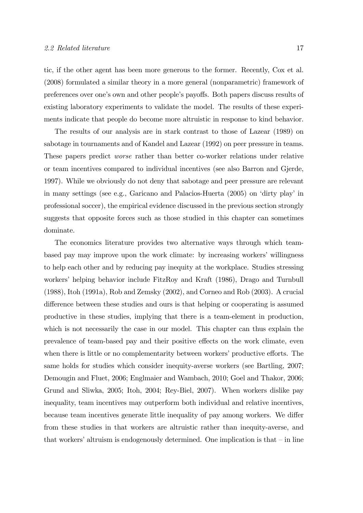tic, if the other agent has been more generous to the former. Recently, Cox et al. (2008) formulated a similar theory in a more general (nonparametric) framework of preferences over one's own and other people's payoffs. Both papers discuss results of existing laboratory experiments to validate the model. The results of these experiments indicate that people do become more altruistic in response to kind behavior.

The results of our analysis are in stark contrast to those of Lazear (1989) on sabotage in tournaments and of Kandel and Lazear (1992) on peer pressure in teams. These papers predict worse rather than better co-worker relations under relative or team incentives compared to individual incentives (see also Barron and Gjerde, 1997). While we obviously do not deny that sabotage and peer pressure are relevant in many settings (see e.g., Garicano and Palacios-Huerta  $(2005)$  on 'dirty play' in professional soccer), the empirical evidence discussed in the previous section strongly suggests that opposite forces such as those studied in this chapter can sometimes dominate.

The economics literature provides two alternative ways through which teambased pay may improve upon the work climate: by increasing workers' willingness to help each other and by reducing pay inequity at the workplace. Studies stressing workers' helping behavior include FitzRoy and Kraft (1986), Drago and Turnbull (1988), Itoh (1991a), Rob and Zemsky (2002), and Corneo and Rob (2003). A crucial difference between these studies and ours is that helping or cooperating is assumed productive in these studies, implying that there is a team-element in production, which is not necessarily the case in our model. This chapter can thus explain the prevalence of team-based pay and their positive effects on the work climate, even when there is little or no complementarity between workers' productive efforts. The same holds for studies which consider inequity-averse workers (see Bartling, 2007; Demougin and Fluet, 2006; Englmaier and Wambach, 2010; Goel and Thakor, 2006; Grund and Sliwka, 2005; Itoh, 2004; Rey-Biel, 2007). When workers dislike pay inequality, team incentives may outperform both individual and relative incentives, because team incentives generate little inequality of pay among workers. We differ from these studies in that workers are altruistic rather than inequity-averse, and that workers' altruism is endogenously determined. One implication is that  $-\text{in line}$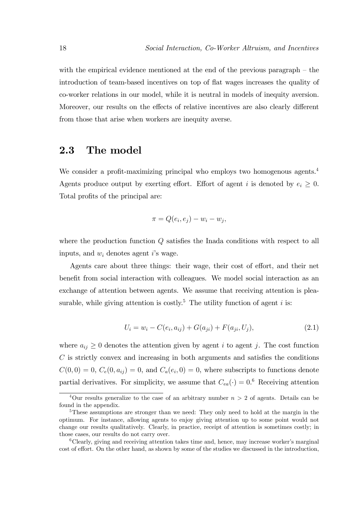with the empirical evidence mentioned at the end of the previous paragraph  $-$  the introduction of team-based incentives on top of flat wages increases the quality of co-worker relations in our model, while it is neutral in models of inequity aversion. Moreover, our results on the effects of relative incentives are also clearly different from those that arise when workers are inequity averse.

### 2.3 The model

We consider a profit-maximizing principal who employs two homogenous agents.<sup>4</sup> Agents produce output by exerting effort. Effort of agent i is denoted by  $e_i \geq 0$ . Total profits of the principal are:

$$
\pi = Q(e_i, e_j) - w_i - w_j,
$$

where the production function  $Q$  satisfies the Inada conditions with respect to all inputs, and  $w_i$  denotes agent is wage.

Agents care about three things: their wage, their cost of effort, and their net benefit from social interaction with colleagues. We model social interaction as an exchange of attention between agents. We assume that receiving attention is pleasurable, while giving attention is costly.<sup>5</sup> The utility function of agent i is:

$$
U_i = w_i - C(e_i, a_{ij}) + G(a_{ji}) + F(a_{ji}, U_j),
$$
\n(2.1)

where  $a_{ij} \geq 0$  denotes the attention given by agent i to agent j. The cost function  $C$  is strictly convex and increasing in both arguments and satisfies the conditions  $C(0,0) = 0, C_e(0,a_{ij}) = 0$ , and  $C_a(e_i, 0) = 0$ , where subscripts to functions denote partial derivatives. For simplicity, we assume that  $C_{ea}(\cdot) = 0.6$  Receiving attention

<sup>&</sup>lt;sup>4</sup>Our results generalize to the case of an arbitrary number  $n > 2$  of agents. Details can be found in the appendix.

<sup>&</sup>lt;sup>5</sup>These assumptions are stronger than we need: They only need to hold at the margin in the optimum. For instance, allowing agents to enjoy giving attention up to some point would not change our results qualitatively. Clearly, in practice, receipt of attention is sometimes costly; in those cases, our results do not carry over.

 $6C$ learly, giving and receiving attention takes time and, hence, may increase worker's marginal cost of effort. On the other hand, as shown by some of the studies we discussed in the introduction,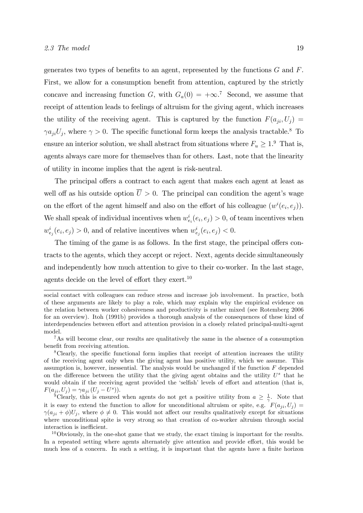generates two types of benefits to an agent, represented by the functions  $G$  and  $F$ . First, we allow for a consumption benefit from attention, captured by the strictly concave and increasing function G, with  $G_a(0) = +\infty$ .<sup>7</sup> Second, we assume that receipt of attention leads to feelings of altruism for the giving agent, which increases the utility of the receiving agent. This is captured by the function  $F(a_{ii}, U_i) =$  $\gamma a_{ji} U_j$ , where  $\gamma > 0$ . The specific functional form keeps the analysis tractable.<sup>8</sup> To ensure an interior solution, we shall abstract from situations where  $F_u \geq 1$ .<sup>9</sup> That is, agents always care more for themselves than for others. Last, note that the linearity of utility in income implies that the agent is risk-neutral.

The principal offers a contract to each agent that makes each agent at least as well off as his outside option  $\overline{U} > 0$ . The principal can condition the agent's wage on the effort of the agent himself and also on the effort of his colleague  $(w^{i}(e_i, e_j))$ . We shall speak of individual incentives when  $w_{e_i}^i(e_i, e_j) > 0$ , of team incentives when  $w_{e_j}^i(e_i, e_j) > 0$ , and of relative incentives when  $w_{e_j}^i(e_i, e_j) < 0$ .

The timing of the game is as follows. In the first stage, the principal offers contracts to the agents, which they accept or reject. Next, agents decide simultaneously and independently how much attention to give to their co-worker. In the last stage, agents decide on the level of effort they exert.<sup>10</sup>

social contact with colleagues can reduce stress and increase job involvement. In practice, both of these arguments are likely to play a role, which may explain why the empirical evidence on the relation between worker cohesiveness and productivity is rather mixed (see Rotemberg 2006 for an overview). Itoh (1991b) provides a thorough analysis of the consequences of these kind of interdependencies between effort and attention provision in a closely related principal-multi-agent model.

<sup>&</sup>lt;sup>7</sup>As will become clear, our results are qualitatively the same in the absence of a consumption benefit from receiving attention.

<sup>&</sup>lt;sup>8</sup>Clearly, the specific functional form implies that receipt of attention increases the utility of the receiving agent only when the giving agent has positive utility, which we assume. This assumption is, however, inessential. The analysis would be unchanged if the function  $F$  depended on the difference between the utility that the giving agent obtains and the utility  $U^s$  that he would obtain if the receiving agent provided the 'selfish' levels of effort and attention (that is,  $F(a_{ji}, U_j) = \gamma a_{ji} (U_j - U^s)).$ 

<sup>&</sup>lt;sup>9</sup>Clearly, this is ensured when agents do not get a positive utility from  $a \geq \frac{1}{\gamma}$ . Note that it is easy to extend the function to allow for unconditional altruism or spite, e.g.  $F(a_{ii}, U_i) =$  $\gamma(a_{ii} + \phi)U_i$ , where  $\phi \neq 0$ . This would not affect our results qualitatively except for situations where unconditional spite is very strong so that creation of co-worker altruism through social interaction is inefficient.

<sup>&</sup>lt;sup>10</sup>Obviously, in the one-shot game that we study, the exact timing is important for the results. In a repeated setting where agents alternately give attention and provide effort, this would be much less of a concern. In such a setting, it is important that the agents have a finite horizon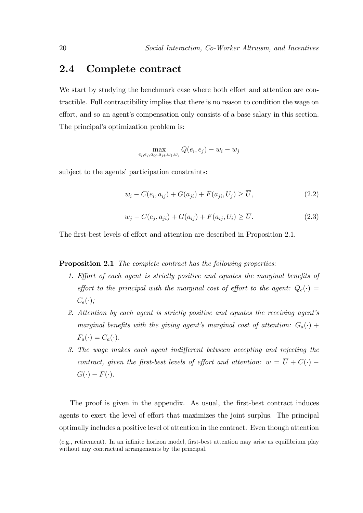### 2.4 Complete contract

We start by studying the benchmark case where both effort and attention are contractible. Full contractibility implies that there is no reason to condition the wage on effort, and so an agent's compensation only consists of a base salary in this section. The principal's optimization problem is:

 $\max_{e_i,e_j,a_{ij},a_{ji},w_i,w_j} Q(e_i,e_j) - w_i - w_j$ 

subject to the agents' participation constraints:

$$
w_i - C(e_i, a_{ij}) + G(a_{ji}) + F(a_{ji}, U_j) \ge \overline{U},
$$
\n(2.2)

$$
w_j - C(e_j, a_{ji}) + G(a_{ij}) + F(a_{ij}, U_i) \ge U.
$$
\n(2.3)

The first-best levels of effort and attention are described in Proposition 2.1.

Proposition 2.1 The complete contract has the following properties:

- 1. Effort of each agent is strictly positive and equates the marginal benefits of effort to the principal with the marginal cost of effort to the agent:  $Q_e(\cdot)$  =  $C_e(\cdot);$
- 2. Attention by each agent is strictly positive and equates the receiving agent's marginal benefits with the giving agent's marginal cost of attention:  $G_a(\cdot)$  +  $F_a(\cdot) = C_a(\cdot).$
- 3. The wage makes each agent indifferent between accepting and rejecting the contract, given the first-best levels of effort and attention:  $w = \overline{U} + C(\cdot)$  $G(\cdot) - F(\cdot).$

The proof is given in the appendix. As usual, the first-best contract induces agents to exert the level of effort that maximizes the joint surplus. The principal optimally includes a positive level of attention in the contract. Even though attention

<sup>(</sup>e.g., retirement). In an inÖnite horizon model, Örst-best attention may arise as equilibrium play without any contractual arrangements by the principal.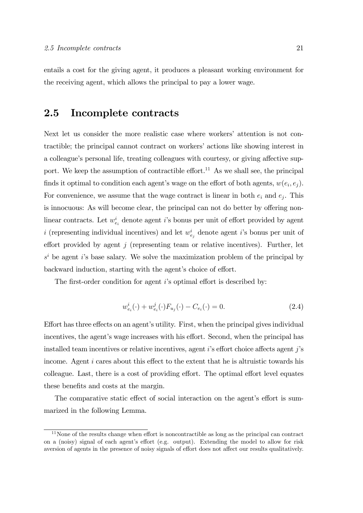entails a cost for the giving agent, it produces a pleasant working environment for the receiving agent, which allows the principal to pay a lower wage.

#### 2.5 Incomplete contracts

Next let us consider the more realistic case where workers' attention is not contractible; the principal cannot contract on workers' actions like showing interest in a colleague's personal life, treating colleagues with courtesy, or giving affective support. We keep the assumption of contractible effort.<sup>11</sup> As we shall see, the principal finds it optimal to condition each agent's wage on the effort of both agents,  $w(e_i, e_j)$ . For convenience, we assume that the wage contract is linear in both  $e_i$  and  $e_j$ . This is innocuous: As will become clear, the principal can not do better by offering nonlinear contracts. Let  $w_{e_i}^i$  denote agent *i*'s bonus per unit of effort provided by agent i (representing individual incentives) and let  $w_{e_j}^i$  denote agent i's bonus per unit of effort provided by agent j (representing team or relative incentives). Further, let  $s<sup>i</sup>$  be agent is base salary. We solve the maximization problem of the principal by backward induction, starting with the agent's choice of effort.

The first-order condition for agent  $i$ 's optimal effort is described by:

$$
w_{e_i}^i(\cdot) + w_{e_i}^j(\cdot)F_{u_j}(\cdot) - C_{e_i}(\cdot) = 0.
$$
\n(2.4)

Effort has three effects on an agent's utility. First, when the principal gives individual incentives, the agent's wage increases with his effort. Second, when the principal has installed team incentives or relative incentives, agent  $i$ 's effort choice affects agent  $j$ 's income. Agent  $i$  cares about this effect to the extent that he is altruistic towards his colleague. Last, there is a cost of providing effort. The optimal effort level equates these benefits and costs at the margin.

The comparative static effect of social interaction on the agent's effort is summarized in the following Lemma.

 $11$ None of the results change when effort is noncontractible as long as the principal can contract on a (noisy) signal of each agent's effort (e.g. output). Extending the model to allow for risk aversion of agents in the presence of noisy signals of effort does not affect our results qualitatively.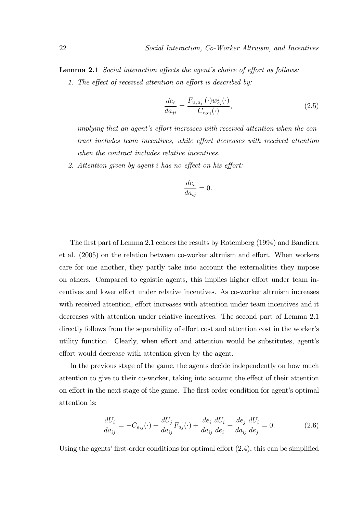Lemma 2.1 Social interaction affects the agent's choice of effort as follows:

1. The effect of received attention on effort is described by:

$$
\frac{de_i}{da_{ji}} = \frac{F_{u_j a_{ji}}(\cdot) w_{e_i}^j(\cdot)}{C_{e_i e_i}(\cdot)},
$$
\n(2.5)

implying that an agent's effort increases with received attention when the contract includes team incentives, while effort decreases with received attention when the contract includes relative incentives.

2. Attention given by agent i has no effect on his effort:

$$
\frac{de_i}{da_{ij}} = 0.
$$

The first part of Lemma 2.1 echoes the results by Rotemberg (1994) and Bandiera et al.  $(2005)$  on the relation between co-worker altruism and effort. When workers care for one another, they partly take into account the externalities they impose on others. Compared to egoistic agents, this implies higher effort under team incentives and lower effort under relative incentives. As co-worker altruism increases with received attention, effort increases with attention under team incentives and it decreases with attention under relative incentives. The second part of Lemma 2.1 directly follows from the separability of effort cost and attention cost in the worker's utility function. Clearly, when effort and attention would be substitutes, agent's effort would decrease with attention given by the agent.

In the previous stage of the game, the agents decide independently on how much attention to give to their co-worker, taking into account the effect of their attention on effort in the next stage of the game. The first-order condition for agent's optimal attention is:

$$
\frac{dU_i}{da_{ij}} = -C_{a_{ij}}(\cdot) + \frac{dU_j}{da_{ij}}F_{u_j}(\cdot) + \frac{de_i}{da_{ij}}\frac{dU_i}{de_i} + \frac{de_j}{da_{ij}}\frac{dU_i}{de_j} = 0.
$$
\n(2.6)

Using the agents' first-order conditions for optimal effort  $(2.4)$ , this can be simplified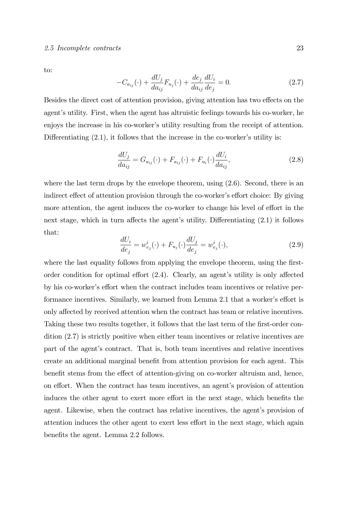to:

$$
-C_{a_{ij}}(\cdot) + \frac{dU_j}{da_{ij}}F_{u_j}(\cdot) + \frac{de_j}{da_{ij}}\frac{dU_i}{de_j} = 0.
$$
 (2.7)

Besides the direct cost of attention provision, giving attention has two effects on the agent's utility. First, when the agent has altruistic feelings towards his co-worker, he enjoys the increase in his co-worker's utility resulting from the receipt of attention. Differentiating  $(2.1)$ , it follows that the increase in the co-worker's utility is:

$$
\frac{dU_j}{da_{ij}} = G_{a_{ij}}(\cdot) + F_{a_{ij}}(\cdot) + F_{u_i}(\cdot)\frac{dU_i}{da_{ij}},
$$
\n(2.8)

where the last term drops by the envelope theorem, using  $(2.6)$ . Second, there is an indirect effect of attention provision through the co-worker's effort choice: By giving more attention, the agent induces the co-worker to change his level of effort in the next stage, which in turn affects the agent's utility. Differentiating  $(2.1)$  it follows that:

$$
\frac{dU_i}{de_j} = w_{e_j}^i(\cdot) + F_{u_j}(\cdot)\frac{dU_j}{de_j} = w_{e_j}^i(\cdot),\tag{2.9}
$$

where the last equality follows from applying the envelope theorem, using the firstorder condition for optimal effort  $(2.4)$ . Clearly, an agent's utility is only affected by his co-worker's effort when the contract includes team incentives or relative performance incentives. Similarly, we learned from Lemma 2.1 that a worker's effort is only affected by received attention when the contract has team or relative incentives. Taking these two results together, it follows that the last term of the first-order condition (2.7) is strictly positive when either team incentives or relative incentives are part of the agent's contract. That is, both team incentives and relative incentives create an additional marginal benefit from attention provision for each agent. This benefit stems from the effect of attention-giving on co-worker altruism and, hence, on effort. When the contract has team incentives, an agent's provision of attention induces the other agent to exert more effort in the next stage, which benefits the agent. Likewise, when the contract has relative incentives, the agent's provision of attention induces the other agent to exert less effort in the next stage, which again benefits the agent. Lemma 2.2 follows.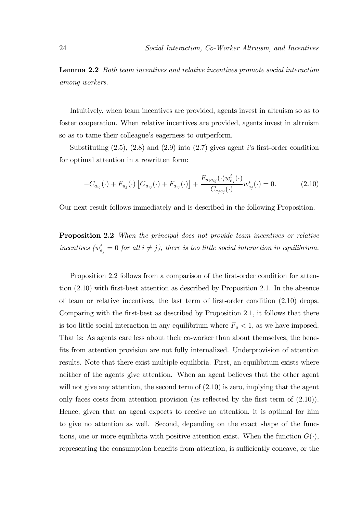Lemma 2.2 Both team incentives and relative incentives promote social interaction among workers.

Intuitively, when team incentives are provided, agents invest in altruism so as to foster cooperation. When relative incentives are provided, agents invest in altruism so as to tame their colleague's eagerness to outperform.

Substituting  $(2.5)$ ,  $(2.8)$  and  $(2.9)$  into  $(2.7)$  gives agent is first-order condition for optimal attention in a rewritten form:

$$
-C_{a_{ij}}(\cdot) + F_{u_j}(\cdot) \left[ G_{a_{ij}}(\cdot) + F_{a_{ij}}(\cdot) \right] + \frac{F_{u_i a_{ij}}(\cdot) w_{e_j}^i(\cdot)}{C_{e_j e_j}(\cdot)} w_{e_j}^i(\cdot) = 0.
$$
 (2.10)

Our next result follows immediately and is described in the following Proposition.

**Proposition 2.2** When the principal does not provide team incentives or relative incentives  $(w_{e_j}^i = 0$  for all  $i \neq j)$ , there is too little social interaction in equilibrium.

Proposition 2.2 follows from a comparison of the first-order condition for attention  $(2.10)$  with first-best attention as described by Proposition 2.1. In the absence of team or relative incentives, the last term of first-order condition  $(2.10)$  drops. Comparing with the first-best as described by Proposition 2.1, it follows that there is too little social interaction in any equilibrium where  $F_u < 1$ , as we have imposed. That is: As agents care less about their co-worker than about themselves, the benefits from attention provision are not fully internalized. Underprovision of attention results. Note that there exist multiple equilibria. First, an equilibrium exists where neither of the agents give attention. When an agent believes that the other agent will not give any attention, the second term of  $(2.10)$  is zero, implying that the agent only faces costs from attention provision (as reflected by the first term of  $(2.10)$ ). Hence, given that an agent expects to receive no attention, it is optimal for him to give no attention as well. Second, depending on the exact shape of the functions, one or more equilibria with positive attention exist. When the function  $G(\cdot)$ , representing the consumption benefits from attention, is sufficiently concave, or the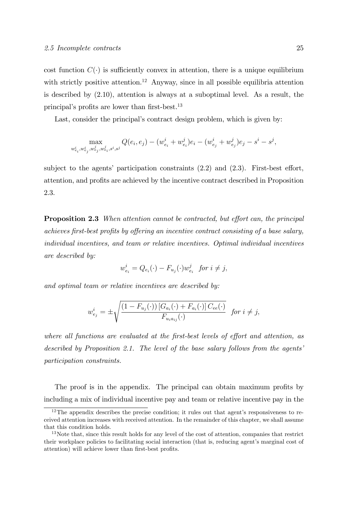cost function  $C(\cdot)$  is sufficiently convex in attention, there is a unique equilibrium with strictly positive attention.<sup>12</sup> Anyway, since in all possible equilibria attention is described by (2.10), attention is always at a suboptimal level. As a result, the principal's profits are lower than first-best.<sup>13</sup>

Last, consider the principal's contract design problem, which is given by:

$$
\max_{w_{e_i}^i, w_{e_j}^i, w_{e_i}^j, s^i, s^j} Q(e_i, e_j) - (w_{e_i}^i + w_{e_i}^j)e_i - (w_{e_j}^i + w_{e_j}^j)e_j - s^i - s^j,
$$

subject to the agents' participation constraints  $(2.2)$  and  $(2.3)$ . First-best effort, attention, and proÖts are achieved by the incentive contract described in Proposition 2.3.

**Proposition 2.3** When attention cannot be contracted, but effort can, the principal  $a$ chieves first-best profits by offering an incentive contract consisting of a base salary, individual incentives, and team or relative incentives. Optimal individual incentives are described by:

$$
w_{e_i}^i = Q_{e_i}(\cdot) - F_{u_j}(\cdot) w_{e_i}^j \text{ for } i \neq j,
$$

and optimal team or relative incentives are described by:

$$
w_{e_j}^i = \pm \sqrt{\frac{\left(1 - F_{u_j}(\cdot)\right)\left[G_{a_i}(\cdot) + F_{a_i}(\cdot)\right]C_{ee}(\cdot)}{F_{u_i a_{ij}}(\cdot)}} \quad \text{for } i \neq j,
$$

where all functions are evaluated at the first-best levels of effort and attention, as described by Proposition 2.1. The level of the base salary follows from the agents' participation constraints.

The proof is in the appendix. The principal can obtain maximum profits by including a mix of individual incentive pay and team or relative incentive pay in the

 $12$ The appendix describes the precise condition; it rules out that agent's responsiveness to received attention increases with received attention. In the remainder of this chapter, we shall assume that this condition holds.

<sup>&</sup>lt;sup>13</sup>Note that, since this result holds for any level of the cost of attention, companies that restrict their workplace policies to facilitating social interaction (that is, reducing agent's marginal cost of attention) will achieve lower than first-best profits.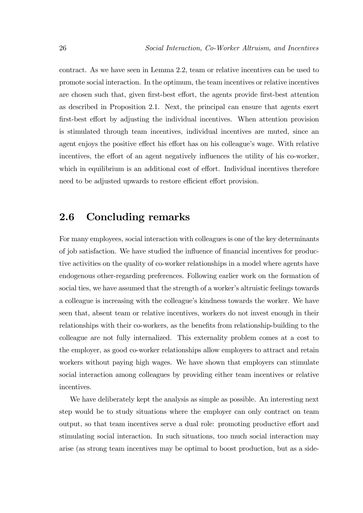contract. As we have seen in Lemma 2.2, team or relative incentives can be used to promote social interaction. In the optimum, the team incentives or relative incentives are chosen such that, given first-best effort, the agents provide first-best attention as described in Proposition 2.1. Next, the principal can ensure that agents exert first-best effort by adjusting the individual incentives. When attention provision is stimulated through team incentives, individual incentives are muted, since an agent enjoys the positive effect his effort has on his colleague's wage. With relative incentives, the effort of an agent negatively influences the utility of his co-worker, which in equilibrium is an additional cost of effort. Individual incentives therefore need to be adjusted upwards to restore efficient effort provision.

### 2.6 Concluding remarks

For many employees, social interaction with colleagues is one of the key determinants of job satisfaction. We have studied the influence of financial incentives for productive activities on the quality of co-worker relationships in a model where agents have endogenous other-regarding preferences. Following earlier work on the formation of social ties, we have assumed that the strength of a worker's altruistic feelings towards a colleague is increasing with the colleague's kindness towards the worker. We have seen that, absent team or relative incentives, workers do not invest enough in their relationships with their co-workers, as the benefits from relationship-building to the colleague are not fully internalized. This externality problem comes at a cost to the employer, as good co-worker relationships allow employers to attract and retain workers without paying high wages. We have shown that employers can stimulate social interaction among colleagues by providing either team incentives or relative incentives.

We have deliberately kept the analysis as simple as possible. An interesting next step would be to study situations where the employer can only contract on team output, so that team incentives serve a dual role: promoting productive effort and stimulating social interaction. In such situations, too much social interaction may arise (as strong team incentives may be optimal to boost production, but as a side-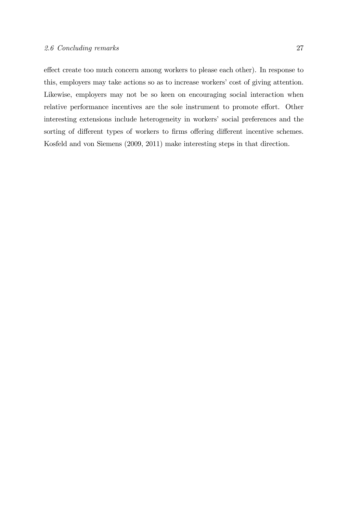effect create too much concern among workers to please each other). In response to this, employers may take actions so as to increase workers' cost of giving attention. Likewise, employers may not be so keen on encouraging social interaction when relative performance incentives are the sole instrument to promote effort. Other interesting extensions include heterogeneity in workers' social preferences and the sorting of different types of workers to firms offering different incentive schemes. Kosfeld and von Siemens (2009, 2011) make interesting steps in that direction.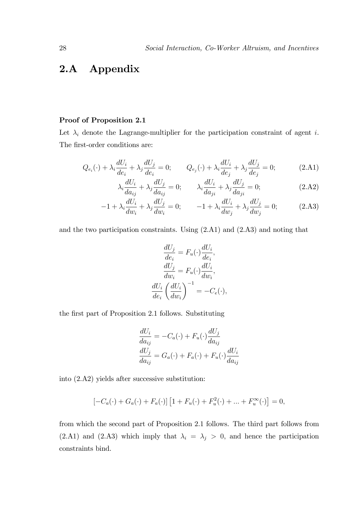# 2.A Appendix

#### Proof of Proposition 2.1

Let  $\lambda_i$  denote the Lagrange-multiplier for the participation constraint of agent i. The first-order conditions are:

$$
Q_{e_i}(\cdot) + \lambda_i \frac{dU_i}{de_i} + \lambda_j \frac{dU_j}{de_i} = 0; \qquad Q_{e_j}(\cdot) + \lambda_i \frac{dU_i}{de_j} + \lambda_j \frac{dU_j}{de_j} = 0; \tag{2. A1}
$$

$$
\lambda_i \frac{dU_i}{da_{ij}} + \lambda_j \frac{dU_j}{da_{ij}} = 0; \qquad \lambda_i \frac{dU_i}{da_{ji}} + \lambda_j \frac{dU_j}{da_{ji}} = 0; \tag{2.A2}
$$

$$
-1 + \lambda_i \frac{dU_i}{dw_i} + \lambda_j \frac{dU_j}{dw_i} = 0; \qquad -1 + \lambda_i \frac{dU_i}{dw_j} + \lambda_j \frac{dU_j}{dw_j} = 0; \tag{2.A3}
$$

and the two participation constraints. Using (2.A1) and (2.A3) and noting that

$$
\frac{dU_j}{de_i} = F_u(\cdot) \frac{dU_i}{de_i},
$$

$$
\frac{dU_j}{dw_i} = F_u(\cdot) \frac{dU_i}{dw_i},
$$

$$
\frac{dU_i}{de_i} \left(\frac{dU_i}{dw_i}\right)^{-1} = -C_e(\cdot),
$$

the first part of Proposition 2.1 follows. Substituting

$$
\frac{dU_i}{da_{ij}} = -C_a(\cdot) + F_u(\cdot) \frac{dU_j}{da_{ij}}
$$

$$
\frac{dU_j}{da_{ij}} = G_a(\cdot) + F_a(\cdot) + F_u(\cdot) \frac{dU_i}{da_{ij}}
$$

into (2.A2) yields after successive substitution:

$$
[-C_a(\cdot) + G_a(\cdot) + F_a(\cdot)] [1 + F_u(\cdot) + F_u^2(\cdot) + \dots + F_u^{\infty}(\cdot)] = 0,
$$

from which the second part of Proposition 2.1 follows. The third part follows from (2.A1) and (2.A3) which imply that  $\lambda_i = \lambda_j > 0$ , and hence the participation constraints bind.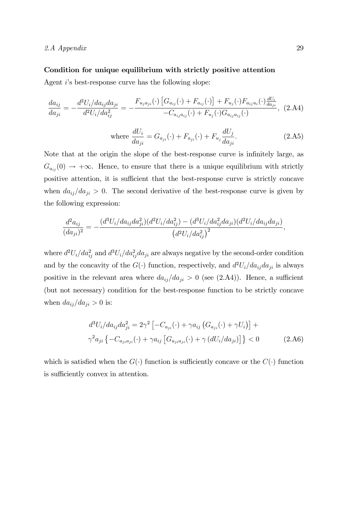#### Condition for unique equilibrium with strictly positive attention

Agent *i*'s best-response curve has the following slope:

$$
\frac{da_{ij}}{da_{ji}} = -\frac{d^2U_i/da_{ij}da_{ji}}{d^2U_i/da_{ij}^2} = -\frac{F_{u_j a_{ji}}(\cdot) \left[G_{a_{ij}}(\cdot) + F_{a_{ij}}(\cdot)\right] + F_{u_j}(\cdot)F_{a_{ij} u_i}(\cdot)\frac{dU_i}{da_{ji}}}{-C_{a_{ij} a_{ij}}(\cdot) + F_{u_j}(\cdot)G_{a_{ij} a_{ij}}(\cdot)},
$$
(2.A4)

where 
$$
\frac{dU_i}{da_{ji}} = G_{a_{ji}}(\cdot) + F_{a_{ji}}(\cdot) + F_{u_j}\frac{dU_j}{da_{ji}}.
$$
 (2.A5)

Note that at the origin the slope of the best-response curve is infinitely large, as  $G_{a_{ij}}(0) \rightarrow +\infty$ . Hence, to ensure that there is a unique equilibrium with strictly positive attention, it is sufficient that the best-response curve is strictly concave when  $da_{ij}/da_{ji} > 0$ . The second derivative of the best-response curve is given by the following expression:

$$
\frac{d^2 a_{ij}}{(da_{ji})^2} = -\frac{(d^3 U_i/da_{ij}da_{ji}^2)(d^2 U_i/da_{ij}^2) - (d^3 U_i/da_{ij}^2 da_{ji})(d^2 U_i/da_{ij}da_{ji})}{(d^2 U_i/da_{ij}^2)^2},
$$

where  $d^2U_i/da_{ij}^2$  and  $d^3U_i/da_{ij}^2da_{ji}$  are always negative by the second-order condition and by the concavity of the  $G(\cdot)$  function, respectively, and  $d^2U_i/da_{ij}da_{ji}$  is always positive in the relevant area where  $da_{ij}/da_{ji} > 0$  (see (2.A4)). Hence, a sufficient (but not necessary) condition for the best-response function to be strictly concave when  $da_{ij}/da_{ji} > 0$  is:

$$
d^{3}U_{i}/da_{ij}da_{ji}^{2} = 2\gamma^{2} \left[ -C_{a_{ji}}(\cdot) + \gamma a_{ij} \left( G_{a_{ji}}(\cdot) + \gamma U_{i} \right) \right] +
$$
  

$$
\gamma^{2} a_{ji} \left\{ -C_{a_{ji}a_{ji}}(\cdot) + \gamma a_{ij} \left[ G_{a_{ji}a_{ji}}(\cdot) + \gamma \left( dU_{i}/da_{ji} \right) \right] \right\} < 0
$$
 (2.A6)

which is satisfied when the  $G(\cdot)$  function is sufficiently concave or the  $C(\cdot)$  function is sufficiently convex in attention.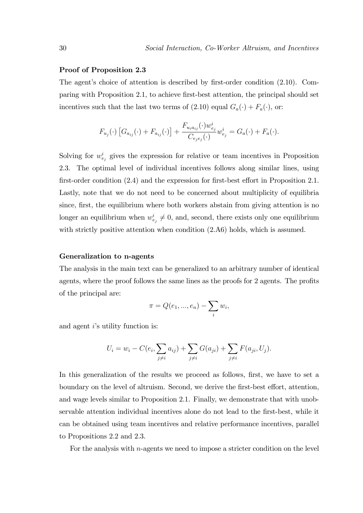#### Proof of Proposition 2.3

The agent's choice of attention is described by first-order condition  $(2.10)$ . Comparing with Proposition 2.1, to achieve Örst-best attention, the principal should set incentives such that the last two terms of  $(2.10)$  equal  $G_a(\cdot) + F_a(\cdot)$ , or:

$$
F_{u_j}(\cdot) [G_{a_{ij}}(\cdot) + F_{a_{ij}}(\cdot)] + \frac{F_{u_i a_{ij}}(\cdot) w_{e_j}^i}{C_{e_j e_j}(\cdot)} w_{e_j}^i = G_a(\cdot) + F_a(\cdot).
$$

Solving for  $w_{e_j}^i$  gives the expression for relative or team incentives in Proposition 2.3. The optimal level of individual incentives follows along similar lines, using first-order condition  $(2.4)$  and the expression for first-best effort in Proposition 2.1. Lastly, note that we do not need to be concerned about multiplicity of equilibria since, first, the equilibrium where both workers abstain from giving attention is no longer an equilibrium when  $w_{e_j}^i \neq 0$ , and, second, there exists only one equilibrium with strictly positive attention when condition  $(2.A6)$  holds, which is assumed.

#### Generalization to n-agents

The analysis in the main text can be generalized to an arbitrary number of identical agents, where the proof follows the same lines as the proofs for 2 agents. The profits of the principal are:

$$
\pi = Q(e_1, ..., e_n) - \sum_i w_i,
$$

and agent  $i$ 's utility function is:

$$
U_i = w_i - C(e_i, \sum_{j \neq i} a_{ij}) + \sum_{j \neq i} G(a_{ji}) + \sum_{j \neq i} F(a_{ji}, U_j).
$$

In this generalization of the results we proceed as follows, first, we have to set a boundary on the level of altruism. Second, we derive the first-best effort, attention, and wage levels similar to Proposition 2.1. Finally, we demonstrate that with unobservable attention individual incentives alone do not lead to the first-best, while it can be obtained using team incentives and relative performance incentives, parallel to Propositions 2.2 and 2.3.

For the analysis with n-agents we need to impose a stricter condition on the level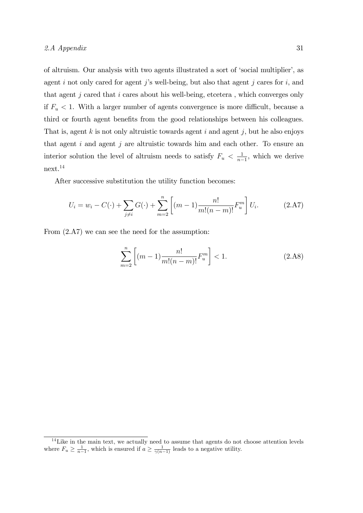of altruism. Our analysis with two agents illustrated a sort of 'social multiplier', as agent i not only cared for agent j's well-being, but also that agent j cares for  $i$ , and that agent j cared that i cares about his well-being, etcetera , which converges only if  $F_u < 1$ . With a larger number of agents convergence is more difficult, because a third or fourth agent benefits from the good relationships between his colleagues. That is, agent k is not only altruistic towards agent i and agent j, but he also enjoys that agent  $i$  and agent  $j$  are altruistic towards him and each other. To ensure an interior solution the level of altruism needs to satisfy  $F_u < \frac{1}{n-1}$  $\frac{1}{n-1}$ , which we derive next.<sup>14</sup>

After successive substitution the utility function becomes:

$$
U_i = w_i - C(\cdot) + \sum_{j \neq i} G(\cdot) + \sum_{m=2}^n \left[ (m-1) \frac{n!}{m!(n-m)!} F_u^m \right] U_i.
$$
 (2.A7)

From (2.A7) we can see the need for the assumption:

$$
\sum_{m=2}^{n} \left[ (m-1) \frac{n!}{m!(n-m)!} F_u^m \right] < 1. \tag{2.A8}
$$

 $14$ Like in the main text, we actually need to assume that agents do not choose attention levels where  $F_u \geq \frac{1}{n-1}$ , which is ensured if  $a \geq \frac{1}{\gamma(n-1)}$  leads to a negative utility.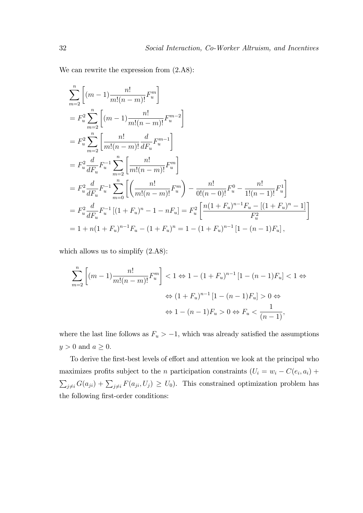We can rewrite the expression from  $(2.48)$ :

$$
\sum_{m=2}^{n} \left[ (m-1) \frac{n!}{m!(n-m)!} F_u^m \right]
$$
  
=  $F_u^2 \sum_{m=2}^{n} \left[ (m-1) \frac{n!}{m!(n-m)!} F_u^{m-2} \right]$   
=  $F_u^2 \sum_{m=2}^{n} \left[ \frac{n!}{m!(n-m)!} \frac{d}{dF_u} F_u^{m-1} \right]$   
=  $F_u^2 \frac{d}{dF_u} F_u^{-1} \sum_{m=2}^{n} \left[ \frac{n!}{m!(n-m)!} F_u^m \right]$   
=  $F_u^2 \frac{d}{dF_u} F_u^{-1} \sum_{m=0}^{n} \left[ \left( \frac{n!}{m!(n-m)!} F_u^m \right) - \frac{n!}{0!(n-0)!} F_u^0 - \frac{n!}{1!(n-1)!} F_u^1 \right]$   
=  $F_u^2 \frac{d}{dF_u} F_u^{-1} [(1 + F_u)^n - 1 - nF_u] = F_u^2 \left[ \frac{n(1 + F_u)^{n-1} F_u - [(1 + F_u)^n - 1]}{F_u^2} \right]$   
=  $1 + n(1 + F_u)^{n-1} F_u - (1 + F_u)^n = 1 - (1 + F_u)^{n-1} [1 - (n - 1) F_u],$ 

which allows us to simplify (2.A8):

$$
\sum_{m=2}^{n} \left[ (m-1) \frac{n!}{m!(n-m)!} F_u^m \right] < 1 \Leftrightarrow 1 - (1 + F_u)^{n-1} \left[ 1 - (n-1)F_u \right] < 1 \Leftrightarrow \\
\Leftrightarrow (1 + F_u)^{n-1} \left[ 1 - (n-1)F_u \right] > 0 \Leftrightarrow \\
\Leftrightarrow 1 - (n-1)F_u > 0 \Leftrightarrow F_u < \frac{1}{(n-1)},
$$

where the last line follows as  $F_u > -1$ , which was already satisfied the assumptions  $y > 0$  and  $a \geq 0$ .

To derive the first-best levels of effort and attention we look at the principal who maximizes profits subject to the *n* participation constraints  $(U_i = w_i - C(e_i, a_i) +$  $\sum_{j\neq i} G(a_{ji}) + \sum_{j\neq i} F(a_{ji}, U_j) \geq U_0$ . This constrained optimization problem has the following first-order conditions: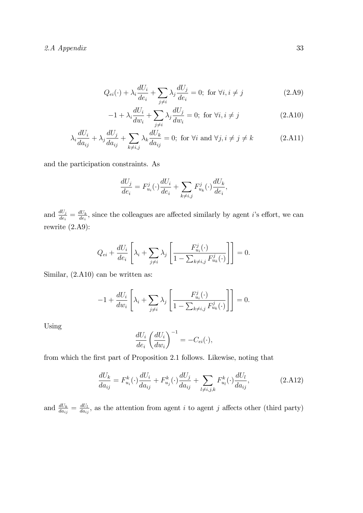2.A Appendix 33

$$
Q_{ei}(\cdot) + \lambda_i \frac{dU_i}{de_i} + \sum_{j \neq i} \lambda_j \frac{dU_j}{de_i} = 0; \text{ for } \forall i, i \neq j
$$
 (2. A9)

$$
-1 + \lambda_i \frac{dU_i}{dw_i} + \sum_{j \neq i} \lambda_j \frac{dU_j}{dw_i} = 0; \text{ for } \forall i, i \neq j
$$
 (2. A10)

$$
\lambda_i \frac{dU_i}{da_{ij}} + \lambda_j \frac{dU_j}{da_{ij}} + \sum_{k \neq i,j} \lambda_k \frac{dU_k}{da_{ij}} = 0; \text{ for } \forall i \text{ and } \forall j, i \neq j \neq k \tag{2.A11}
$$

and the participation constraints. As

$$
\frac{dU_j}{de_i} = F_{u_i}^j(\cdot)\frac{dU_i}{de_i} + \sum_{k \neq i,j} F_{u_k}^j(\cdot)\frac{dU_k}{de_i},
$$

and  $\frac{dU_j}{de_i} = \frac{dU_k}{de_i}$  $\frac{dU_k}{de_i}$ , since the colleagues are affected similarly by agent *i*'s effort, we can rewrite (2.A9):

$$
Q_{ei} + \frac{dU_i}{de_i} \left[ \lambda_i + \sum_{j \neq i} \lambda_j \left[ \frac{F_{u_i}^j(\cdot)}{1 - \sum_{k \neq i,j} F_{u_k}^j(\cdot)} \right] \right] = 0.
$$

Similar, (2.A10) can be written as:

$$
-1 + \frac{dU_i}{dw_i} \left[ \lambda_i + \sum_{j \neq i} \lambda_j \left[ \frac{F_{u_i}^j(\cdot)}{1 - \sum_{k \neq i,j} F_{u_k}^j(\cdot)} \right] \right] = 0.
$$

Using

$$
\frac{dU_i}{de_i} \left(\frac{dU_i}{dw_i}\right)^{-1} = -C_{ei}(\cdot),
$$

from which the first part of Proposition 2.1 follows. Likewise, noting that  $\,$ 

$$
\frac{dU_k}{da_{ij}} = F_{u_i}^k(\cdot) \frac{dU_i}{da_{ij}} + F_{u_j}^k(\cdot) \frac{dU_j}{da_{ij}} + \sum_{l \neq i,j,k} F_{u_l}^k(\cdot) \frac{dU_l}{da_{ij}},\tag{2. A12}
$$

and  $\frac{dU_k}{da_{ij}} = \frac{dU_l}{da_{ij}}$  $\frac{dU_l}{da_{ij}}$ , as the attention from agent i to agent j affects other (third party)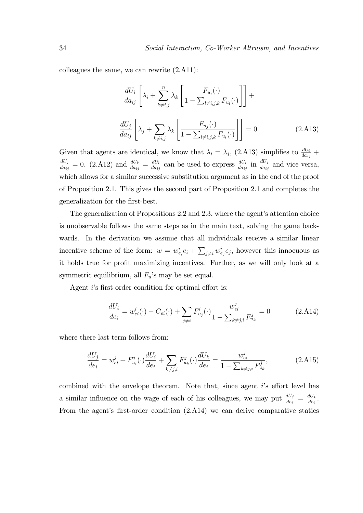colleagues the same, we can rewrite (2.A11):

$$
\frac{dU_i}{da_{ij}} \left[ \lambda_i + \sum_{k \neq i,j}^n \lambda_k \left[ \frac{F_{u_i}(\cdot)}{1 - \sum_{l \neq i,j,k} F_{u_l}(\cdot)} \right] \right] +
$$
\n
$$
\frac{dU_j}{da_{ij}} \left[ \lambda_j + \sum_{k \neq i,j} \lambda_k \left[ \frac{F_{u_j}(\cdot)}{1 - \sum_{l \neq i,j,k} F_{u_l}(\cdot)} \right] \right] = 0.
$$
\n(2.A13)

Given that agents are identical, we know that  $\lambda_i = \lambda_j$ , (2.A13) simplifies to  $\frac{dU_i}{da_{ij}}$  +  $dU_j$  $\frac{dU_j}{da_{ij}}=0. ~~(2.\mathrm{A}12)~\mathrm{and}~\frac{dU_k}{da_{ij}}=\frac{dU_l}{da_{ij}}$  $\frac{dU_i}{da_{ij}}$  can be used to express  $\frac{dU_i}{da_{ij}}$  in  $\frac{dU_j}{da_{ij}}$  and vice versa, which allows for a similar successive substitution argument as in the end of the proof of Proposition 2.1. This gives the second part of Proposition 2.1 and completes the generalization for the Örst-best.

The generalization of Propositions  $2.2$  and  $2.3$ , where the agent's attention choice is unobservable follows the same steps as in the main text, solving the game backwards. In the derivation we assume that all individuals receive a similar linear incentive scheme of the form:  $w = w_{e_i}^i e_i + \sum_{j \neq i} w_{e_j}^i e_j$ , however this innocuous as it holds true for profit maximizing incentives. Further, as we will only look at a symmetric equilibrium, all  $F_u$ 's may be set equal.

Agent  $i$ 's first-order condition for optimal effort is:

$$
\frac{dU_i}{de_i} = w_{ei}^i(\cdot) - C_{ei}(\cdot) + \sum_{j \neq i} F_{u_j}^i(\cdot) \frac{w_{ei}^j}{1 - \sum_{k \neq j,i} F_{u_k}^j} = 0
$$
\n(2. A14)

where there last term follows from:

$$
\frac{dU_j}{de_i} = w_{ei}^j + F_{u_i}^j(\cdot)\frac{dU_i}{de_i} + \sum_{k \neq j,i} F_{u_k}^j(\cdot)\frac{dU_k}{de_i} = \frac{w_{ei}^j}{1 - \sum_{k \neq j,i} F_{u_k}^j},\tag{2.A15}
$$

combined with the envelope theorem. Note that, since agent  $i$ 's effort level has a similar influence on the wage of each of his colleagues, we may put  $\frac{dU_j}{de_i} = \frac{dU_k}{de_i}$  $\frac{dU_k}{de_i}.$ From the agent's first-order condition  $(2.A14)$  we can derive comparative statics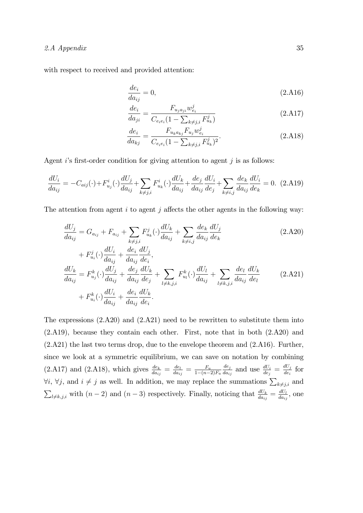#### 2.A Appendix 35

with respect to received and provided attention:

$$
\frac{de_i}{da_{ij}} = 0,\t\t(2. A16)
$$

$$
\frac{de_i}{da_{ji}} = \frac{F_{u_j a_{ji}} w_{e_i}^j}{C_{e_i e_i} (1 - \sum_{k \neq j,i} F_{u_k}^j)}
$$
(2. A17)

$$
\frac{de_i}{da_{kj}} = \frac{F_{u_k a_{kj}} F_{u_j} w_{e_i}^j}{C_{e_i e_i} (1 - \sum_{k \neq j,i} F_{u_k}^j)^2}.
$$
\n(2.A18)

Agent i's first-order condition for giving attention to agent  $j$  is as follows:

$$
\frac{dU_i}{da_{ij}} = -C_{aij}(\cdot) + F_{u_j}^i(\cdot)\frac{dU_j}{da_{ij}} + \sum_{k \neq j,i} F_{u_k}^i(\cdot)\frac{dU_k}{da_{ij}} + \frac{de_j}{da_{ij}}\frac{dU_i}{de_j} + \sum_{k \neq i,j}\frac{de_k}{da_{ij}}\frac{dU_i}{de_k} = 0.
$$
 (2.A19)

The attention from agent  $i$  to agent  $j$  affects the other agents in the following way:

$$
\frac{dU_j}{da_{ij}} = G_{a_{ij}} + F_{a_{ij}} + \sum_{k \neq j,i} F_{u_k}^j(\cdot) \frac{dU_k}{da_{ij}} + \sum_{k \neq i,j} \frac{de_k}{da_{ij}} \frac{dU_j}{de_k} \n+ F_{u_i}^j(\cdot) \frac{dU_i}{da_{ij}} + \frac{de_i}{da_{ij}} \frac{dU_j}{de_i}, \n\frac{dU_k}{da_{ij}} = F_{u_j}^k(\cdot) \frac{dU_j}{da_{ij}} + \frac{de_j}{da_{ij}} \frac{dU_k}{de_j} + \sum_{l \neq k,j,i} F_{u_l}^k(\cdot) \frac{dU_l}{da_{ij}} + \sum_{l \neq k,j,i} \frac{de_l}{da_{ij}} \frac{dU_k}{de_l} \n+ F_{u_i}^k(\cdot) \frac{dU_i}{da_{ij}} + \frac{de_i}{da_{ij}} \frac{dU_k}{de_i}.
$$
\n(2.A21)

The expressions (2.A20) and (2.A21) need to be rewritten to substitute them into (2.A19), because they contain each other. First, note that in both (2.A20) and (2.A21) the last two terms drop, due to the envelope theorem and (2.A16). Further, since we look at a symmetric equilibrium, we can save on notation by combining  $(2. A17)$  and  $(2. A18)$ , which gives  $\frac{de_k}{da_{ij}} = \frac{de_l}{da_{ij}}$  $\frac{de_l}{da_{ij}} = \frac{F_u}{1-(n-1)}$  $1-(n-2)F_u$ de<sup>j</sup>  $\frac{de_j}{da_{ij}}$  and use  $\frac{dU_i}{de_j} = \frac{dU_j}{de_i}$  $\frac{a_{U_j}}{de_i}$  for  $\forall i, \forall j$ , and  $i \neq j$  as well. In addition, we may replace the summations  $\sum_{k \neq j,i}$  and  $\sum_{l \neq k,j,i}$  with  $(n-2)$  and  $(n-3)$  respectively. Finally, noticing that  $\frac{dU_k}{da_{ij}} = \frac{dU_l}{da_{ij}}$  $\frac{dU_l}{da_{ij}},$  one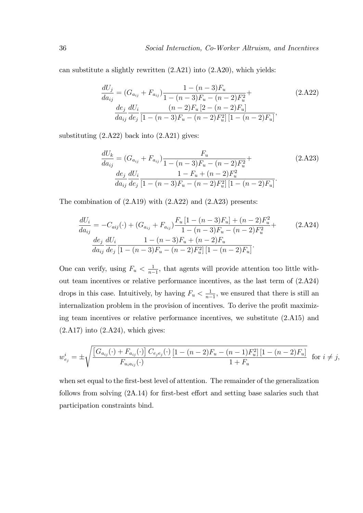can substitute a slightly rewritten (2.A21) into (2.A20), which yields:

$$
\frac{dU_j}{da_{ij}} = (G_{a_{ij}} + F_{a_{ij}}) \frac{1 - (n-3)F_u}{1 - (n-3)F_u - (n-2)F_u^2} +
$$
\n
$$
\frac{de_j}{da_{ij}} \frac{dU_i}{de_j} \frac{(n-2)F_u [2 - (n-2)F_u]}{[1 - (n-3)F_u - (n-2)F_u^2] [1 - (n-2)F_u]},
$$
\n(2. A22)

substituting (2.A22) back into (2.A21) gives:

$$
\frac{dU_k}{da_{ij}} = (G_{a_{ij}} + F_{a_{ij}}) \frac{F_u}{1 - (n-3)F_u - (n-2)F_u^2} +
$$
\n
$$
\frac{de_j}{da_{ij}} \frac{dU_i}{de_j} \frac{1 - F_u + (n-2)F_u^2}{1 - (n-3)F_u - (n-2)F_u^2}.
$$
\n(2. A23)

The combination of (2.A19) with (2.A22) and (2.A23) presents:

$$
\frac{dU_i}{da_{ij}} = -C_{aij}(\cdot) + (G_{a_{ij}} + F_{a_{ij}}) \frac{F_u \left[1 - (n-3)F_u\right] + (n-2)F_u^2}{1 - (n-3)F_u - (n-2)F_u^2} +
$$
\n
$$
\frac{de_j}{da_{ij}} \frac{dU_i}{de_j} \frac{1 - (n-3)F_u + (n-2)F_u}{1 - (n-2)F_u^2 \left[1 - (n-2)F_u\right]}.
$$
\n(2.424)

One can verify, using  $F_u < \frac{1}{n-1}$  $\frac{1}{n-1}$ , that agents will provide attention too little without team incentives or relative performance incentives, as the last term of (2.A24) drops in this case. Intuitively, by having  $F_u < \frac{1}{n-1}$  $\frac{1}{n-1}$ , we ensured that there is still an internalization problem in the provision of incentives. To derive the profit maximizing team incentives or relative performance incentives, we substitute (2.A15) and  $(2. A17)$  into  $(2. A24)$ , which gives:

$$
w_{e_j}^i = \pm \sqrt{\frac{\left[G_{a_{ij}}(\cdot) + F_{a_{ij}}(\cdot)\right]C_{e_je_j}(\cdot)}{F_{u_ia_{ij}}(\cdot)} \frac{\left[1 - (n-2)F_u - (n-1)F_u^2\right]\left[1 - (n-2)F_u\right]}{1 + F_u}} \quad \text{for } i \neq j,
$$

when set equal to the first-best level of attention. The remainder of the generalization follows from solving  $(2A.14)$  for first-best effort and setting base salaries such that participation constraints bind.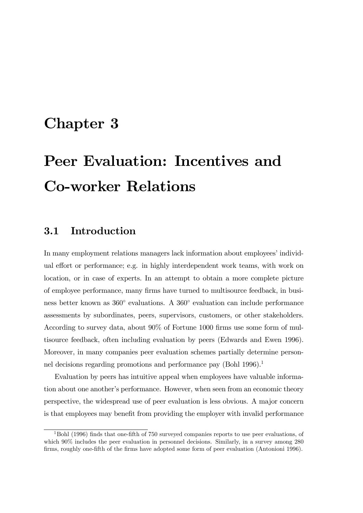# Chapter 3

# Peer Evaluation: Incentives and Co-worker Relations

# 3.1 Introduction

In many employment relations managers lack information about employees' individual effort or performance; e.g. in highly interdependent work teams, with work on location, or in case of experts. In an attempt to obtain a more complete picture of employee performance, many firms have turned to multisource feedback, in business better known as  $360^{\circ}$  evaluations. A  $360^{\circ}$  evaluation can include performance assessments by subordinates, peers, supervisors, customers, or other stakeholders. According to survey data, about  $90\%$  of Fortune 1000 firms use some form of multisource feedback, often including evaluation by peers (Edwards and Ewen 1996). Moreover, in many companies peer evaluation schemes partially determine personnel decisions regarding promotions and performance pay (Bohl 1996).<sup>1</sup>

Evaluation by peers has intuitive appeal when employees have valuable information about one another's performance. However, when seen from an economic theory perspective, the widespread use of peer evaluation is less obvious. A major concern is that employees may benefit from providing the employer with invalid performance

 $1$ Bohl (1996) finds that one-fifth of 750 surveyed companies reports to use peer evaluations, of which 90% includes the peer evaluation in personnel decisions. Similarly, in a survey among 280 firms, roughly one-fifth of the firms have adopted some form of peer evaluation (Antonioni 1996).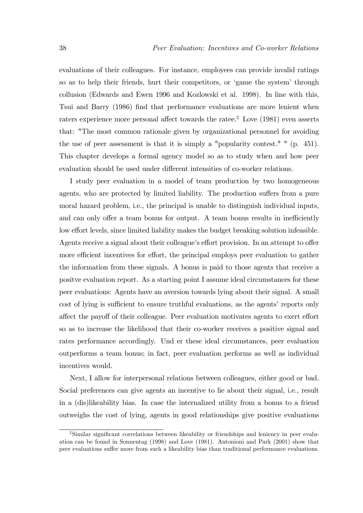evaluations of their colleagues. For instance, employees can provide invalid ratings so as to help their friends, hurt their competitors, or 'game the system' through collusion (Edwards and Ewen 1996 and Kozlowski et al. 1998). In line with this, Tsui and Barry (1986) Önd that performance evaluations are more lenient when raters experience more personal affect towards the ratee.<sup>2</sup> Love (1981) even asserts that: "The most common rationale given by organizational personnel for avoiding the use of peer assessment is that it is simply a "popularity contest." " (p. 451). This chapter develops a formal agency model so as to study when and how peer evaluation should be used under different intensities of co-worker relations.

I study peer evaluation in a model of team production by two homogeneous agents, who are protected by limited liability. The production suffers from a pure moral hazard problem, i.e., the principal is unable to distinguish individual inputs, and can only offer a team bonus for output. A team bonus results in inefficiently low effort levels, since limited liability makes the budget breaking solution infeasible. Agents receive a signal about their colleague's effort provision. In an attempt to offer more efficient incentives for effort, the principal employs peer evaluation to gather the information from these signals. A bonus is paid to those agents that receive a positve evaluation report. As a starting point I assume ideal circumstances for these peer evaluations: Agents have an aversion towards lying about their signal. A small cost of lying is sufficient to ensure truthful evaluations, as the agents' reports only affect the payoff of their colleague. Peer evaluation motivates agents to exert effort so as to increase the likelihood that their co-worker receives a positive signal and rates performance accordingly. Und er these ideal circumstances, peer evaluation outperforms a team bonus; in fact, peer evaluation performs as well as individual incentives would.

Next, I allow for interpersonal relations between colleagues, either good or bad. Social preferences can give agents an incentive to lie about their signal, i.e., result in a (dis)likeability bias. In case the internalized utility from a bonus to a friend outweighs the cost of lying, agents in good relationships give positive evaluations

<sup>&</sup>lt;sup>2</sup>Similar significant correlations between likeability or friendships and leniency in peer evaluation can be found in Sonnentag (1998) and Love (1981). Antonioni and Park (2001) show that peer evaluations suffer more from such a likeability bias than traditional performance evaluations.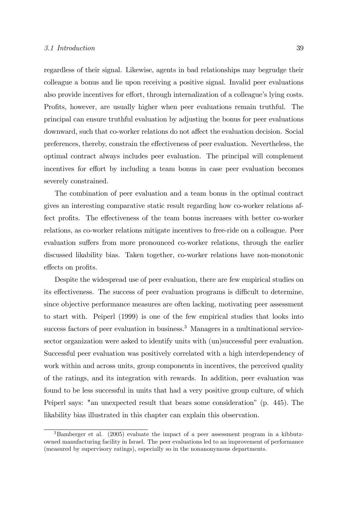regardless of their signal. Likewise, agents in bad relationships may begrudge their colleague a bonus and lie upon receiving a positive signal. Invalid peer evaluations also provide incentives for effort, through internalization of a colleague's lying costs. Profits, however, are usually higher when peer evaluations remain truthful. The principal can ensure truthful evaluation by adjusting the bonus for peer evaluations downward, such that co-worker relations do not affect the evaluation decision. Social preferences, thereby, constrain the effectiveness of peer evaluation. Nevertheless, the optimal contract always includes peer evaluation. The principal will complement incentives for effort by including a team bonus in case peer evaluation becomes severely constrained.

The combination of peer evaluation and a team bonus in the optimal contract gives an interesting comparative static result regarding how co-worker relations affect profits. The effectiveness of the team bonus increases with better co-worker relations, as co-worker relations mitigate incentives to free-ride on a colleague. Peer evaluation suffers from more pronounced co-worker relations, through the earlier discussed likability bias. Taken together, co-worker relations have non-monotonic effects on profits.

Despite the widespread use of peer evaluation, there are few empirical studies on its effectiveness. The success of peer evaluation programs is difficult to determine, since objective performance measures are often lacking, motivating peer assessment to start with. Peiperl (1999) is one of the few empirical studies that looks into success factors of peer evaluation in business.<sup>3</sup> Managers in a multinational servicesector organization were asked to identify units with (un)successful peer evaluation. Successful peer evaluation was positively correlated with a high interdependency of work within and across units, group components in incentives, the perceived quality of the ratings, and its integration with rewards. In addition, peer evaluation was found to be less successful in units that had a very positive group culture, of which Peiperl says: "an unexpected result that bears some consideration" (p. 445). The likability bias illustrated in this chapter can explain this observation.

<sup>&</sup>lt;sup>3</sup>Bamberger et al. (2005) evaluate the impact of a peer assessment program in a kibbutzowned manufacturing facility in Israel. The peer evaluations led to an improvement of performance (measured by supervisory ratings), especially so in the nonanonymous departments.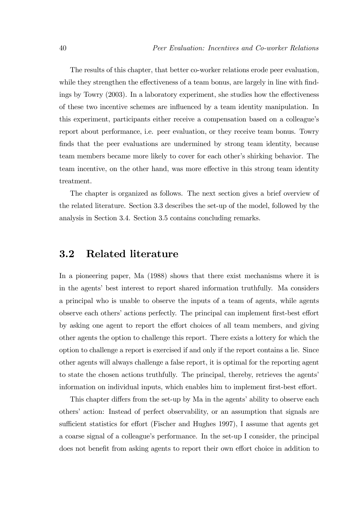The results of this chapter, that better co-worker relations erode peer evaluation, while they strengthen the effectiveness of a team bonus, are largely in line with findings by Towry (2003). In a laboratory experiment, she studies how the effectiveness of these two incentive schemes are ináuenced by a team identity manipulation. In this experiment, participants either receive a compensation based on a colleague's report about performance, i.e. peer evaluation, or they receive team bonus. Towry finds that the peer evaluations are undermined by strong team identity, because team members became more likely to cover for each other's shirking behavior. The team incentive, on the other hand, was more effective in this strong team identity treatment.

The chapter is organized as follows. The next section gives a brief overview of the related literature. Section 3.3 describes the set-up of the model, followed by the analysis in Section 3.4. Section 3.5 contains concluding remarks.

### 3.2 Related literature

In a pioneering paper, Ma (1988) shows that there exist mechanisms where it is in the agents' best interest to report shared information truthfully. Ma considers a principal who is unable to observe the inputs of a team of agents, while agents observe each others' actions perfectly. The principal can implement first-best effort by asking one agent to report the effort choices of all team members, and giving other agents the option to challenge this report. There exists a lottery for which the option to challenge a report is exercised if and only if the report contains a lie. Since other agents will always challenge a false report, it is optimal for the reporting agent to state the chosen actions truthfully. The principal, thereby, retrieves the agents' information on individual inputs, which enables him to implement first-best effort.

This chapter differs from the set-up by Ma in the agents' ability to observe each othersí action: Instead of perfect observability, or an assumption that signals are sufficient statistics for effort (Fischer and Hughes 1997), I assume that agents get a coarse signal of a colleague's performance. In the set-up I consider, the principal does not benefit from asking agents to report their own effort choice in addition to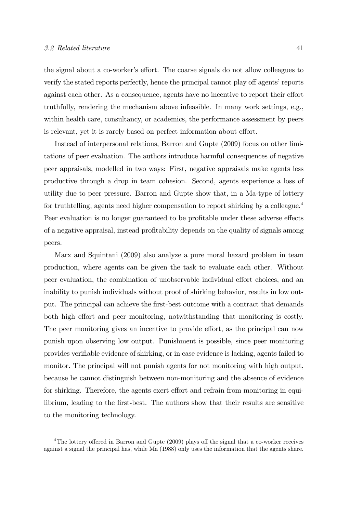the signal about a co-worker's effort. The coarse signals do not allow colleagues to verify the stated reports perfectly, hence the principal cannot play off agents' reports against each other. As a consequence, agents have no incentive to report their effort truthfully, rendering the mechanism above infeasible. In many work settings, e.g., within health care, consultancy, or academics, the performance assessment by peers is relevant, yet it is rarely based on perfect information about effort.

Instead of interpersonal relations, Barron and Gupte (2009) focus on other limitations of peer evaluation. The authors introduce harmful consequences of negative peer appraisals, modelled in two ways: First, negative appraisals make agents less productive through a drop in team cohesion. Second, agents experience a loss of utility due to peer pressure. Barron and Gupte show that, in a Ma-type of lottery for truthtelling, agents need higher compensation to report shirking by a colleague.<sup>4</sup> Peer evaluation is no longer guaranteed to be profitable under these adverse effects of a negative appraisal, instead profitability depends on the quality of signals among peers.

Marx and Squintani (2009) also analyze a pure moral hazard problem in team production, where agents can be given the task to evaluate each other. Without peer evaluation, the combination of unobservable individual effort choices, and an inability to punish individuals without proof of shirking behavior, results in low output. The principal can achieve the Örst-best outcome with a contract that demands both high effort and peer monitoring, notwithstanding that monitoring is costly. The peer monitoring gives an incentive to provide effort, as the principal can now punish upon observing low output. Punishment is possible, since peer monitoring provides verifiable evidence of shirking, or in case evidence is lacking, agents failed to monitor. The principal will not punish agents for not monitoring with high output, because he cannot distinguish between non-monitoring and the absence of evidence for shirking. Therefore, the agents exert effort and refrain from monitoring in equilibrium, leading to the first-best. The authors show that their results are sensitive to the monitoring technology.

 $4$ The lottery offered in Barron and Gupte (2009) plays off the signal that a co-worker receives against a signal the principal has, while Ma (1988) only uses the information that the agents share.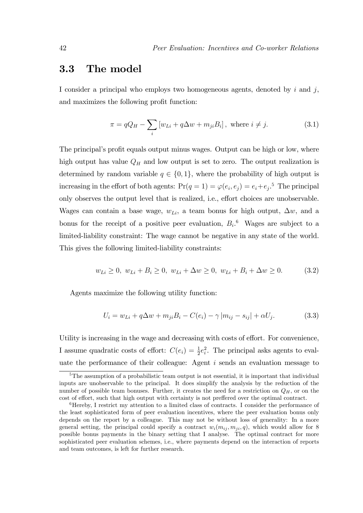### 3.3 The model

I consider a principal who employs two homogeneous agents, denoted by  $i$  and  $j$ , and maximizes the following profit function:

$$
\pi = qQ_H - \sum_{i} \left[ w_{Li} + q\Delta w + m_{ji} B_i \right], \text{ where } i \neq j. \tag{3.1}
$$

The principal's profit equals output minus wages. Output can be high or low, where high output has value  $Q_H$  and low output is set to zero. The output realization is determined by random variable  $q \in \{0, 1\}$ , where the probability of high output is increasing in the effort of both agents:  $Pr(q = 1) = \varphi(e_i, e_j) = e_i + e_j$ .<sup>5</sup> The principal only observes the output level that is realized, i.e., effort choices are unobservable. Wages can contain a base wage,  $w_{Li}$ , a team bonus for high output,  $\Delta w$ , and a bonus for the receipt of a positive peer evaluation,  $B_i$ <sup>6</sup>. Wages are subject to a limited-liability constraint: The wage cannot be negative in any state of the world. This gives the following limited-liability constraints:

$$
w_{Li} \ge 0, \ w_{Li} + B_i \ge 0, \ w_{Li} + \Delta w \ge 0, \ w_{Li} + B_i + \Delta w \ge 0. \tag{3.2}
$$

Agents maximize the following utility function:

$$
U_i = w_{Li} + q\Delta w + m_{ji}B_i - C(e_i) - \gamma |m_{ij} - s_{ij}| + \alpha U_j.
$$
 (3.3)

Utility is increasing in the wage and decreasing with costs of effort. For convenience, I assume quadratic costs of effort:  $C(e_i) = \frac{1}{2}e_i^2$ . The principal asks agents to evaluate the performance of their colleague: Agent  $i$  sends an evaluation message to

<sup>&</sup>lt;sup>5</sup>The assumption of a probabilistic team output is not essential, it is important that individual inputs are unobservable to the principal. It does simplify the analysis by the reduction of the number of possible team bonuses. Further, it creates the need for a restriction on  $Q_H$ , or on the cost of effort, such that high output with certainty is not preffered over the optimal contract.

 ${}^{6}$ Hereby, I restrict my attention to a limited class of contracts. I consider the performance of the least sophisticated form of peer evaluation incentives, where the peer evaluation bonus only depends on the report by a colleague. This may not be without loss of generality: In a more general setting, the principal could specify a contract  $w_i(m_{ij}, m_{ji}, q)$ , which would allow for 8 possible bonus payments in the binary setting that I analyse. The optimal contract for more sophisticated peer evaluation schemes, i.e., where payments depend on the interaction of reports and team outcomes, is left for further research.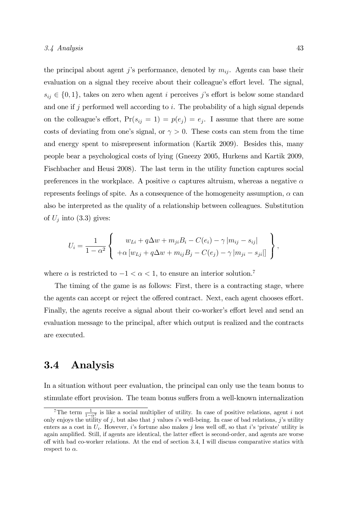the principal about agent j's performance, denoted by  $m_{ij}$ . Agents can base their evaluation on a signal they receive about their colleague's effort level. The signal,  $s_{ij} \in \{0, 1\}$ , takes on zero when agent i perceives j's effort is below some standard and one if  $j$  performed well according to  $i$ . The probability of a high signal depends on the colleague's effort,  $Pr(s_{ij} = 1) = p(e_j) = e_j$ . I assume that there are some costs of deviating from one's signal, or  $\gamma > 0$ . These costs can stem from the time and energy spent to misrepresent information (Kartik 2009). Besides this, many people bear a psychological costs of lying (Gneezy 2005, Hurkens and Kartik 2009, Fischbacher and Heusi 2008). The last term in the utility function captures social preferences in the workplace. A positive  $\alpha$  captures altruism, whereas a negative  $\alpha$ represents feelings of spite. As a consequence of the homogeneity assumption,  $\alpha$  can also be interpreted as the quality of a relationship between colleagues. Substitution of  $U_j$  into (3.3) gives:

$$
U_i = \frac{1}{1 - \alpha^2} \left\{ \begin{array}{c} w_{Li} + q\Delta w + m_{ji}B_i - C(e_i) - \gamma |m_{ij} - s_{ij}| \\ + \alpha [w_{Lj} + q\Delta w + m_{ij}B_j - C(e_j) - \gamma |m_{ji} - s_{ji}|] \end{array} \right\},
$$

where  $\alpha$  is restricted to  $-1 < \alpha < 1$ , to ensure an interior solution.<sup>7</sup>

The timing of the game is as follows: First, there is a contracting stage, where the agents can accept or reject the offered contract. Next, each agent chooses effort. Finally, the agents receive a signal about their co-worker's effort level and send an evaluation message to the principal, after which output is realized and the contracts are executed.

## 3.4 Analysis

In a situation without peer evaluation, the principal can only use the team bonus to stimulate effort provision. The team bonus suffers from a well-known internalization

<sup>&</sup>lt;sup>7</sup>The term  $\frac{1}{1-\alpha^2}$  is like a social multiplier of utility. In case of positive relations, agent *i* not only enjoys the utility of j, but also that j values is well-being. In case of bad relations, j's utility enters as a cost in  $U_i$ . However, i's fortune also makes j less well off, so that i's 'private' utility is again amplified. Still, if agents are identical, the latter effect is second-order, and agents are worse off with bad co-worker relations. At the end of section 3.4, I will discuss comparative statics with respect to  $\alpha$ .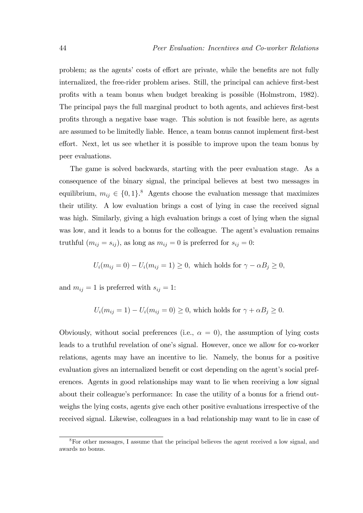problem; as the agents' costs of effort are private, while the benefits are not fully internalized, the free-rider problem arises. Still, the principal can achieve first-best profits with a team bonus when budget breaking is possible (Holmstrom, 1982). The principal pays the full marginal product to both agents, and achieves first-best proÖts through a negative base wage. This solution is not feasible here, as agents are assumed to be limitedly liable. Hence, a team bonus cannot implement Örst-best effort. Next, let us see whether it is possible to improve upon the team bonus by peer evaluations.

The game is solved backwards, starting with the peer evaluation stage. As a consequence of the binary signal, the principal believes at best two messages in equilibrium,  $m_{ij} \in \{0, 1\}$ .<sup>8</sup> Agents choose the evaluation message that maximizes their utility. A low evaluation brings a cost of lying in case the received signal was high. Similarly, giving a high evaluation brings a cost of lying when the signal was low, and it leads to a bonus for the colleague. The agent's evaluation remains truthful  $(m_{ij} = s_{ij})$ , as long as  $m_{ij} = 0$  is preferred for  $s_{ij} = 0$ :

$$
U_i(m_{ij} = 0) - U_i(m_{ij} = 1) \ge 0
$$
, which holds for  $\gamma - \alpha B_j \ge 0$ ,

and  $m_{ij} = 1$  is preferred with  $s_{ij} = 1$ :

$$
U_i(m_{ij} = 1) - U_i(m_{ij} = 0) \ge 0
$$
, which holds for  $\gamma + \alpha B_j \ge 0$ .

Obviously, without social preferences (i.e.,  $\alpha = 0$ ), the assumption of lying costs leads to a truthful revelation of one's signal. However, once we allow for co-worker relations, agents may have an incentive to lie. Namely, the bonus for a positive evaluation gives an internalized benefit or cost depending on the agent's social preferences. Agents in good relationships may want to lie when receiving a low signal about their colleague's performance: In case the utility of a bonus for a friend outweighs the lying costs, agents give each other positive evaluations irrespective of the received signal. Likewise, colleagues in a bad relationship may want to lie in case of

<sup>8</sup>For other messages, I assume that the principal believes the agent received a low signal, and awards no bonus.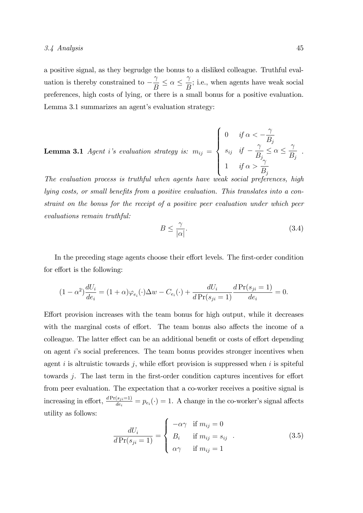a positive signal, as they begrudge the bonus to a disliked colleague. Truthful evaluation is thereby constrained to  $\gamma$  $\frac{1}{B} \leq \alpha \leq$  $\gamma$ B ; i.e., when agents have weak social preferences, high costs of lying, or there is a small bonus for a positive evaluation. Lemma 3.1 summarizes an agent's evaluation strategy:

**Lemma 3.1** Agent *i's evaluation strategy is:* 
$$
m_{ij} = \begin{cases} 0 & \text{if } \alpha < -\frac{\gamma}{B_j} \\ s_{ij} & \text{if } -\frac{\gamma}{B_j} \leq \alpha \leq \frac{\gamma}{B_j} \\ 1 & \text{if } \alpha > \frac{\gamma}{B_j} \end{cases}.
$$

The evaluation process is truthful when agents have weak social preferences, high  $lwing \; costs, \; or \; small \; benefits \; from \; a \; positive \; evaluation. \; This \; translates \; into \; a \; con$ straint on the bonus for the receipt of a positive peer evaluation under which peer evaluations remain truthful:

$$
B \le \frac{\gamma}{|\alpha|}.\tag{3.4}
$$

In the preceding stage agents choose their effort levels. The first-order condition for effort is the following:

$$
(1 - \alpha^2) \frac{dU_i}{de_i} = (1 + \alpha)\varphi_{e_i}(\cdot)\Delta w - C_{e_i}(\cdot) + \frac{dU_i}{d\Pr(s_{ji} = 1)} \frac{d\Pr(s_{ji} = 1)}{de_i} = 0.
$$

Effort provision increases with the team bonus for high output, while it decreases with the marginal costs of effort. The team bonus also affects the income of a colleague. The latter effect can be an additional benefit or costs of effort depending on agent iís social preferences. The team bonus provides stronger incentives when agent i is altruistic towards j, while effort provision is suppressed when i is spiteful towards  $j$ . The last term in the first-order condition captures incentives for effort from peer evaluation. The expectation that a co-worker receives a positive signal is increasing in effort,  $\frac{dPr(s_{ji}=1)}{de_i} = p_{e_i}(\cdot) = 1$ . A change in the co-worker's signal affects utility as follows:

$$
\frac{dU_i}{d\Pr(s_{ji}=1)} = \begin{cases}\n-\alpha\gamma & \text{if } m_{ij}=0\\ \nB_i & \text{if } m_{ij}=s_{ij}\\ \n\alpha\gamma & \text{if } m_{ij}=1\n\end{cases} \tag{3.5}
$$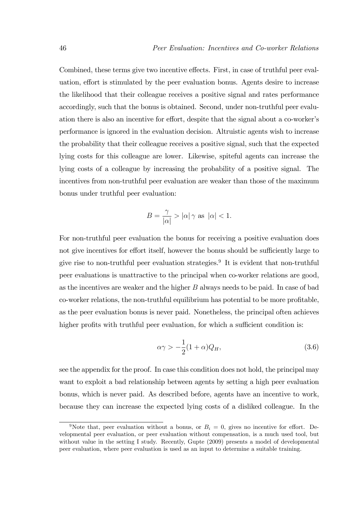Combined, these terms give two incentive effects. First, in case of truthful peer evaluation, effort is stimulated by the peer evaluation bonus. Agents desire to increase the likelihood that their colleague receives a positive signal and rates performance accordingly, such that the bonus is obtained. Second, under non-truthful peer evaluation there is also an incentive for effort, despite that the signal about a co-worker's performance is ignored in the evaluation decision. Altruistic agents wish to increase the probability that their colleague receives a positive signal, such that the expected lying costs for this colleague are lower. Likewise, spiteful agents can increase the lying costs of a colleague by increasing the probability of a positive signal. The incentives from non-truthful peer evaluation are weaker than those of the maximum bonus under truthful peer evaluation:

$$
B = \frac{\gamma}{|\alpha|} > |\alpha| \gamma \text{ as } |\alpha| < 1.
$$

For non-truthful peer evaluation the bonus for receiving a positive evaluation does not give incentives for effort itself, however the bonus should be sufficiently large to give rise to non-truthful peer evaluation strategies.<sup>9</sup> It is evident that non-truthful peer evaluations is unattractive to the principal when co-worker relations are good, as the incentives are weaker and the higher B always needs to be paid. In case of bad co-worker relations, the non-truthful equilibrium has potential to be more profitable, as the peer evaluation bonus is never paid. Nonetheless, the principal often achieves higher profits with truthful peer evaluation, for which a sufficient condition is:

$$
\alpha \gamma > -\frac{1}{2}(1+\alpha)Q_H, \tag{3.6}
$$

see the appendix for the proof. In case this condition does not hold, the principal may want to exploit a bad relationship between agents by setting a high peer evaluation bonus, which is never paid. As described before, agents have an incentive to work, because they can increase the expected lying costs of a disliked colleague. In the

<sup>&</sup>lt;sup>9</sup>Note that, peer evaluation without a bonus, or  $B_i = 0$ , gives no incentive for effort. Developmental peer evaluation, or peer evaluation without compensation, is a much used tool, but without value in the setting I study. Recently, Gupte (2009) presents a model of developmental peer evaluation, where peer evaluation is used as an input to determine a suitable training.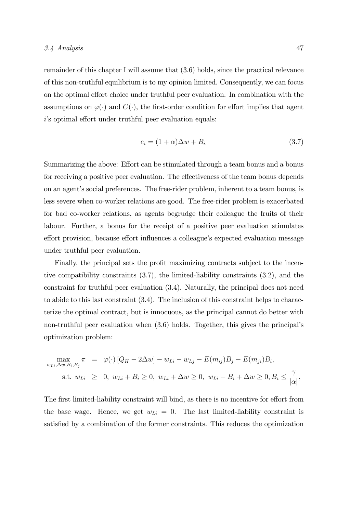remainder of this chapter I will assume that (3.6) holds, since the practical relevance of this non-truthful equilibrium is to my opinion limited. Consequently, we can focus on the optimal effort choice under truthful peer evaluation. In combination with the assumptions on  $\varphi(\cdot)$  and  $C(\cdot)$ , the first-order condition for effort implies that agent  $i$ 's optimal effort under truthful peer evaluation equals:

$$
e_i = (1 + \alpha)\Delta w + B_i. \tag{3.7}
$$

Summarizing the above: Effort can be stimulated through a team bonus and a bonus for receiving a positive peer evaluation. The effectiveness of the team bonus depends on an agent's social preferences. The free-rider problem, inherent to a team bonus, is less severe when co-worker relations are good. The free-rider problem is exacerbated for bad co-worker relations, as agents begrudge their colleague the fruits of their labour. Further, a bonus for the receipt of a positive peer evaluation stimulates effort provision, because effort influences a colleague's expected evaluation message under truthful peer evaluation.

Finally, the principal sets the profit maximizing contracts subject to the incentive compatibility constraints (3.7), the limited-liability constraints (3.2), and the constraint for truthful peer evaluation (3.4). Naturally, the principal does not need to abide to this last constraint (3.4). The inclusion of this constraint helps to characterize the optimal contract, but is innocuous, as the principal cannot do better with non-truthful peer evaluation when  $(3.6)$  holds. Together, this gives the principal's optimization problem:

$$
\max_{w_{Li}, \Delta w, B_i, B_j} \pi = \varphi(\cdot) [Q_H - 2\Delta w] - w_{Li} - w_{Lj} - E(m_{ij})B_j - E(m_{ji})B_i,
$$
  
s.t.  $w_{Li} \geq 0$ ,  $w_{Li} + B_i \geq 0$ ,  $w_{Li} + \Delta w \geq 0$ ,  $w_{Li} + B_i + \Delta w \geq 0$ ,  $B_i \leq \frac{\gamma}{|\alpha|}$ ,

The first limited-liability constraint will bind, as there is no incentive for effort from the base wage. Hence, we get  $w_{Li} = 0$ . The last limited-liability constraint is satisfied by a combination of the former constraints. This reduces the optimization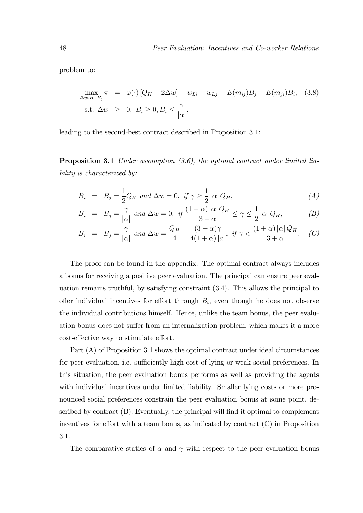problem to:

$$
\max_{\Delta w, B_i, B_j} \pi = \varphi(\cdot) [Q_H - 2\Delta w] - w_{Li} - w_{Lj} - E(m_{ij})B_j - E(m_{ji})B_i, \quad (3.8)
$$
  
s.t.  $\Delta w \ge 0, B_i \ge 0, B_i \le \frac{\gamma}{|\alpha|},$ 

leading to the second-best contract described in Proposition 3.1:

**Proposition 3.1** Under assumption  $(3.6)$ , the optimal contract under limited liability is characterized by:

$$
B_i = B_j = \frac{1}{2} Q_H \text{ and } \Delta w = 0, \text{ if } \gamma \ge \frac{1}{2} |\alpha| Q_H,
$$
\n
$$
(A)
$$

$$
B_i = B_j = \frac{\gamma}{|\alpha|} \text{ and } \Delta w = 0, \text{ if } \frac{(1+\alpha)|\alpha|Q_H}{3+\alpha} \le \gamma \le \frac{1}{2} |\alpha|Q_H, \tag{B}
$$

$$
B_i = B_j = \frac{\gamma}{|\alpha|} \text{ and } \Delta w = \frac{Q_H}{4} - \frac{(3+\alpha)\gamma}{4(1+\alpha)|a|}, \text{ if } \gamma < \frac{(1+\alpha)|\alpha|Q_H}{3+\alpha}. \quad (C)
$$

The proof can be found in the appendix. The optimal contract always includes a bonus for receiving a positive peer evaluation. The principal can ensure peer evaluation remains truthful, by satisfying constraint (3.4). This allows the principal to offer individual incentives for effort through  $B_i$ , even though he does not observe the individual contributions himself. Hence, unlike the team bonus, the peer evaluation bonus does not suffer from an internalization problem, which makes it a more cost-effective way to stimulate effort.

Part (A) of Proposition 3.1 shows the optimal contract under ideal circumstances for peer evaluation, i.e. sufficiently high cost of lying or weak social preferences. In this situation, the peer evaluation bonus performs as well as providing the agents with individual incentives under limited liability. Smaller lying costs or more pronounced social preferences constrain the peer evaluation bonus at some point, described by contract  $(B)$ . Eventually, the principal will find it optimal to complement incentives for effort with a team bonus, as indicated by contract  $(C)$  in Proposition 3.1.

The comparative statics of  $\alpha$  and  $\gamma$  with respect to the peer evaluation bonus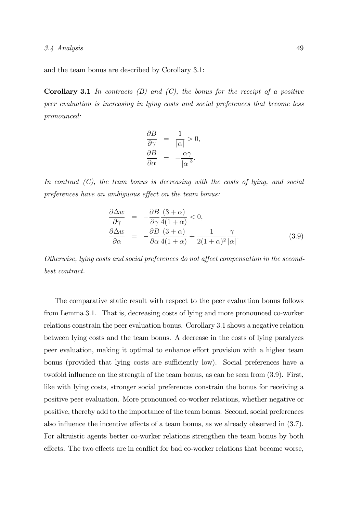and the team bonus are described by Corollary 3.1:

**Corollary 3.1** In contracts  $(B)$  and  $(C)$ , the bonus for the receipt of a positive peer evaluation is increasing in lying costs and social preferences that become less pronounced:

$$
\frac{\partial B}{\partial \gamma} = \frac{1}{|\alpha|} > 0,
$$
  

$$
\frac{\partial B}{\partial \alpha} = -\frac{\alpha \gamma}{|\alpha|^3}.
$$

In contract  $(C)$ , the team bonus is decreasing with the costs of lying, and social preferences have an ambiguous effect on the team bonus:

$$
\frac{\partial \Delta w}{\partial \gamma} = -\frac{\partial B}{\partial \gamma} \frac{(3+\alpha)}{4(1+\alpha)} < 0, \n\frac{\partial \Delta w}{\partial \alpha} = -\frac{\partial B}{\partial \alpha} \frac{(3+\alpha)}{4(1+\alpha)} + \frac{1}{2(1+\alpha)^2} \frac{\gamma}{|\alpha|}.
$$
\n(3.9)

Otherwise, lying costs and social preferences do not affect compensation in the secondbest contract.

The comparative static result with respect to the peer evaluation bonus follows from Lemma 3.1. That is, decreasing costs of lying and more pronounced co-worker relations constrain the peer evaluation bonus. Corollary 3.1 shows a negative relation between lying costs and the team bonus. A decrease in the costs of lying paralyzes peer evaluation, making it optimal to enhance effort provision with a higher team bonus (provided that lying costs are sufficiently low). Social preferences have a twofold influence on the strength of the team bonus, as can be seen from  $(3.9)$ . First, like with lying costs, stronger social preferences constrain the bonus for receiving a positive peer evaluation. More pronounced co-worker relations, whether negative or positive, thereby add to the importance of the team bonus. Second, social preferences also influence the incentive effects of a team bonus, as we already observed in  $(3.7)$ . For altruistic agents better co-worker relations strengthen the team bonus by both effects. The two effects are in conflict for bad co-worker relations that become worse,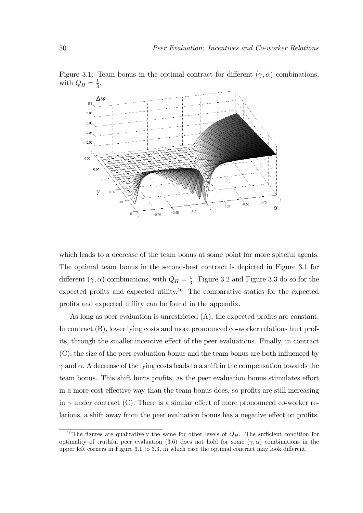

Figure 3.1: Team bonus in the optimal contract for different  $(\gamma, \alpha)$  combinations, with  $Q_H = \frac{1}{3}$  $\frac{1}{3}$ .

which leads to a decrease of the team bonus at some point for more spiteful agents. The optimal team bonus in the second-best contract is depicted in Figure 3.1 for different  $(\gamma, \alpha)$  combinations, with  $Q_H = \frac{1}{3}$  $\frac{1}{3}$ . Figure 3.2 and Figure 3.3 do so for the expected profits and expected utility.<sup>10</sup> The comparative statics for the expected profits and expected utility can be found in the appendix.

As long as peer evaluation is unrestricted  $(A)$ , the expected profits are constant. In contract (B), lower lying costs and more pronounced co-worker relations hurt profits, through the smaller incentive effect of the peer evaluations. Finally, in contract  $(C)$ , the size of the peer evaluation bonus and the team bonus are both influenced by  $\gamma$  and  $\alpha$ . A decrease of the lying costs leads to a shift in the compensation towards the team bonus. This shift hurts profits, as the peer evaluation bonus stimulates effort in a more cost-effective way than the team bonus does, so profits are still increasing in  $\gamma$  under contract (C). There is a similar effect of more pronounced co-worker relations, a shift away from the peer evaluation bonus has a negative effect on profits.

<sup>&</sup>lt;sup>10</sup>The figures are qualitatively the same for other levels of  $Q_H$ . The sufficient condition for optimality of truthful peer evaluation (3.6) does not hold for some  $(\gamma, \alpha)$  combinations in the upper left corners in Figure  $3.1$  to  $3.3$ , in which case the optimal contract may look different.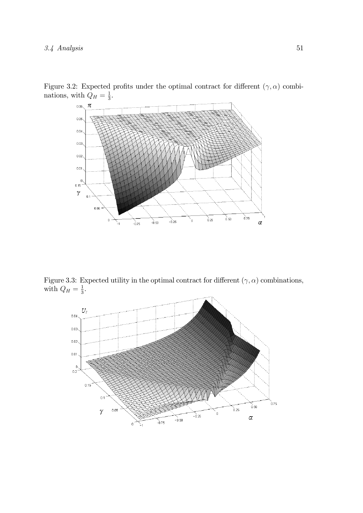

Figure 3.2: Expected profits under the optimal contract for different  $(\gamma, \alpha)$  combinations, with  $Q_H = \frac{1}{3}$  $\frac{1}{3}$ .

Figure 3.3: Expected utility in the optimal contract for different  $(\gamma, \alpha)$  combinations, with  $Q_H = \frac{1}{3}$  $\frac{1}{3}$ .

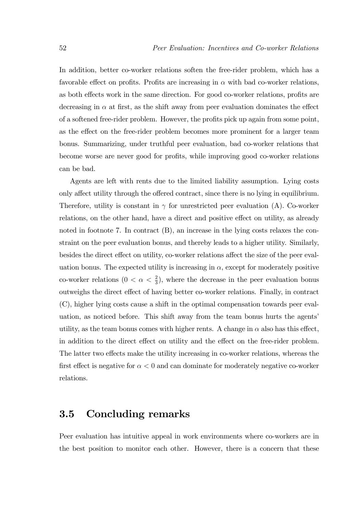In addition, better co-worker relations soften the free-rider problem, which has a favorable effect on profits. Profits are increasing in  $\alpha$  with bad co-worker relations, as both effects work in the same direction. For good co-worker relations, profits are decreasing in  $\alpha$  at first, as the shift away from peer evaluation dominates the effect of a softened free-rider problem. However, the profits pick up again from some point, as the effect on the free-rider problem becomes more prominent for a larger team bonus. Summarizing, under truthful peer evaluation, bad co-worker relations that become worse are never good for profits, while improving good co-worker relations can be bad.

Agents are left with rents due to the limited liability assumption. Lying costs only affect utility through the offered contract, since there is no lying in equilibrium. Therefore, utility is constant in  $\gamma$  for unrestricted peer evaluation (A). Co-worker relations, on the other hand, have a direct and positive effect on utility, as already noted in footnote 7. In contract (B), an increase in the lying costs relaxes the constraint on the peer evaluation bonus, and thereby leads to a higher utility. Similarly, besides the direct effect on utility, co-worker relations affect the size of the peer evaluation bonus. The expected utility is increasing in  $\alpha$ , except for moderately positive co-worker relations  $(0 < \alpha < \frac{2}{3})$ , where the decrease in the peer evaluation bonus outweighs the direct effect of having better co-worker relations. Finally, in contract (C), higher lying costs cause a shift in the optimal compensation towards peer evaluation, as noticed before. This shift away from the team bonus hurts the agents' utility, as the team bonus comes with higher rents. A change in  $\alpha$  also has this effect, in addition to the direct effect on utility and the effect on the free-rider problem. The latter two effects make the utility increasing in co-worker relations, whereas the first effect is negative for  $\alpha < 0$  and can dominate for moderately negative co-worker relations.

### 3.5 Concluding remarks

Peer evaluation has intuitive appeal in work environments where co-workers are in the best position to monitor each other. However, there is a concern that these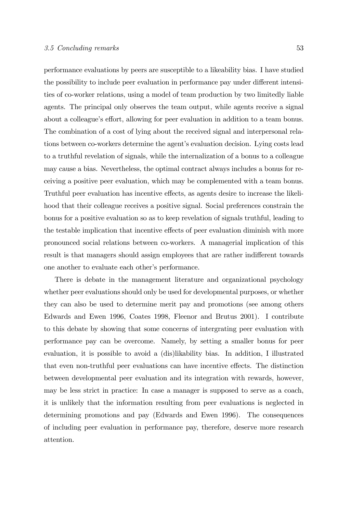performance evaluations by peers are susceptible to a likeability bias. I have studied the possibility to include peer evaluation in performance pay under different intensities of co-worker relations, using a model of team production by two limitedly liable agents. The principal only observes the team output, while agents receive a signal about a colleague's effort, allowing for peer evaluation in addition to a team bonus. The combination of a cost of lying about the received signal and interpersonal relations between co-workers determine the agent's evaluation decision. Lying costs lead to a truthful revelation of signals, while the internalization of a bonus to a colleague may cause a bias. Nevertheless, the optimal contract always includes a bonus for receiving a positive peer evaluation, which may be complemented with a team bonus. Truthful peer evaluation has incentive effects, as agents desire to increase the likelihood that their colleague receives a positive signal. Social preferences constrain the bonus for a positive evaluation so as to keep revelation of signals truthful, leading to the testable implication that incentive effects of peer evaluation diminish with more pronounced social relations between co-workers. A managerial implication of this result is that managers should assign employees that are rather indifferent towards one another to evaluate each other's performance.

There is debate in the management literature and organizational psychology whether peer evaluations should only be used for developmental purposes, or whether they can also be used to determine merit pay and promotions (see among others Edwards and Ewen 1996, Coates 1998, Fleenor and Brutus 2001). I contribute to this debate by showing that some concerns of intergrating peer evaluation with performance pay can be overcome. Namely, by setting a smaller bonus for peer evaluation, it is possible to avoid a (dis)likability bias. In addition, I illustrated that even non-truthful peer evaluations can have incentive effects. The distinction between developmental peer evaluation and its integration with rewards, however, may be less strict in practice: In case a manager is supposed to serve as a coach, it is unlikely that the information resulting from peer evaluations is neglected in determining promotions and pay (Edwards and Ewen 1996). The consequences of including peer evaluation in performance pay, therefore, deserve more research attention.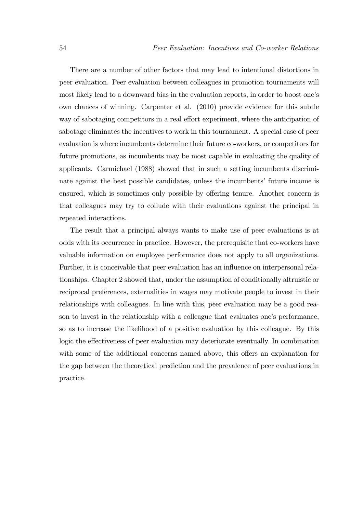There are a number of other factors that may lead to intentional distortions in peer evaluation. Peer evaluation between colleagues in promotion tournaments will most likely lead to a downward bias in the evaluation reports, in order to boost one's own chances of winning. Carpenter et al. (2010) provide evidence for this subtle way of sabotaging competitors in a real effort experiment, where the anticipation of sabotage eliminates the incentives to work in this tournament. A special case of peer evaluation is where incumbents determine their future co-workers, or competitors for future promotions, as incumbents may be most capable in evaluating the quality of applicants. Carmichael (1988) showed that in such a setting incumbents discriminate against the best possible candidates, unless the incumbents' future income is ensured, which is sometimes only possible by offering tenure. Another concern is that colleagues may try to collude with their evaluations against the principal in repeated interactions.

The result that a principal always wants to make use of peer evaluations is at odds with its occurrence in practice. However, the prerequisite that co-workers have valuable information on employee performance does not apply to all organizations. Further, it is conceivable that peer evaluation has an influence on interpersonal relationships. Chapter 2 showed that, under the assumption of conditionally altruistic or reciprocal preferences, externalities in wages may motivate people to invest in their relationships with colleagues. In line with this, peer evaluation may be a good reason to invest in the relationship with a colleague that evaluates one's performance, so as to increase the likelihood of a positive evaluation by this colleague. By this logic the effectiveness of peer evaluation may deteriorate eventually. In combination with some of the additional concerns named above, this offers an explanation for the gap between the theoretical prediction and the prevalence of peer evaluations in practice.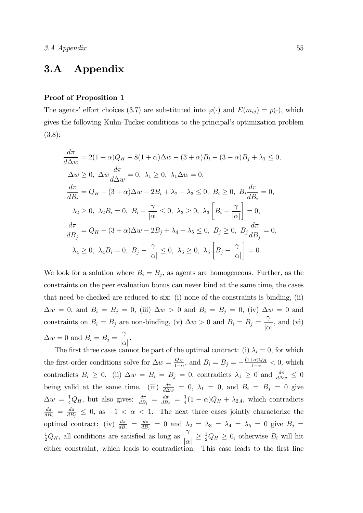# 3.A Appendix

#### Proof of Proposition 1

The agents' effort choices (3.7) are substituted into  $\varphi(\cdot)$  and  $E(m_{ij}) = p(\cdot)$ , which gives the following Kuhn-Tucker conditions to the principalís optimization problem (3.8):

$$
\frac{d\pi}{d\Delta w} = 2(1+\alpha)Q_H - 8(1+\alpha)\Delta w - (3+\alpha)B_i - (3+\alpha)B_j + \lambda_1 \le 0,
$$
  
\n
$$
\Delta w \ge 0, \ \Delta w \frac{d\pi}{d\Delta w} = 0, \ \lambda_1 \ge 0, \ \lambda_1 \Delta w = 0,
$$
  
\n
$$
\frac{d\pi}{dB_i} = Q_H - (3+\alpha)\Delta w - 2B_i + \lambda_2 - \lambda_3 \le 0, \ B_i \ge 0, \ B_i \frac{d\pi}{dB_i} = 0,
$$
  
\n
$$
\lambda_2 \ge 0, \ \lambda_2 B_i = 0, \ B_i - \frac{\gamma}{|\alpha|} \le 0, \ \lambda_3 \ge 0, \ \lambda_3 \left[B_i - \frac{\gamma}{|\alpha|}\right] = 0,
$$
  
\n
$$
\frac{d\pi}{dB_j} = Q_H - (3+\alpha)\Delta w - 2B_j + \lambda_4 - \lambda_5 \le 0, \ B_j \ge 0, \ B_j \frac{d\pi}{dB_j} = 0,
$$
  
\n
$$
\lambda_4 \ge 0, \ \lambda_4 B_i = 0, \ B_j - \frac{\gamma}{|\alpha|} \le 0, \ \lambda_5 \ge 0, \ \lambda_5 \left[B_j - \frac{\gamma}{|\alpha|}\right] = 0.
$$

We look for a solution where  $B_i = B_j$ , as agents are homogeneous. Further, as the constraints on the peer evaluation bonus can never bind at the same time, the cases that need be checked are reduced to six: (i) none of the constraints is binding, (ii)  $\Delta w = 0$ , and  $B_i = B_j = 0$ , (iii)  $\Delta w > 0$  and  $B_i = B_j = 0$ , (iv)  $\Delta w = 0$  and constraints on  $B_i = B_j$  are non-binding, (v)  $\Delta w > 0$  and  $B_i = B_j =$  $\gamma$  $|\alpha|$ , and (vi)  $\Delta w = 0$  and  $B_i = B_j =$  $\gamma$  $|\alpha|$ .

The first three cases cannot be part of the optimal contract: (i)  $\lambda_i = 0$ , for which the first-order conditions solve for  $\Delta w = \frac{Q_H}{1-\epsilon}$  $\frac{Q_H}{1-\alpha}$ , and  $B_i = B_j = -\frac{(1+\alpha)Q_H}{1-\alpha} < 0$ , which contradicts  $B_i \geq 0$ . (ii)  $\Delta w = B_i = B_j = 0$ , contradicts  $\lambda_1 \geq 0$  and  $\frac{d\pi}{d\Delta w} \leq 0$ being valid at the same time. (iii)  $\frac{d\pi}{d\Delta w} = 0$ ,  $\lambda_1 = 0$ , and  $B_i = B_j = 0$  give  $\Delta w = \frac{1}{4} Q_H$ , but also gives:  $\frac{d\pi}{dB_i} = \frac{d\pi}{dB}$  $\frac{d\pi}{dB_j} = \frac{1}{4}$  $\frac{1}{4}(1-\alpha)Q_H + \lambda_{2,4}$ , which contradicts  $d\pi$  $\frac{d\pi}{dB_i} = \frac{d\pi}{dB_i}$  $\frac{d\pi}{dB_j} \leq 0$ , as  $-1 < \alpha < 1$ . The next three cases jointly characterize the optimal contract: (iv)  $\frac{d\pi}{dB_i} = \frac{d\pi}{dB}$  $\frac{d\pi}{dB_j} = 0$  and  $\lambda_2 = \lambda_3 = \lambda_4 = \lambda_5 = 0$  give  $B_j =$  $\frac{1}{2}Q_H$ , all conditions are satisfied as long as  $\frac{\gamma}{\sqrt{2}}$  $\frac{1}{|\alpha|} \geq \frac{1}{2}Q_H \geq 0$ , otherwise  $B_i$  will hit either constraint, which leads to contradiction. This case leads to the first line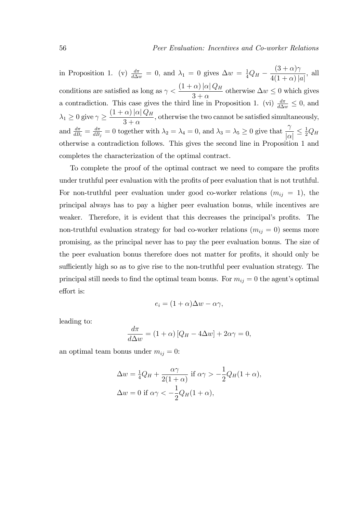in Proposition 1. (v)  $\frac{d\pi}{d\Delta w} = 0$ , and  $\lambda_1 = 0$  gives  $\Delta w = \frac{1}{4}Q_H$  –  $(3 + \alpha)\gamma$  $4(1+\alpha)|a|$ , all conditions are satisfied as long as  $\gamma < \frac{(1 + \alpha) |\alpha| Q_H}{2}$  $\frac{\alpha}{3 + \alpha}$  otherwise  $\Delta w \leq 0$  which gives a contradiction. This case gives the third line in Proposition 1. (vi)  $\frac{d\pi}{d\Delta w} \leq 0$ , and  $\lambda_1 \geq 0$  give  $\gamma \geq$  $\frac{(1 + \alpha) |\alpha| Q_H}{\alpha}$  $3 + \alpha$ , otherwise the two cannot be satisfied simultaneously, and  $\frac{d\pi}{dB_i} = \frac{d\pi}{dB_i}$  $\frac{d\pi}{d\beta_j} = 0$  together with  $\lambda_2 = \lambda_4 = 0$ , and  $\lambda_3 = \lambda_5 \geq 0$  give that  $\frac{\gamma}{\log n}$  $\frac{1}{|\alpha|} \leq \frac{1}{2}Q_H$ otherwise a contradiction follows. This gives the second line in Proposition 1 and completes the characterization of the optimal contract.

To complete the proof of the optimal contract we need to compare the profits under truthful peer evaluation with the profits of peer evaluation that is not truthful. For non-truthful peer evaluation under good co-worker relations  $(m_{ij} = 1)$ , the principal always has to pay a higher peer evaluation bonus, while incentives are weaker. Therefore, it is evident that this decreases the principal's profits. The non-truthful evaluation strategy for bad co-worker relations  $(m_{ij} = 0)$  seems more promising, as the principal never has to pay the peer evaluation bonus. The size of the peer evaluation bonus therefore does not matter for profits, it should only be sufficiently high so as to give rise to the non-truthful peer evaluation strategy. The principal still needs to find the optimal team bonus. For  $m_{ij} = 0$  the agent's optimal effort is:

$$
e_i = (1 + \alpha)\Delta w - \alpha \gamma,
$$

leading to:

$$
\frac{d\pi}{d\Delta w} = (1 + \alpha) [Q_H - 4\Delta w] + 2\alpha\gamma = 0,
$$

an optimal team bonus under  $m_{ij} = 0$ :

$$
\Delta w = \frac{1}{4}Q_H + \frac{\alpha \gamma}{2(1+\alpha)} \text{ if } \alpha \gamma > -\frac{1}{2}Q_H(1+\alpha),
$$
  

$$
\Delta w = 0 \text{ if } \alpha \gamma < -\frac{1}{2}Q_H(1+\alpha),
$$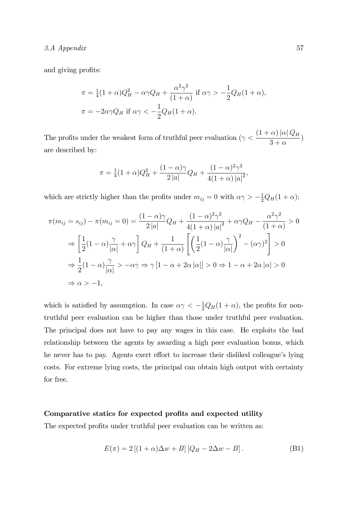3.A Appendix 57

and giving profits:

$$
\pi = \frac{1}{4}(1+\alpha)Q_H^2 - \alpha\gamma Q_H + \frac{\alpha^2\gamma^2}{(1+\alpha)}
$$
 if  $\alpha\gamma > -\frac{1}{2}Q_H(1+\alpha)$ ,  

$$
\pi = -2\alpha\gamma Q_H
$$
 if  $\alpha\gamma < -\frac{1}{2}Q_H(1+\alpha)$ .

The profits under the weakest form of truthful peer evaluation  $(\gamma < \frac{(1+\alpha)|\alpha|Q_H}{2})$  $3 + \alpha$ ) are described by:

$$
\pi = \frac{1}{4}(1+\alpha)Q_H^2 + \frac{(1-\alpha)\gamma}{2|a|}Q_H + \frac{(1-\alpha)^2\gamma^2}{4(1+\alpha)|a|^2},
$$

which are strictly higher than the profits under  $m_{ij} = 0$  with  $\alpha \gamma > -\frac{1}{2}Q_H(1 + \alpha)$ :

$$
\pi(m_{ij} = s_{ij}) - \pi(m_{ij} = 0) = \frac{(1 - \alpha)\gamma}{2|a|}Q_H + \frac{(1 - \alpha)^2\gamma^2}{4(1 + \alpha)|a|^2} + \alpha\gamma Q_H - \frac{\alpha^2\gamma^2}{(1 + \alpha)} > 0
$$
  
\n
$$
\Rightarrow \left[\frac{1}{2}(1 - \alpha)\frac{\gamma}{|\alpha|} + \alpha\gamma\right]Q_H + \frac{1}{(1 + \alpha)}\left[\left(\frac{1}{2}(1 - \alpha)\frac{\gamma}{|\alpha|}\right)^2 - (\alpha\gamma)^2\right] > 0
$$
  
\n
$$
\Rightarrow \frac{1}{2}(1 - \alpha)\frac{\gamma}{|\alpha|} > -\alpha\gamma \Rightarrow \gamma[1 - \alpha + 2\alpha|\alpha|] > 0 \Rightarrow 1 - \alpha + 2\alpha|\alpha| > 0
$$
  
\n
$$
\Rightarrow \alpha > -1,
$$

which is satisfied by assumption. In case  $\alpha \gamma < -\frac{1}{2}Q_H(1+\alpha)$ , the profits for nontruthful peer evaluation can be higher than those under truthful peer evaluation. The principal does not have to pay any wages in this case. He exploits the bad relationship between the agents by awarding a high peer evaluation bonus, which he never has to pay. Agents exert effort to increase their disliked colleague's lying costs. For extreme lying costs, the principal can obtain high output with certainty for free.

#### Comparative statics for expected profits and expected utility

The expected profits under truthful peer evaluation can be written as:

$$
E(\pi) = 2\left[ (1+\alpha)\Delta w + B \right] \left[ Q_H - 2\Delta w - B \right]. \tag{B1}
$$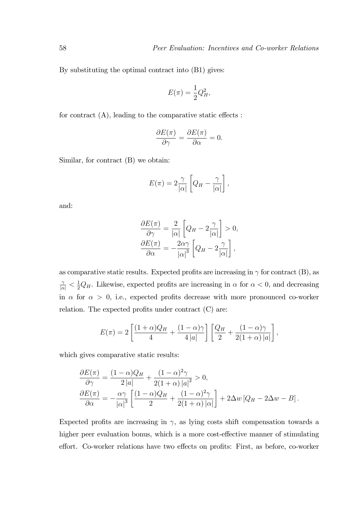By substituting the optimal contract into (B1) gives:

$$
E(\pi) = \frac{1}{2}Q_H^2,
$$

for contract  $(A)$ , leading to the comparative static effects :

$$
\frac{\partial E(\pi)}{\partial \gamma} = \frac{\partial E(\pi)}{\partial \alpha} = 0.
$$

Similar, for contract (B) we obtain:

$$
E(\pi) = 2\frac{\gamma}{|\alpha|} \left[ Q_H - \frac{\gamma}{|\alpha|} \right],
$$

and:

$$
\frac{\partial E(\pi)}{\partial \gamma} = \frac{2}{|\alpha|} \left[ Q_H - 2 \frac{\gamma}{|\alpha|} \right] > 0,
$$
  

$$
\frac{\partial E(\pi)}{\partial \alpha} = -\frac{2\alpha\gamma}{|\alpha|^3} \left[ Q_H - 2 \frac{\gamma}{|\alpha|} \right],
$$

as comparative static results. Expected profits are increasing in  $\gamma$  for contract (B), as  $\frac{\gamma}{|\alpha|} < \frac{1}{2}Q_H$ . Likewise, expected profits are increasing in  $\alpha$  for  $\alpha < 0$ , and decreasing in  $\alpha$  for  $\alpha > 0$ , i.e., expected profits decrease with more pronounced co-worker relation. The expected profits under contract  $(C)$  are:

$$
E(\pi) = 2\left[\frac{(1+\alpha)Q_H}{4} + \frac{(1-\alpha)\gamma}{4|a|}\right] \left[\frac{Q_H}{2} + \frac{(1-\alpha)\gamma}{2(1+\alpha)|a|}\right],
$$

which gives comparative static results:

$$
\frac{\partial E(\pi)}{\partial \gamma} = \frac{(1-\alpha)Q_H}{2|a|} + \frac{(1-\alpha)^2 \gamma}{2(1+\alpha)|a|^2} > 0,
$$
  

$$
\frac{\partial E(\pi)}{\partial \alpha} = -\frac{\alpha \gamma}{|\alpha|^3} \left[ \frac{(1-\alpha)Q_H}{2} + \frac{(1-\alpha)^2 \gamma}{2(1+\alpha)|\alpha|} \right] + 2\Delta w [Q_H - 2\Delta w - B].
$$

Expected profits are increasing in  $\gamma$ , as lying costs shift compensation towards a higher peer evaluation bonus, which is a more cost-effective manner of stimulating effort. Co-worker relations have two effects on profits: First, as before, co-worker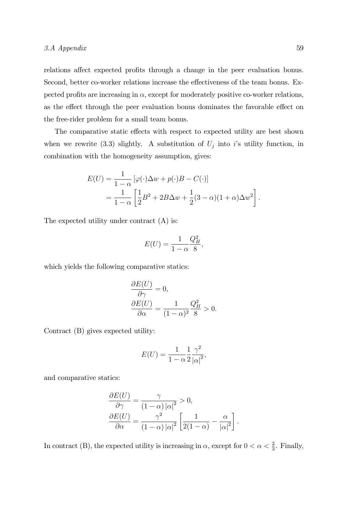relations affect expected profits through a change in the peer evaluation bonus. Second, better co-worker relations increase the effectiveness of the team bonus. Expected profits are increasing in  $\alpha$ , except for moderately positive co-worker relations, as the effect through the peer evaluation bonus dominates the favorable effect on the free-rider problem for a small team bonus.

The comparative static effects with respect to expected utility are best shown when we rewrite (3.3) slightly. A substitution of  $U_j$  into i's utility function, in combination with the homogeneity assumption, gives:

$$
E(U) = \frac{1}{1-\alpha} \left[ \varphi(\cdot)\Delta w + p(\cdot)B - C(\cdot) \right]
$$
  
= 
$$
\frac{1}{1-\alpha} \left[ \frac{1}{2}B^2 + 2B\Delta w + \frac{1}{2}(3-\alpha)(1+\alpha)\Delta w^2 \right].
$$

The expected utility under contract (A) is:

$$
E(U) = \frac{1}{1 - \alpha} \frac{Q_H^2}{8},
$$

which yields the following comparative statics:

$$
\frac{\partial E(U)}{\partial \gamma} = 0,
$$
  

$$
\frac{\partial E(U)}{\partial \alpha} = \frac{1}{(1 - \alpha)^2} \frac{Q_H^2}{8} > 0.
$$

Contract (B) gives expected utility:

$$
E(U) = \frac{1}{1 - \alpha} \frac{1}{2} \frac{\gamma^2}{|\alpha|^2},
$$

and comparative statics:

$$
\frac{\partial E(U)}{\partial \gamma} = \frac{\gamma}{(1-\alpha) |\alpha|^2} > 0,
$$

$$
\frac{\partial E(U)}{\partial \alpha} = \frac{\gamma^2}{(1-\alpha) |\alpha|^2} \left[ \frac{1}{2(1-\alpha)} - \frac{\alpha}{|\alpha|^2} \right].
$$

In contract (B), the expected utility is increasing in  $\alpha$ , except for  $0 < \alpha < \frac{2}{3}$ . Finally,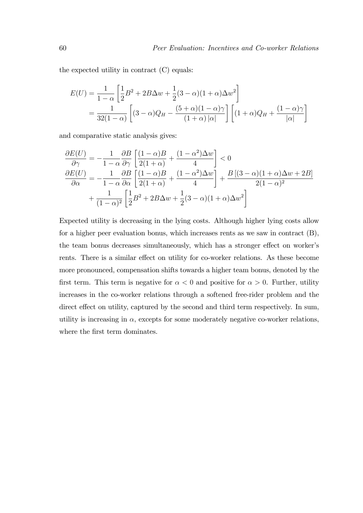the expected utility in contract (C) equals:

$$
E(U) = \frac{1}{1-\alpha} \left[ \frac{1}{2} B^2 + 2B\Delta w + \frac{1}{2} (3-\alpha)(1+\alpha)\Delta w^2 \right]
$$
  
= 
$$
\frac{1}{32(1-\alpha)} \left[ (3-\alpha)Q_H - \frac{(5+\alpha)(1-\alpha)\gamma}{(1+\alpha)|\alpha|} \right] \left[ (1+\alpha)Q_H + \frac{(1-\alpha)\gamma}{|\alpha|} \right]
$$

and comparative static analysis gives:

$$
\frac{\partial E(U)}{\partial \gamma} = -\frac{1}{1-\alpha} \frac{\partial B}{\partial \gamma} \left[ \frac{(1-\alpha)B}{2(1+\alpha)} + \frac{(1-\alpha^2)\Delta w}{4} \right] < 0
$$
  

$$
\frac{\partial E(U)}{\partial \alpha} = -\frac{1}{1-\alpha} \frac{\partial B}{\partial \alpha} \left[ \frac{(1-\alpha)B}{2(1+\alpha)} + \frac{(1-\alpha^2)\Delta w}{4} \right] + \frac{B[(3-\alpha)(1+\alpha)\Delta w + 2B]}{2(1-\alpha)^2}
$$
  

$$
+ \frac{1}{(1-\alpha)^2} \left[ \frac{1}{2}B^2 + 2B\Delta w + \frac{1}{2}(3-\alpha)(1+\alpha)\Delta w^2 \right]
$$

Expected utility is decreasing in the lying costs. Although higher lying costs allow for a higher peer evaluation bonus, which increases rents as we saw in contract (B), the team bonus decreases simultaneously, which has a stronger effect on worker's rents. There is a similar effect on utility for co-worker relations. As these become more pronounced, compensation shifts towards a higher team bonus, denoted by the first term. This term is negative for  $\alpha < 0$  and positive for  $\alpha > 0$ . Further, utility increases in the co-worker relations through a softened free-rider problem and the direct effect on utility, captured by the second and third term respectively. In sum, utility is increasing in  $\alpha$ , excepts for some moderately negative co-worker relations, where the first term dominates.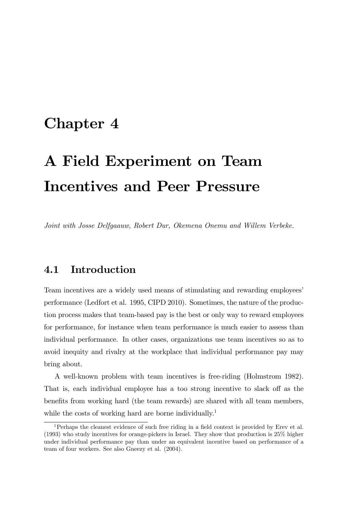# Chapter 4

# A Field Experiment on Team Incentives and Peer Pressure

Joint with Josse Delfgaauw, Robert Dur, Okemena Onemu and Willem Verbeke.

## 4.1 Introduction

Team incentives are a widely used means of stimulating and rewarding employees performance (Ledfort et al. 1995, CIPD 2010). Sometimes, the nature of the production process makes that team-based pay is the best or only way to reward employees for performance, for instance when team performance is much easier to assess than individual performance. In other cases, organizations use team incentives so as to avoid inequity and rivalry at the workplace that individual performance pay may bring about.

A well-known problem with team incentives is free-riding (Holmstrom 1982). That is, each individual employee has a too strong incentive to slack off as the benefits from working hard (the team rewards) are shared with all team members, while the costs of working hard are borne individually.<sup>1</sup>

<sup>&</sup>lt;sup>1</sup>Perhaps the cleanest evidence of such free riding in a field context is provided by Erev et al. (1993) who study incentives for orange-pickers in Israel. They show that production is 25% higher under individual performance pay than under an equivalent incentive based on performance of a team of four workers. See also Gneezy et al. (2004).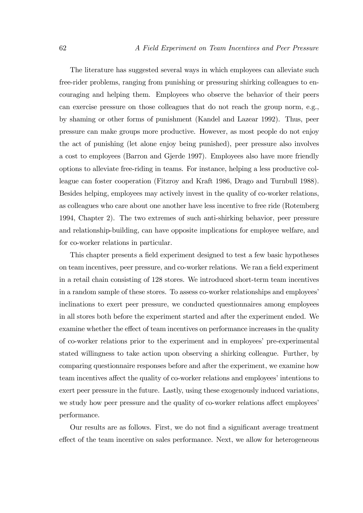The literature has suggested several ways in which employees can alleviate such free-rider problems, ranging from punishing or pressuring shirking colleagues to encouraging and helping them. Employees who observe the behavior of their peers can exercise pressure on those colleagues that do not reach the group norm, e.g., by shaming or other forms of punishment (Kandel and Lazear 1992). Thus, peer pressure can make groups more productive. However, as most people do not enjoy the act of punishing (let alone enjoy being punished), peer pressure also involves a cost to employees (Barron and Gjerde 1997). Employees also have more friendly options to alleviate free-riding in teams. For instance, helping a less productive colleague can foster cooperation (Fitzroy and Kraft 1986, Drago and Turnbull 1988). Besides helping, employees may actively invest in the quality of co-worker relations, as colleagues who care about one another have less incentive to free ride (Rotemberg 1994, Chapter 2). The two extremes of such anti-shirking behavior, peer pressure and relationship-building, can have opposite implications for employee welfare, and for co-worker relations in particular.

This chapter presents a field experiment designed to test a few basic hypotheses on team incentives, peer pressure, and co-worker relations. We ran a field experiment in a retail chain consisting of 128 stores. We introduced short-term team incentives in a random sample of these stores. To assess co-worker relationships and employees' inclinations to exert peer pressure, we conducted questionnaires among employees in all stores both before the experiment started and after the experiment ended. We examine whether the effect of team incentives on performance increases in the quality of co-worker relations prior to the experiment and in employees' pre-experimental stated willingness to take action upon observing a shirking colleague. Further, by comparing questionnaire responses before and after the experiment, we examine how team incentives affect the quality of co-worker relations and employees' intentions to exert peer pressure in the future. Lastly, using these exogenously induced variations, we study how peer pressure and the quality of co-worker relations affect employees' performance.

Our results are as follows. First, we do not find a significant average treatment effect of the team incentive on sales performance. Next, we allow for heterogeneous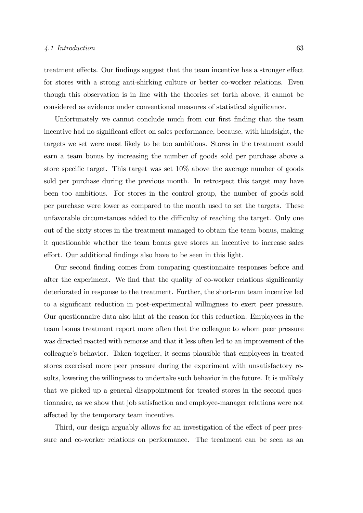treatment effects. Our findings suggest that the team incentive has a stronger effect for stores with a strong anti-shirking culture or better co-worker relations. Even though this observation is in line with the theories set forth above, it cannot be considered as evidence under conventional measures of statistical significance.

Unfortunately we cannot conclude much from our first finding that the team incentive had no significant effect on sales performance, because, with hindsight, the targets we set were most likely to be too ambitious. Stores in the treatment could earn a team bonus by increasing the number of goods sold per purchase above a store specific target. This target was set  $10\%$  above the average number of goods sold per purchase during the previous month. In retrospect this target may have been too ambitious. For stores in the control group, the number of goods sold per purchase were lower as compared to the month used to set the targets. These unfavorable circumstances added to the difficulty of reaching the target. Only one out of the sixty stores in the treatment managed to obtain the team bonus, making it questionable whether the team bonus gave stores an incentive to increase sales effort. Our additional findings also have to be seen in this light.

Our second Önding comes from comparing questionnaire responses before and after the experiment. We find that the quality of co-worker relations significantly deteriorated in response to the treatment. Further, the short-run team incentive led to a significant reduction in post-experimental willingness to exert peer pressure. Our questionnaire data also hint at the reason for this reduction. Employees in the team bonus treatment report more often that the colleague to whom peer pressure was directed reacted with remorse and that it less often led to an improvement of the colleagueís behavior. Taken together, it seems plausible that employees in treated stores exercised more peer pressure during the experiment with unsatisfactory results, lowering the willingness to undertake such behavior in the future. It is unlikely that we picked up a general disappointment for treated stores in the second questionnaire, as we show that job satisfaction and employee-manager relations were not a§ected by the temporary team incentive.

Third, our design arguably allows for an investigation of the effect of peer pressure and co-worker relations on performance. The treatment can be seen as an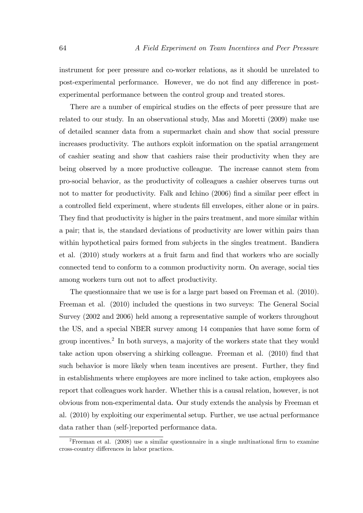instrument for peer pressure and co-worker relations, as it should be unrelated to post-experimental performance. However, we do not find any difference in postexperimental performance between the control group and treated stores.

There are a number of empirical studies on the effects of peer pressure that are related to our study. In an observational study, Mas and Moretti (2009) make use of detailed scanner data from a supermarket chain and show that social pressure increases productivity. The authors exploit information on the spatial arrangement of cashier seating and show that cashiers raise their productivity when they are being observed by a more productive colleague. The increase cannot stem from pro-social behavior, as the productivity of colleagues a cashier observes turns out not to matter for productivity. Falk and Ichino (2006) find a similar peer effect in a controlled Öeld experiment, where students Öll envelopes, either alone or in pairs. They find that productivity is higher in the pairs treatment, and more similar within a pair; that is, the standard deviations of productivity are lower within pairs than within hypothetical pairs formed from subjects in the singles treatment. Bandiera et al. (2010) study workers at a fruit farm and find that workers who are socially connected tend to conform to a common productivity norm. On average, social ties among workers turn out not to affect productivity.

The questionnaire that we use is for a large part based on Freeman et al. (2010). Freeman et al. (2010) included the questions in two surveys: The General Social Survey (2002 and 2006) held among a representative sample of workers throughout the US, and a special NBER survey among 14 companies that have some form of group incentives.<sup>2</sup> In both surveys, a majority of the workers state that they would take action upon observing a shirking colleague. Freeman et al.  $(2010)$  find that such behavior is more likely when team incentives are present. Further, they find in establishments where employees are more inclined to take action, employees also report that colleagues work harder. Whether this is a causal relation, however, is not obvious from non-experimental data. Our study extends the analysis by Freeman et al. (2010) by exploiting our experimental setup. Further, we use actual performance data rather than (self-)reported performance data.

<sup>&</sup>lt;sup>2</sup>Freeman et al.  $(2008)$  use a similar questionnaire in a single multinational firm to examine cross-country differences in labor practices.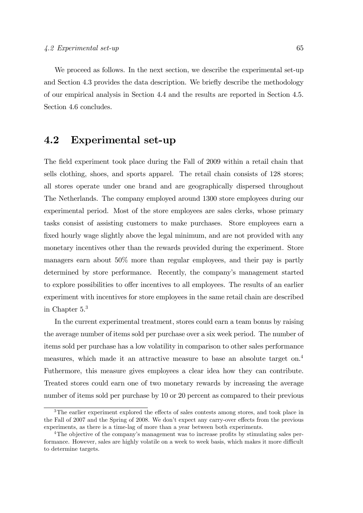We proceed as follows. In the next section, we describe the experimental set-up and Section 4.3 provides the data description. We briefly describe the methodology of our empirical analysis in Section 4.4 and the results are reported in Section 4.5. Section 4.6 concludes.

#### 4.2 Experimental set-up

The field experiment took place during the Fall of 2009 within a retail chain that sells clothing, shoes, and sports apparel. The retail chain consists of 128 stores; all stores operate under one brand and are geographically dispersed throughout The Netherlands. The company employed around 1300 store employees during our experimental period. Most of the store employees are sales clerks, whose primary tasks consist of assisting customers to make purchases. Store employees earn a fixed hourly wage slightly above the legal minimum, and are not provided with any monetary incentives other than the rewards provided during the experiment. Store managers earn about 50% more than regular employees, and their pay is partly determined by store performance. Recently, the company's management started to explore possibilities to offer incentives to all employees. The results of an earlier experiment with incentives for store employees in the same retail chain are described in Chapter 5.<sup>3</sup>

In the current experimental treatment, stores could earn a team bonus by raising the average number of items sold per purchase over a six week period. The number of items sold per purchase has a low volatility in comparison to other sales performance measures, which made it an attractive measure to base an absolute target on.<sup>4</sup> Futhermore, this measure gives employees a clear idea how they can contribute. Treated stores could earn one of two monetary rewards by increasing the average number of items sold per purchase by 10 or 20 percent as compared to their previous

 $3$ The earlier experiment explored the effects of sales contests among stores, and took place in the Fall of 2007 and the Spring of 2008. We don't expect any carry-over effects from the previous experiments, as there is a time-lag of more than a year between both experiments.

<sup>&</sup>lt;sup>4</sup>The objective of the company's management was to increase profits by stimulating sales performance. However, sales are highly volatile on a week to week basis, which makes it more difficult to determine targets.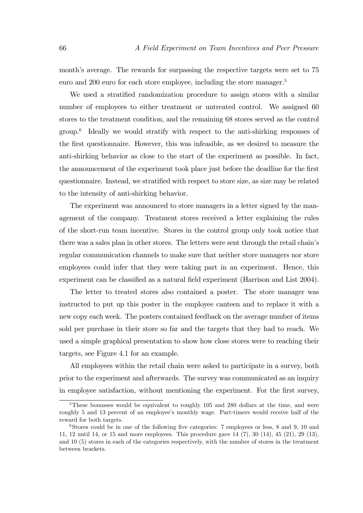month's average. The rewards for surpassing the respective targets were set to 75 euro and 200 euro for each store employee, including the store manager.<sup>5</sup>

We used a stratified randomization procedure to assign stores with a similar number of employees to either treatment or untreated control. We assigned 60 stores to the treatment condition, and the remaining 68 stores served as the control group.<sup>6</sup> Ideally we would stratify with respect to the anti-shirking responses of the first questionnaire. However, this was infeasible, as we desired to measure the anti-shirking behavior as close to the start of the experiment as possible. In fact, the announcement of the experiment took place just before the deadline for the first questionnaire. Instead, we stratified with respect to store size, as size may be related to the intensity of anti-shirking behavior.

The experiment was announced to store managers in a letter signed by the management of the company. Treatment stores received a letter explaining the rules of the short-run team incentive. Stores in the control group only took notice that there was a sales plan in other stores. The letters were sent through the retail chain's regular communication channels to make sure that neither store managers nor store employees could infer that they were taking part in an experiment. Hence, this experiment can be classified as a natural field experiment (Harrison and List 2004).

The letter to treated stores also contained a poster. The store manager was instructed to put up this poster in the employee canteen and to replace it with a new copy each week. The posters contained feedback on the average number of items sold per purchase in their store so far and the targets that they had to reach. We used a simple graphical presentation to show how close stores were to reaching their targets, see Figure 4.1 for an example.

All employees within the retail chain were asked to participate in a survey, both prior to the experiment and afterwards. The survey was communicated as an inquiry in employee satisfaction, without mentioning the experiment. For the first survey,

<sup>&</sup>lt;sup>5</sup>These bonusses would be equivalent to roughly 105 and 280 dollars at the time, and were roughly 5 and 13 percent of an employee's monthly wage. Part-timers would receive half of the reward for both targets.

 $6$ Stores could be in one of the following five categories: 7 employees or less, 8 and 9, 10 and 11, 12 until 14, or 15 and more employees. This procedure gave 14 (7), 30 (14), 45 (21), 29 (13), and 10 (5) stores in each of the categories respectively, with the number of stores in the treatment between brackets.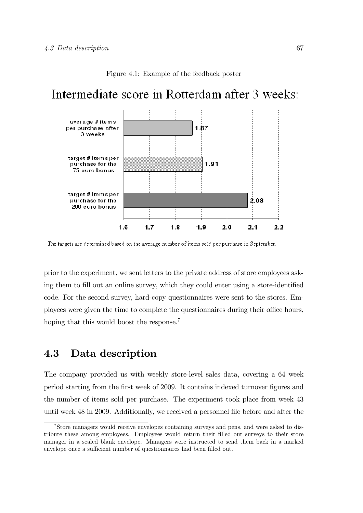

# Intermediate score in Rotterdam after 3 weeks:

Figure 4.1: Example of the feedback poster

prior to the experiment, we sent letters to the private address of store employees asking them to fill out an online survey, which they could enter using a store-identified code. For the second survey, hard-copy questionnaires were sent to the stores. Employees were given the time to complete the questionnaires during their office hours, hoping that this would boost the response.<sup>7</sup>

### 4.3 Data description

The company provided us with weekly store-level sales data, covering a 64 week period starting from the Örst week of 2009. It contains indexed turnover Ögures and the number of items sold per purchase. The experiment took place from week 43 until week 48 in 2009. Additionally, we received a personnel Öle before and after the

The targets are determined based on the average number of items sold per purchase in September.

<sup>7</sup>Store managers would receive envelopes containing surveys and pens, and were asked to distribute these among employees. Employees would return their Ölled out surveys to their store manager in a sealed blank envelope. Managers were instructed to send them back in a marked envelope once a sufficient number of questionnaires had been filled out.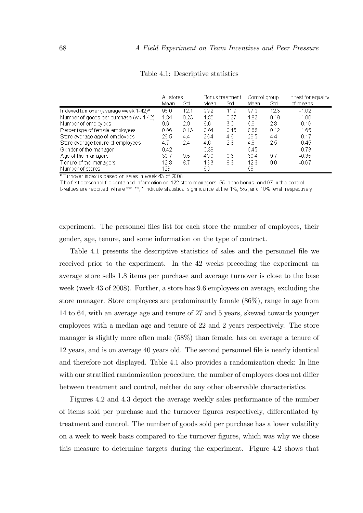|                                                  | All stores |      | Bonus treatment |      | Control group |      | <b>Lest for equality</b> |
|--------------------------------------------------|------------|------|-----------------|------|---------------|------|--------------------------|
|                                                  | Mean       | Std  | Mean            | Std  | Mean          | Std  | of means                 |
| Indexed tumover (avarage week 1-42) <sup>a</sup> | 98.0       | 12.1 | 99.2            | 11.9 | 97.0          | 12.3 | $-1.02$                  |
| Number of goods per purchase (wk 1-42)           | 1.84       | 0.23 | 1.86            | 0.27 | 1.82          | 0.19 | $-1.00$                  |
| Number of employees                              | 9.6        | 2.9  | 9.6             | 3.0  | 9.6           | 2.8  | 0.16                     |
| Percentage of female employees                   | 0.86       | 0.13 | 0.84            | 0.15 | 0.88          | 0.12 | 1.65                     |
| Store average age of employees                   | 26.5       | 4.4  | 26.4            | 4.6  | 26.5          | 44   | 0.17                     |
| Store average tenure of employees                | 4.7        | 24   | 4.6             | 23   | 4.8           | 2.5  | 0.45                     |
| Gender of the manager                            | 0.42       |      | 0.38            |      | 0.45          |      | 0.73                     |
| Age of the managers                              | 39.7       | 9.5  | 40.0            | 9.3  | 39.4          | 9.7  | $-0.35$                  |
| Tenure of the managers                           | 12.8       | 8.7  | 13.3            | 8.3  | 12.3          | 9.0  | $-0.67$                  |
| Number of stores                                 | 128        |      | 60              |      | 68            |      |                          |

#### Table 4.1: Descriptive statistics

<sup>a</sup>Turnover index is based on sales in week 43 of 2008.

The first personnel file contained information on 122 store managers, 55 in the bonus, and 67 in the control

t-values are reported, where \*\*\*, \*\*, \* indicate statistical significance at the 1%, 5%, and 10% level, respectively.

experiment. The personnel files list for each store the number of employees, their gender, age, tenure, and some information on the type of contract.

Table 4.1 presents the descriptive statistics of sales and the personnel file we received prior to the experiment. In the 42 weeks preceding the experiment an average store sells 1.8 items per purchase and average turnover is close to the base week (week 43 of 2008). Further, a store has 9.6 employees on average, excluding the store manager. Store employees are predominantly female (86%), range in age from 14 to 64, with an average age and tenure of 27 and 5 years, skewed towards younger employees with a median age and tenure of 22 and 2 years respectively. The store manager is slightly more often male (58%) than female, has on average a tenure of 12 years, and is on average 40 years old. The second personnel file is nearly identical and therefore not displayed. Table 4.1 also provides a randomization check: In line with our stratified randomization procedure, the number of employees does not differ between treatment and control, neither do any other observable characteristics.

Figures 4.2 and 4.3 depict the average weekly sales performance of the number of items sold per purchase and the turnover figures respectively, differentiated by treatment and control. The number of goods sold per purchase has a lower volatility on a week to week basis compared to the turnover figures, which was why we chose this measure to determine targets during the experiment. Figure 4.2 shows that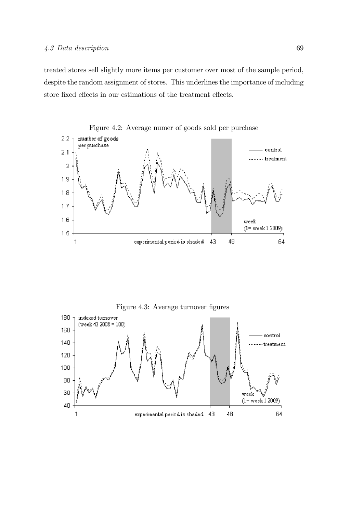treated stores sell slightly more items per customer over most of the sample period, despite the random assignment of stores. This underlines the importance of including store fixed effects in our estimations of the treatment effects.





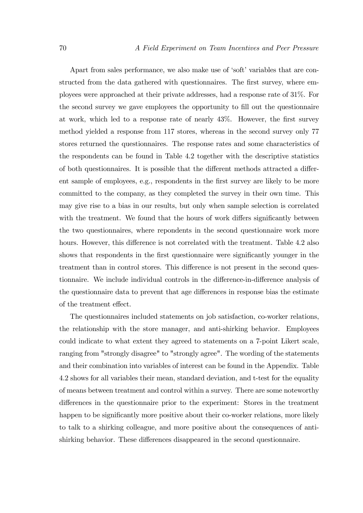Apart from sales performance, we also make use of 'soft' variables that are constructed from the data gathered with questionnaires. The first survey, where employees were approached at their private addresses, had a response rate of 31%. For the second survey we gave employees the opportunity to fill out the questionnaire at work, which led to a response rate of nearly  $43\%$ . However, the first survey method yielded a response from 117 stores, whereas in the second survey only 77 stores returned the questionnaires. The response rates and some characteristics of the respondents can be found in Table 4.2 together with the descriptive statistics of both questionnaires. It is possible that the different methods attracted a different sample of employees, e.g., respondents in the first survey are likely to be more committed to the company, as they completed the survey in their own time. This may give rise to a bias in our results, but only when sample selection is correlated with the treatment. We found that the hours of work differs significantly between the two questionnaires, where repondents in the second questionnaire work more hours. However, this difference is not correlated with the treatment. Table 4.2 also shows that respondents in the first questionnaire were significantly younger in the treatment than in control stores. This difference is not present in the second questionnaire. We include individual controls in the difference-in-difference analysis of the questionnaire data to prevent that age differences in response bias the estimate of the treatment effect.

The questionnaires included statements on job satisfaction, co-worker relations, the relationship with the store manager, and anti-shirking behavior. Employees could indicate to what extent they agreed to statements on a 7-point Likert scale, ranging from "strongly disagree" to "strongly agree". The wording of the statements and their combination into variables of interest can be found in the Appendix. Table 4.2 shows for all variables their mean, standard deviation, and t-test for the equality of means between treatment and control within a survey. There are some noteworthy differences in the questionnaire prior to the experiment: Stores in the treatment happen to be significantly more positive about their co-worker relations, more likely to talk to a shirking colleague, and more positive about the consequences of antishirking behavior. These differences disappeared in the second questionnaire.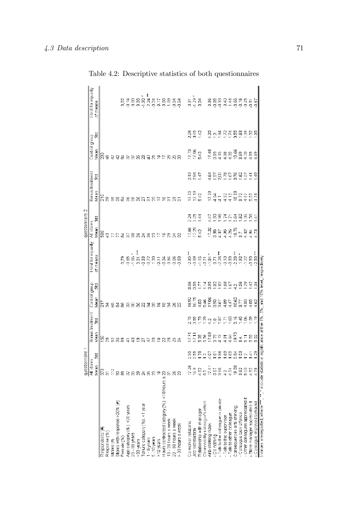|                                                              |                               |                     |                                                                                       |                                                                      |                |                 |                                             |               | questionnaire 2          |                              |               |                                      |                                                      |  |
|--------------------------------------------------------------|-------------------------------|---------------------|---------------------------------------------------------------------------------------|----------------------------------------------------------------------|----------------|-----------------|---------------------------------------------|---------------|--------------------------|------------------------------|---------------|--------------------------------------|------------------------------------------------------|--|
|                                                              | questionnaire 1<br>All stores |                     | Bonus treatment                                                                       |                                                                      | Control group  |                 | Hest for equality                           | All stores    |                          | Bonus treatment              |               | Control group                        | Heat for equality                                    |  |
|                                                              | Ù)<br>Mean                    | ₽                   | Mean                                                                                  | ₽,                                                                   | Mean           | 풍               | of means                                    | Mean          | 묭                        | Mean                         | 묾             | 공<br>하<br>Mean                       | of means                                             |  |
| Respondents (#)                                              |                               |                     | 891                                                                                   |                                                                      | 217            |                 |                                             |               |                          | 216                          |               | R                                    |                                                      |  |
| Response (%)                                                 |                               |                     | 8                                                                                     |                                                                      |                |                 |                                             |               |                          |                              |               | 앟                                    |                                                      |  |
| Stores (#)                                                   | F                             |                     | -88                                                                                   |                                                                      |                |                 |                                             | 3 P           |                          |                              |               | 유                                    |                                                      |  |
| Stores with response >20% (#)                                |                               |                     |                                                                                       |                                                                      | 몸              |                 |                                             |               |                          |                              |               |                                      |                                                      |  |
| Female (%)                                                   | 8                             |                     |                                                                                       |                                                                      | 8              |                 |                                             | 2             |                          | 공                            |               | 유 모                                  |                                                      |  |
| Age category (%) <20 years                                   |                               |                     |                                                                                       |                                                                      |                |                 |                                             |               |                          | 옮                            |               | 동                                    | 음 프음<br>음 후 음                                        |  |
| 20 - 30 years                                                | ₩                             |                     |                                                                                       |                                                                      | ద              |                 |                                             | 8             |                          | 8                            |               | િ                                    |                                                      |  |
| saey Dek                                                     | R                             |                     | ഉ                                                                                     |                                                                      | Ж              |                 |                                             |               |                          | S                            |               | Β                                    | 0.08                                                 |  |
| Tenure category (%); <1 year                                 |                               |                     |                                                                                       |                                                                      |                |                 | יווחיות<br>תַּמְמַּהַמֵּמִה<br>קִיקִיקִיקִי |               |                          |                              |               | 8                                    | ្ ៖<br>ទីវីវី - ទីទី ជីវី<br>* ៖                     |  |
| $1 - 5$ years                                                |                               |                     |                                                                                       |                                                                      | 모              |                 |                                             |               |                          | 등                            |               | 목                                    |                                                      |  |
| 5-t0years                                                    | 8                             |                     | R                                                                                     |                                                                      |                |                 |                                             |               |                          | Β                            |               | $\overline{\mathbb{N}}$              |                                                      |  |
| shew ork                                                     | ്ര                            |                     | ≌                                                                                     |                                                                      |                |                 |                                             |               |                          |                              |               | ₽                                    |                                                      |  |
| Hours contracted category (%) <10 hours a 20                 |                               |                     | 出農                                                                                    |                                                                      | ≌              |                 |                                             |               |                          | 유동                           |               | Þ                                    |                                                      |  |
| 10 - 20 hours a week                                         |                               |                     |                                                                                       |                                                                      | 볾              |                 | ੂ ਕੂ ਕੂ                                     | ಅ ನ           |                          |                              |               | 呂                                    |                                                      |  |
| 20 - 30 hours a week                                         | 88                            |                     | ងន                                                                                    |                                                                      | 88             |                 | $\frac{88}{7}$                              |               |                          | R                            |               | 88                                   |                                                      |  |
| > 30 hours a week                                            |                               |                     |                                                                                       |                                                                      |                |                 |                                             | 옮             |                          |                              |               |                                      |                                                      |  |
|                                                              |                               |                     |                                                                                       |                                                                      |                |                 |                                             |               |                          |                              |               |                                      |                                                      |  |
| Co-worker relations                                          | 17.26                         | N                   |                                                                                       |                                                                      |                | 306<br>0        |                                             | $\frac{6}{7}$ |                          |                              | 은<br>그        |                                      |                                                      |  |
| Job satisfaction                                             | 16.9                          |                     |                                                                                       |                                                                      | 16.76<br>16.76 | $\frac{5}{2}$   | $\frac{1}{2}$ 38                            | 17.ZE         | ದ ದ<br>ಆದ ಕ              | $\frac{17.55}{17.59}$        | ра<br>2       | $\frac{17.73}{17.06}$                | 8 ម៉ូ 9<br>ស្តុក្នុ                                  |  |
| Relationship with manager                                    | 4.92                          |                     |                                                                                       |                                                                      |                | 7748            | $-1.16$                                     | 542           |                          |                              | ē             |                                      | $\begin{array}{c} 0.51 \\ 0.78 \\ -0.78 \end{array}$ |  |
| Observability colleague's effort                             | $\frac{5}{5}$                 |                     |                                                                                       |                                                                      |                |                 | $-18$                                       |               |                          |                              |               |                                      |                                                      |  |
| Anti-shirking index:                                         | 17.41                         |                     |                                                                                       |                                                                      |                |                 |                                             | 17.B)         | 447<br>47                | 17.05                        |               |                                      | 4.35                                                 |  |
| - Do nathing                                                 | $3.87$<br>3.86                |                     |                                                                                       |                                                                      |                |                 |                                             |               |                          |                              |               |                                      |                                                      |  |
| - Talk to the colleague in private                           |                               |                     |                                                                                       | $R$ $R$ $\alpha$ $\omega$ $R$ $R$ $\gamma$ $\omega$ $R$ $R$ $\gamma$ |                | $\frac{22}{18}$ | $\frac{0.71}{2.26}$ **                      | 9.95<br>4.07  | 83 S                     |                              |               | ្ម<br>ក្លែង គឺ គឺ គឺ<br>ក្លែង អង់ គឺ | <b>9988</b><br>0000<br>ი ფ                           |  |
| - Talk to the supervisor                                     | ্<br>ব                        |                     |                                                                                       |                                                                      |                |                 | $\frac{1}{2}$                               | 4.95          | ਨ੍                       |                              |               |                                      |                                                      |  |
| - Talk to other colleague                                    | 4.54                          |                     |                                                                                       | $^{63}$                                                              |                |                 | $-0.93$                                     | 4.26          | $rac{1}{2}$ $rac{9}{24}$ |                              |               |                                      |                                                      |  |
| Consequences anti-shirking                                   | 19.08                         | និងដើមថ្មីនិងនិងដើម | 7 7 7 8 8 8 9 9 9 7 9 8 9 7 8<br>1 7 8 8 6 7 9 9 9 7 9 8 7<br>1 7 8 6 7 8 4 4 4 4 5 8 | $\frac{16}{21}$                                                      |                | $-667$<br>$-42$ | $-2.28$ **                                  | 18.76         |                          | त<br>वेन अनुकार<br>संसंस्कृत | 4<br>20020200 |                                      | $0 - 999$<br>$0 - 999$<br>7780                       |  |
| - Colleague took offence                                     | 3.62                          |                     |                                                                                       | 1.45                                                                 | 3.77           | $^{68}_{-29}$   |                                             | $\frac{7}{3}$ | g x                      |                              |               | $3.69$<br>4.78                       | <b>92</b>                                            |  |
| - Other colleagues appreciated                               | 5.00                          |                     |                                                                                       | $\frac{8}{1}$                                                        |                |                 | $1.92$ *                                    | 4.82          |                          |                              |               |                                      |                                                      |  |
| Store manager appreciated it                                 | 4.92                          | 4                   | 666<br>198                                                                            | ိ                                                                    | 888<br>444     | स् ल            | 0.93                                        | ञ्<br>च       | စို                      | 4.0.44<br>4.0.4              | $rac{4}{4}$   | $4.69$<br>$4.69$                     | တွေ့<br>ဓုံခု<br>8                                   |  |
| - Colleague improved behavior                                | 4.78                          | g                   |                                                                                       | $\frac{5}{2}$                                                        |                |                 | $-2.50**$                                   | 4.73          | च                        |                              |               |                                      | H                                                    |  |
| t-values are reported, where ***, **, * indicate statistical |                               |                     | significance at the 1%, 5%, and 10% level, respectively                               |                                                                      |                |                 |                                             |               |                          |                              |               |                                      |                                                      |  |

Table 4.2: Descriptive statistics of both questionnaires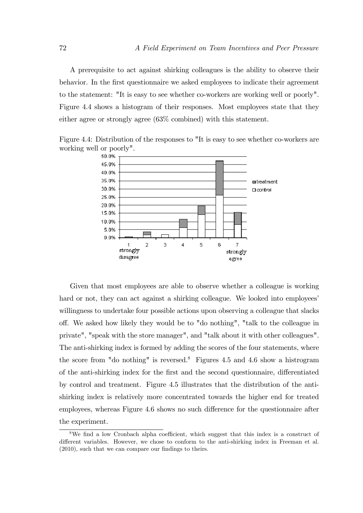A prerequisite to act against shirking colleagues is the ability to observe their behavior. In the first questionnaire we asked employees to indicate their agreement to the statement: "It is easy to see whether co-workers are working well or poorly". Figure 4.4 shows a histogram of their responses. Most employees state that they either agree or strongly agree (63% combined) with this statement.

Figure 4.4: Distribution of the responses to "It is easy to see whether co-workers are working well or poorly".



Given that most employees are able to observe whether a colleague is working hard or not, they can act against a shirking colleague. We looked into employees' willingness to undertake four possible actions upon observing a colleague that slacks off. We asked how likely they would be to "do nothing", "talk to the colleague in private", "speak with the store manager", and "talk about it with other colleagues". The anti-shirking index is formed by adding the scores of the four statements, where the score from "do nothing" is reversed.<sup>8</sup> Figures 4.5 and 4.6 show a histrogram of the anti-shirking index for the first and the second questionnaire, differentiated by control and treatment. Figure 4.5 illustrates that the distribution of the antishirking index is relatively more concentrated towards the higher end for treated employees, whereas Figure 4.6 shows no such difference for the questionnaire after the experiment.

 $8$ We find a low Cronbach alpha coefficient, which suggest that this index is a construct of different variables. However, we chose to conform to the anti-shirking index in Freeman et al.  $(2010)$ , such that we can compare our findings to theirs.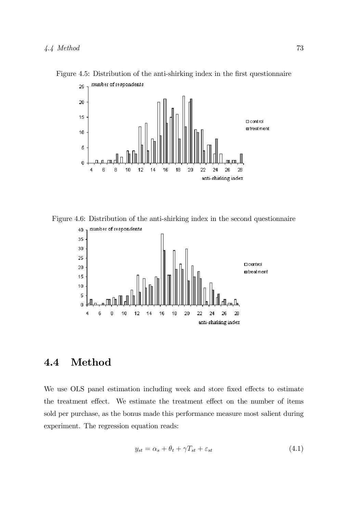

Figure 4.5: Distribution of the anti-shirking index in the first questionnaire

Figure 4.6: Distribution of the anti-shirking index in the second questionnaire



## 4.4 Method

We use OLS panel estimation including week and store fixed effects to estimate the treatment effect. We estimate the treatment effect on the number of items sold per purchase, as the bonus made this performance measure most salient during experiment. The regression equation reads:

$$
y_{st} = \alpha_s + \theta_t + \gamma T_{st} + \varepsilon_{st} \tag{4.1}
$$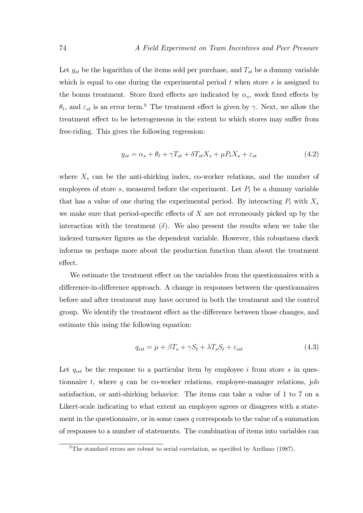Let  $y_{st}$  be the logarithm of the items sold per purchase, and  $T_{st}$  be a dummy variable which is equal to one during the experimental period  $t$  when store  $s$  is assigned to the bonus treatment. Store fixed effects are indicated by  $\alpha_s$ , week fixed effects by  $\theta_t$ , and  $\varepsilon_{st}$  is an error term.<sup>9</sup> The treatment effect is given by  $\gamma$ . Next, we allow the treatment effect to be heterogeneous in the extent to which stores may suffer from free-riding. This gives the following regression:

$$
y_{st} = \alpha_s + \theta_t + \gamma T_{st} + \delta T_{st} X_s + \mu P_t X_s + \varepsilon_{st}
$$
\n
$$
\tag{4.2}
$$

where  $X_s$  can be the anti-shirking index, co-worker relations, and the number of employees of store s, measured before the experiment. Let  $P_t$  be a dummy variable that has a value of one during the experimental period. By interacting  $P_t$  with  $X_s$ we make sure that period-specific effects of  $X$  are not erroneously picked up by the interaction with the treatment  $(\delta)$ . We also present the results when we take the indexed turnover figures as the dependent variable. However, this robustness check informs us perhaps more about the production function than about the treatment effect.

We estimate the treatment effect on the variables from the questionnaires with a difference-in-difference approach. A change in responses between the questionnaires before and after treatment may have occured in both the treatment and the control group. We identify the treatment effect as the difference between those changes, and estimate this using the following equation:

$$
q_{ist} = \mu + \beta T_s + \gamma S_t + \lambda T_s S_t + \varepsilon_{ist} \tag{4.3}
$$

Let  $q_{ist}$  be the response to a particular item by employee i from store s in questionnaire  $t$ , where  $q$  can be co-worker relations, employee-manager relations, job satisfaction, or anti-shirking behavior. The items can take a value of 1 to 7 on a Likert-scale indicating to what extent an employee agrees or disagrees with a statement in the questionnaire, or in some cases  $q$  corresponds to the value of a summation of responses to a number of statements. The combination of items into variables can

 $9$ The standard errors are robust to serial correlation, as specified by Arellano (1987).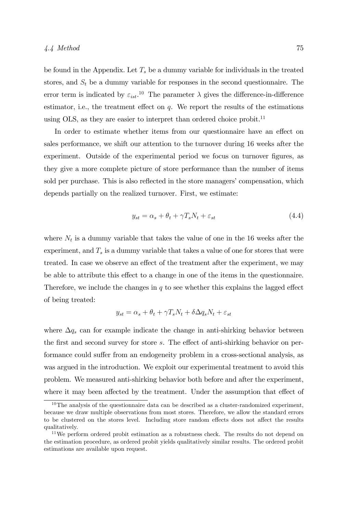be found in the Appendix. Let  $T<sub>s</sub>$  be a dummy variable for individuals in the treated stores, and  $S_t$  be a dummy variable for responses in the second questionnaire. The error term is indicated by  $\varepsilon_{ist}$ <sup>10</sup>. The parameter  $\lambda$  gives the difference-in-difference estimator, i.e., the treatment effect on  $q$ . We report the results of the estimations using OLS, as they are easier to interpret than ordered choice probit.<sup>11</sup>

In order to estimate whether items from our questionnaire have an effect on sales performance, we shift our attention to the turnover during 16 weeks after the experiment. Outside of the experimental period we focus on turnover figures, as they give a more complete picture of store performance than the number of items sold per purchase. This is also reflected in the store managers' compensation, which depends partially on the realized turnover. First, we estimate:

$$
y_{st} = \alpha_s + \theta_t + \gamma T_s N_t + \varepsilon_{st} \tag{4.4}
$$

where  $N_t$  is a dummy variable that takes the value of one in the 16 weeks after the experiment, and  $T_s$  is a dummy variable that takes a value of one for stores that were treated. In case we observe an effect of the treatment after the experiment, we may be able to attribute this effect to a change in one of the items in the questionnaire. Therefore, we include the changes in  $q$  to see whether this explains the lagged effect of being treated:

$$
y_{st} = \alpha_s + \theta_t + \gamma T_s N_t + \delta \Delta q_s N_t + \varepsilon_{st}
$$

where  $\Delta q_s$  can for example indicate the change in anti-shirking behavior between the first and second survey for store  $s$ . The effect of anti-shirking behavior on performance could suffer from an endogeneity problem in a cross-sectional analysis, as was argued in the introduction. We exploit our experimental treatment to avoid this problem. We measured anti-shirking behavior both before and after the experiment, where it may been affected by the treatment. Under the assumption that effect of

<sup>&</sup>lt;sup>10</sup>The analysis of the questionnaire data can be described as a cluster-randomized experiment. because we draw multiple observations from most stores. Therefore, we allow the standard errors to be clustered on the stores level. Including store random effects does not affect the results qualitatively.

<sup>&</sup>lt;sup>11</sup>We perform ordered probit estimation as a robustness check. The results do not depend on the estimation procedure, as ordered probit yields qualitatively similar results. The ordered probit estimations are available upon request.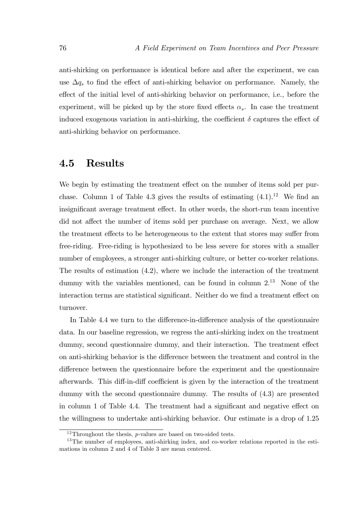anti-shirking on performance is identical before and after the experiment, we can use  $\Delta q_s$  to find the effect of anti-shirking behavior on performance. Namely, the effect of the initial level of anti-shirking behavior on performance, i.e., before the experiment, will be picked up by the store fixed effects  $\alpha_s$ . In case the treatment induced exogenous variation in anti-shirking, the coefficient  $\delta$  captures the effect of anti-shirking behavior on performance.

#### 4.5 Results

We begin by estimating the treatment effect on the number of items sold per purchase. Column 1 of Table 4.3 gives the results of estimating  $(4.1).^{12}$  We find an insignificant average treatment effect. In other words, the short-run team incentive did not affect the number of items sold per purchase on average. Next, we allow the treatment effects to be heterogeneous to the extent that stores may suffer from free-riding. Free-riding is hypothesized to be less severe for stores with a smaller number of employees, a stronger anti-shirking culture, or better co-worker relations. The results of estimation (4.2), where we include the interaction of the treatment dummy with the variables mentioned, can be found in column  $2^{13}$ . None of the interaction terms are statistical significant. Neither do we find a treatment effect on turnover.

In Table 4.4 we turn to the difference-in-difference analysis of the questionnaire data. In our baseline regression, we regress the anti-shirking index on the treatment dummy, second questionnaire dummy, and their interaction. The treatment effect on anti-shirking behavior is the difference between the treatment and control in the difference between the questionnaire before the experiment and the questionnaire afterwards. This diff-in-diff coefficient is given by the interaction of the treatment dummy with the second questionnaire dummy. The results of (4.3) are presented in column 1 of Table 4.4. The treatment had a significant and negative effect on the willingness to undertake anti-shirking behavior. Our estimate is a drop of 1.25

 $12$ Throughout the thesis, *p*-values are based on two-sided tests.

<sup>&</sup>lt;sup>13</sup>The number of employees, anti-shirking index, and co-worker relations reported in the estimations in column 2 and 4 of Table 3 are mean centered.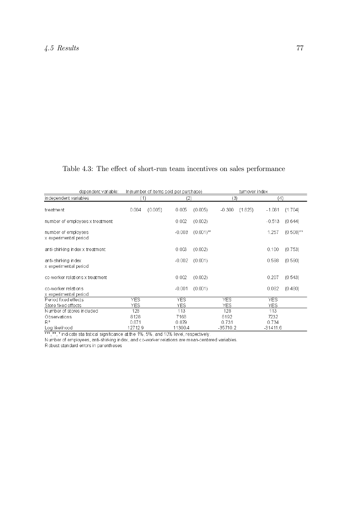#### Table 4.3: The effect of short-run team incentives on sales performance

| dependent variable:                          |            |         | In(number of items sold per purchase) |              |            | turnover index |            |              |
|----------------------------------------------|------------|---------|---------------------------------------|--------------|------------|----------------|------------|--------------|
| independent variables                        | (1)        |         | (2)                                   |              | (3)        |                | (4)        |              |
| treatment                                    | 0.004      | (0.005) | 0.005                                 | (0.005)      | $-0.300$   | (1.825)        | $-1.081$   | (1.704)      |
| number of employees x treatment              |            |         | 0.002                                 | (0.002)      |            |                | $-0.513$   | (0.644)      |
| number of employees<br>x experimental period |            |         | $-0.003$                              | $(0.001)$ ** |            |                | 1.257      | $(0.508)$ ** |
| anti-shirking index x treatment              |            |         | 0.003                                 | (0.002)      |            |                | 0.100      | (0.753)      |
| anti-shirking index<br>x experimental period |            |         | $-0.002$                              | (0.001)      |            |                | 0.598      | (0.590)      |
| co-worker relations x treatment              |            |         | 0.002                                 | (0.002)      |            |                | 0.207      | (0.543)      |
| co-worker relations<br>x experimental period |            |         | $-0.001$                              | (0.001)      |            |                | 0.082      | (0.480)      |
| Period fixed effects                         | <b>YES</b> |         | <b>YES</b>                            |              | <b>YES</b> |                | <b>YES</b> |              |
| Store fixed effects                          | YES        |         | YES                                   |              | YES        |                | YES.       |              |
| Number of stores included                    | 128        |         | 113                                   |              | 128        |                | 113        |              |
| Observations                                 | 8128       |         | 7168                                  |              | 8192       |                | 7232       |              |
| $R^2$                                        | 0.871      |         | 0.879                                 |              | 0.731      |                | 0.734      |              |
| Log likelihood                               | 12712.9    |         | 11300.4                               |              | $-35710.2$ |                | $-31411.6$ |              |

the contract of the statistical significance at the 1%, 5%, and 10% level, respectively.<br>Number of employees, anti-shirking index, and co-worker relations are mean-centered variables.

Robust standard errors in parentheses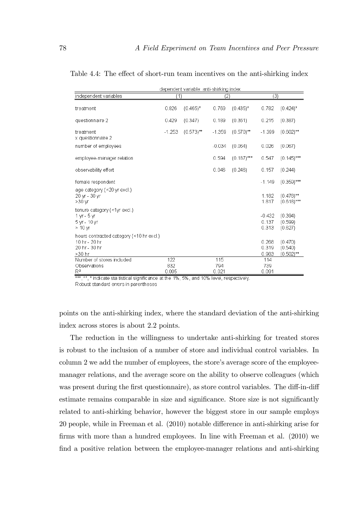|                                                                                                            |                            | dependent variable: anti-shirking index |                     |               |                            |                                    |
|------------------------------------------------------------------------------------------------------------|----------------------------|-----------------------------------------|---------------------|---------------|----------------------------|------------------------------------|
| independent variables                                                                                      | (1)                        |                                         | (2)                 |               | (3)                        |                                    |
| treatment                                                                                                  | 0.826                      | $(0.465)^*$                             | 0.769               | $(0.435)^*$   | 0.782                      | $(0.424)^*$                        |
| questionnaire 2                                                                                            | 0.429                      | (0.347)                                 | 0.189               | (0.361)       | 0.215                      | (0.387)                            |
| treatment<br>x questionnaire 2                                                                             | $-1.253$                   | $(0.573)$ **                            | $-1.359$            | $(0.570)$ **  | $-1.399$                   | $(0.602)$ **                       |
| number of employees                                                                                        |                            |                                         | $-0.034$            | (0.064)       | 0.026                      | (0.067)                            |
| employee-manager relation                                                                                  |                            |                                         | 0.594               | $(0.187)$ *** | 0.547                      | $(0.145)$ ***                      |
| observability effort                                                                                       |                            |                                         | 0.046               | (0.246)       | 0.157                      | (0.244)                            |
| female respondent                                                                                          |                            |                                         |                     |               | $-1.149$                   | $(0.359)$ ***                      |
| age category (<20 yr excl.)<br>20 yr - 30 yr<br>$>30$ vr                                                   |                            |                                         |                     |               | 1.182<br>1.817             | $(0.478)$ **<br>$(0.618)$ ***      |
| tenure category (<1yr excl.)<br>1 yr - $5 \text{ yr}$<br>5 yr - 10 yr<br>$> 10$ vr                         |                            |                                         |                     |               | $-0.432$<br>0.137<br>0.313 | (0.394)<br>(0.599)<br>(0.627)      |
| hours contracted category (<10 hr excl.)<br>10 hr - 20 hr<br>20 hr - 30 hr<br>$>30$ hr                     |                            |                                         |                     |               | 0.268<br>0.319<br>0.983    | (0.470)<br>(0.540)<br>$(0.502)$ ** |
| Number of stores included<br>Observations<br>$R^2$<br>*** ** * in all a a 4<br>Administration Constitution | 122<br>832<br>0.005<br>ADI | ED.<br>- 100 -                          | 115<br>794<br>0.021 | المتسابقة     | 114<br>739<br>0.091        |                                    |

Table 4.4: The effect of short-run team incentives on the anti-shirking index

\* indicate sta tistical significance at the 1%, 5%, and 10% level, respectively. Robust standard errors in parentheses

points on the anti-shirking index, where the standard deviation of the anti-shirking index across stores is about 2.2 points.

The reduction in the willingness to undertake anti-shirking for treated stores is robust to the inclusion of a number of store and individual control variables. In column 2 we add the number of employees, the store's average score of the employeemanager relations, and the average score on the ability to observe colleagues (which was present during the first questionnaire), as store control variables. The diff-in-diff estimate remains comparable in size and significance. Store size is not significantly related to anti-shirking behavior, however the biggest store in our sample employs 20 people, while in Freeman et al. (2010) notable difference in anti-shirking arise for firms with more than a hundred employees. In line with Freeman et al. (2010) we find a positive relation between the employee-manager relations and anti-shirking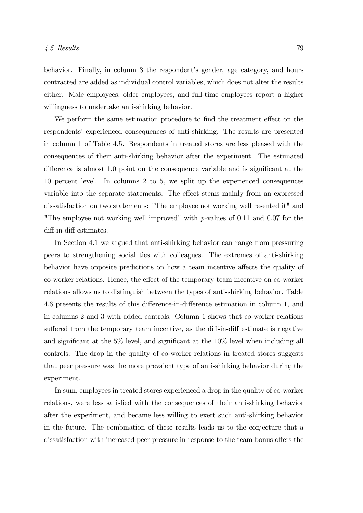behavior. Finally, in column 3 the respondent's gender, age category, and hours contracted are added as individual control variables, which does not alter the results either. Male employees, older employees, and full-time employees report a higher willingness to undertake anti-shirking behavior.

We perform the same estimation procedure to find the treatment effect on the respondents' experienced consequences of anti-shirking. The results are presented in column 1 of Table 4.5. Respondents in treated stores are less pleased with the consequences of their anti-shirking behavior after the experiment. The estimated difference is almost  $1.0$  point on the consequence variable and is significant at the 10 percent level. In columns 2 to 5, we split up the experienced consequences variable into the separate statements. The effect stems mainly from an expressed dissatisfaction on two statements: "The employee not working well resented it" and "The employee not working well improved" with p-values of 0.11 and 0.07 for the diff-in-diff estimates.

In Section 4.1 we argued that anti-shirking behavior can range from pressuring peers to strengthening social ties with colleagues. The extremes of anti-shirking behavior have opposite predictions on how a team incentive affects the quality of co-worker relations. Hence, the effect of the temporary team incentive on co-worker relations allows us to distinguish between the types of anti-shirking behavior. Table 4.6 presents the results of this difference-in-difference estimation in column 1, and in columns 2 and 3 with added controls. Column 1 shows that co-worker relations suffered from the temporary team incentive, as the diff-in-diff estimate is negative and significant at the  $5\%$  level, and significant at the  $10\%$  level when including all controls. The drop in the quality of co-worker relations in treated stores suggests that peer pressure was the more prevalent type of anti-shirking behavior during the experiment.

In sum, employees in treated stores experienced a drop in the quality of co-worker relations, were less satisfied with the consequences of their anti-shirking behavior after the experiment, and became less willing to exert such anti-shirking behavior in the future. The combination of these results leads us to the conjecture that a dissatisfaction with increased peer pressure in response to the team bonus offers the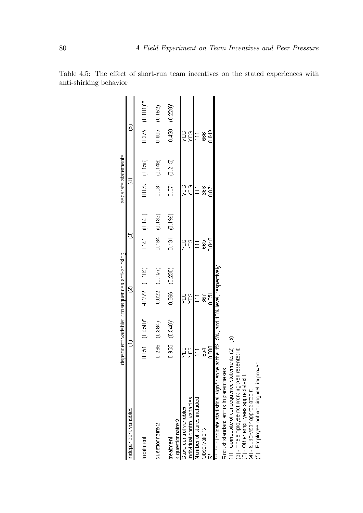|                                               |                   | dependent variable: consequences arti-shirking |             |                  |          |                     | separate statements |         |                |                         |
|-----------------------------------------------|-------------------|------------------------------------------------|-------------|------------------|----------|---------------------|---------------------|---------|----------------|-------------------------|
| ndependent variables                          |                   |                                                | Q           |                  | ල        |                     | ₹                   |         | Θ              |                         |
|                                               |                   |                                                |             |                  |          |                     |                     |         |                |                         |
| treatment                                     | 0.851             | $(0.450)^*$                                    |             | $-0.272$ (0.184) |          | $(0.141)$ $(0.148)$ | 0.079               | (0.156) | 0.375          | $(0.181)$ <sup>++</sup> |
| questionnaire 2                               | $-0.286$          | (0.384)                                        | $-0.022$    | (0.157)          |          | $-0.184$ (0.133)    | $-0.081$            | (0.148) | 0.005          | (0.162)                 |
| treatment                                     | $-0.955$          | $(0.540)^*$                                    | 0.366       | (0.230)          |          | $-0.131$ (0.196)    | $-0.071$ (0.215)    |         | $-0.420$       | $(0.228)$ <sup>*</sup>  |
| x questionnaire 2                             |                   |                                                |             |                  |          |                     |                     |         |                |                         |
| Store control variables                       | уËS<br>У          |                                                | ΥËS         |                  | ΥES<br>Y |                     | YES.                |         | YES            |                         |
| ndividual control variables                   | ΥËS<br>X          |                                                | YES         |                  | ΥES<br>Y |                     | ΥËS<br>S            |         | YES            |                         |
| Number of stores included                     | Ξ                 |                                                | $\tilde{=}$ |                  | Ξ        |                     | $\frac{1}{1}$       |         | $\frac{1}{11}$ |                         |
| <b>Observations</b>                           | S3                |                                                | 667         |                  | 665      |                     | 666                 |         | 666            |                         |
|                                               |                   |                                                | 0.051       |                  | 0.040    |                     | 0.071               |         | 0.049          |                         |
| ***, **, * indicate sta tistical significance |                   | at the 1%, 5%, and 10% level, respectively     |             |                  |          |                     |                     |         |                |                         |
| Robust standard errors in parentheses         |                   |                                                |             |                  |          |                     |                     |         |                |                         |
| (1) - Composite of consequence statem         | $nents (2) - (5)$ |                                                |             |                  |          |                     |                     |         |                |                         |
| (2) – The employee not working well res       | sented it         |                                                |             |                  |          |                     |                     |         |                |                         |

Table 4.5: The effect of short-run team incentives on the stated experiences with anti-shirking behavior

(2) - The employee not working well resem<br>(3) - Other employees appreciated it<br>(4) - Supervisor appreciated it<br>(5) - Employee not working well improved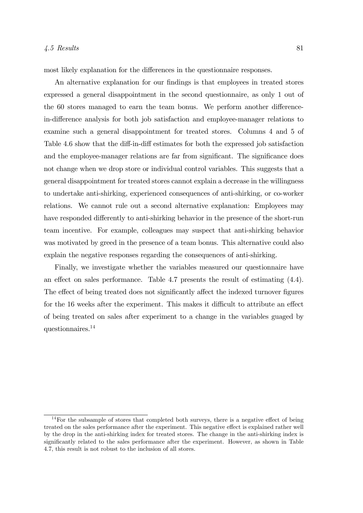most likely explanation for the differences in the questionnaire responses.

An alternative explanation for our findings is that employees in treated stores expressed a general disappointment in the second questionnaire, as only 1 out of the 60 stores managed to earn the team bonus. We perform another differencein-difference analysis for both job satisfaction and employee-manager relations to examine such a general disappointment for treated stores. Columns 4 and 5 of Table 4.6 show that the diff-in-diff estimates for both the expressed job satisfaction and the employee-manager relations are far from significant. The significance does not change when we drop store or individual control variables. This suggests that a general disappointment for treated stores cannot explain a decrease in the willingness to undertake anti-shirking, experienced consequences of anti-shirking, or co-worker relations. We cannot rule out a second alternative explanation: Employees may have responded differently to anti-shirking behavior in the presence of the short-run team incentive. For example, colleagues may suspect that anti-shirking behavior was motivated by greed in the presence of a team bonus. This alternative could also explain the negative responses regarding the consequences of anti-shirking.

Finally, we investigate whether the variables measured our questionnaire have an effect on sales performance. Table 4.7 presents the result of estimating  $(4.4)$ . The effect of being treated does not significantly affect the indexed turnover figures for the 16 weeks after the experiment. This makes it difficult to attribute an effect of being treated on sales after experiment to a change in the variables guaged by questionnaires.<sup>14</sup>

 $14$ For the subsample of stores that completed both surveys, there is a negative effect of being treated on the sales performance after the experiment. This negative effect is explained rather well by the drop in the anti-shirking index for treated stores. The change in the anti-shirking index is significantly related to the sales performance after the experiment. However, as shown in Table 4.7, this result is not robust to the inclusion of all stores.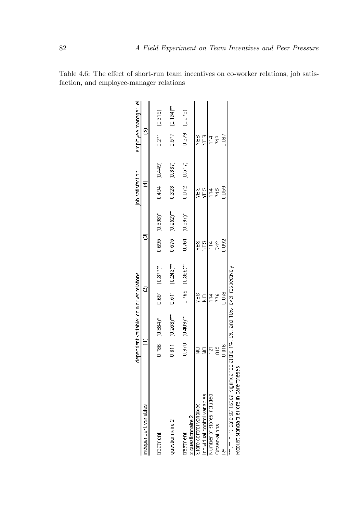|                                                                                          |                           | dependent variable: co-worker relations |               |                                  |          |                         | lob satisfaction |         |                        | employee manager rel    |
|------------------------------------------------------------------------------------------|---------------------------|-----------------------------------------|---------------|----------------------------------|----------|-------------------------|------------------|---------|------------------------|-------------------------|
| ndependent variables                                                                     |                           |                                         | Q             |                                  | ලි       |                         | ₹                |         | $\widehat{\mathbf{e}}$ |                         |
| treatment                                                                                | 0.786                     | $(0.384)^*$                             | 0.651         | $(0.377)^*$                      | 0.695    | $(0.398)^*$             | 0.494            | (0.449) | 0.271                  | (0.315)                 |
| questionnaire 2                                                                          | $\frac{1}{20}$            | $(0.253)$ ***                           | 0.511         | $(0.243)$ **                     | 0.575    | $(0.252)$ <sup>**</sup> | 0.323            | (0.367) | 0.577                  | $(0.194)$ <sup>**</sup> |
| x questionnaire 2<br>treatment                                                           | $-0.970$                  | $(0.409)$ <sup>**</sup>                 |               | $-0.766$ $(0.386)$ <sup>**</sup> | $-0.761$ | $(0.397)^*$             | 0.072            | (0.517) | $-0.279$               | (0.273)                 |
| Store control variables                                                                  | $\mathsf{S}^{\mathsf{D}}$ |                                         | y≣X           |                                  | y≣⊗      |                         | y≣s              |         | S∃X                    |                         |
| ndividual control variables                                                              | $\frac{0}{2}$             |                                         | $\frac{0}{2}$ |                                  | уËS.     |                         | YE S             |         | YES                    |                         |
| Number of stores included                                                                | ğ                         |                                         | न<br>न        |                                  | न<br>न   |                         | 114              |         | 11                     |                         |
| Observations                                                                             | 616                       |                                         | 776           |                                  | 742      |                         | 745              |         |                        |                         |
|                                                                                          | 0.016                     |                                         | 0.078         |                                  | 0.092    |                         | 0.059            |         | $742$<br>$-1.087$      |                         |
| "'T, "T, " Indicate sta tistical significance at the 1%, 5%, and 10% level, respectively |                           |                                         |               |                                  |          |                         |                  |         |                        |                         |

Table 4.6: The effect of short-run team incentives on co-worker relations, job satisfaction, and employee-manager relations

Robust standard errors in parentheses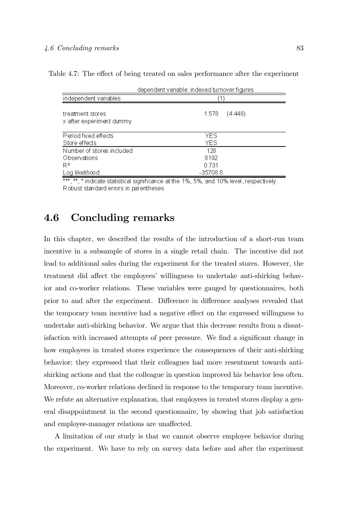|                           | dependent variable: indexed turnover figures |
|---------------------------|----------------------------------------------|
| independent variables     |                                              |
| treatment stores          | (4.448)                                      |
| x after experiment dummy  | 1.578                                        |
| Period fixed effects      | YES.                                         |
| Store effects             | YES.                                         |
| Number of stores included | 128                                          |
| Observations              | 8192                                         |
| $R^2$                     | 0.731                                        |
| Log likelihood            | -35708.8                                     |

Table 4.7: The effect of being treated on sales performance after the experiment

\*\*\*, \*\*, \* indicate statistical significance at the 1%, 5%, and 10% level, respectively. Robust standard errors in parentheses

### 4.6 Concluding remarks

In this chapter, we described the results of the introduction of a short-run team incentive in a subsample of stores in a single retail chain. The incentive did not lead to additional sales during the experiment for the treated stores. However, the treatment did affect the employees' willingness to undertake anti-shirking behavior and co-worker relations. These variables were gauged by questionnaires, both prior to and after the experiment. Difference in difference analyses revealed that the temporary team incentive had a negative effect on the expressed willingness to undertake anti-shirking behavior. We argue that this decrease results from a dissatisfaction with increased attempts of peer pressure. We find a significant change in how employees in treated stores experience the consequences of their anti-shirking behavior; they expressed that their colleagues had more resentment towards antishirking actions and that the colleague in question improved his behavior less often. Moreover, co-worker relations declined in response to the temporary team incentive. We refute an alternative explanation, that employees in treated stores display a general disappointment in the second questionnaire, by showing that job satisfaction and employee-manager relations are unaffected.

A limitation of our study is that we cannot observe employee behavior during the experiment. We have to rely on survey data before and after the experiment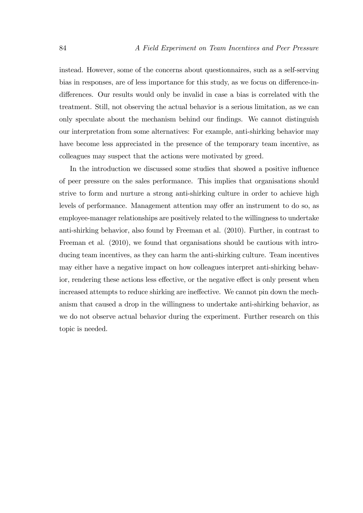instead. However, some of the concerns about questionnaires, such as a self-serving bias in responses, are of less importance for this study, as we focus on difference-indifferences. Our results would only be invalid in case a bias is correlated with the treatment. Still, not observing the actual behavior is a serious limitation, as we can only speculate about the mechanism behind our findings. We cannot distinguish our interpretation from some alternatives: For example, anti-shirking behavior may have become less appreciated in the presence of the temporary team incentive, as colleagues may suspect that the actions were motivated by greed.

In the introduction we discussed some studies that showed a positive influence of peer pressure on the sales performance. This implies that organisations should strive to form and nurture a strong anti-shirking culture in order to achieve high levels of performance. Management attention may offer an instrument to do so, as employee-manager relationships are positively related to the willingness to undertake anti-shirking behavior, also found by Freeman et al. (2010). Further, in contrast to Freeman et al. (2010), we found that organisations should be cautious with introducing team incentives, as they can harm the anti-shirking culture. Team incentives may either have a negative impact on how colleagues interpret anti-shirking behavior, rendering these actions less effective, or the negative effect is only present when increased attempts to reduce shirking are ineffective. We cannot pin down the mechanism that caused a drop in the willingness to undertake anti-shirking behavior, as we do not observe actual behavior during the experiment. Further research on this topic is needed.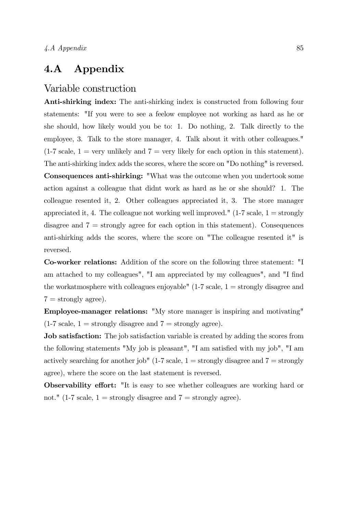## 4.A Appendix

#### Variable construction

Anti-shirking index: The anti-shirking index is constructed from following four statements: "If you were to see a feelow employee not working as hard as he or she should, how likely would you be to: 1. Do nothing, 2. Talk directly to the employee, 3. Talk to the store manager, 4. Talk about it with other colleagues."  $(1-7 \text{ scale}, 1 = \text{very unlikely and } 7 = \text{very likely for each option in this statement}).$ The anti-shirking index adds the scores, where the score on "Do nothing" is reversed. Consequences anti-shirking: "What was the outcome when you undertook some action against a colleague that didnt work as hard as he or she should? 1. The colleague resented it, 2. Other colleagues appreciated it, 3. The store manager appreciated it, 4. The colleague not working well improved."  $(1-7 \text{ scale}, 1 = \text{strongly})$ disagree and 7 = strongly agree for each option in this statement). Consequences anti-shirking adds the scores, where the score on "The colleague resented it" is reversed.

Co-worker relations: Addition of the score on the following three statement: "I am attached to my colleagues", "I am appreciated by my colleagues", and "I find the workatmosphere with colleagues enjoyable"  $(1-7 \text{ scale}, 1 = \text{strongly disagree}$  and  $7 =$  strongly agree).

Employee-manager relations: "My store manager is inspiring and motivating"  $(1-7 \text{ scale}, 1 = \text{strongly disagree} and 7 = \text{strongly agree}).$ 

Job satisfaction: The job satisfaction variable is created by adding the scores from the following statements "My job is pleasant", "I am satisfied with my job", "I am actively searching for another job"  $(1-7 \text{ scale}, 1 = \text{strongly disagree}$  and  $7 = \text{strongly}$ agree), where the score on the last statement is reversed.

**Observability effort:** "It is easy to see whether colleagues are working hard or not." (1-7 scale,  $1 =$  strongly disagree and  $7 =$  strongly agree).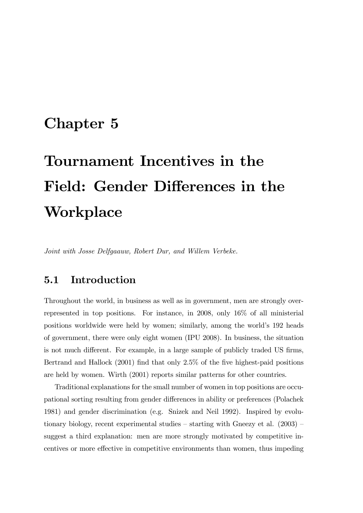# Chapter 5

# Tournament Incentives in the Field: Gender Differences in the **Workplace**

Joint with Josse Delfgaauw, Robert Dur, and Willem Verbeke.

### 5.1 Introduction

Throughout the world, in business as well as in government, men are strongly overrepresented in top positions. For instance, in 2008, only 16% of all ministerial positions worldwide were held by women; similarly, among the world's 192 heads of government, there were only eight women (IPU 2008). In business, the situation is not much different. For example, in a large sample of publicly traded US firms, Bertrand and Hallock  $(2001)$  find that only  $2.5\%$  of the five highest-paid positions are held by women. Wirth (2001) reports similar patterns for other countries.

Traditional explanations for the small number of women in top positions are occupational sorting resulting from gender di§erences in ability or preferences (Polachek 1981) and gender discrimination (e.g. Snizek and Neil 1992). Inspired by evolutionary biology, recent experimental studies  $-$  starting with Gneezy et al. (2003)  $$ suggest a third explanation: men are more strongly motivated by competitive incentives or more effective in competitive environments than women, thus impeding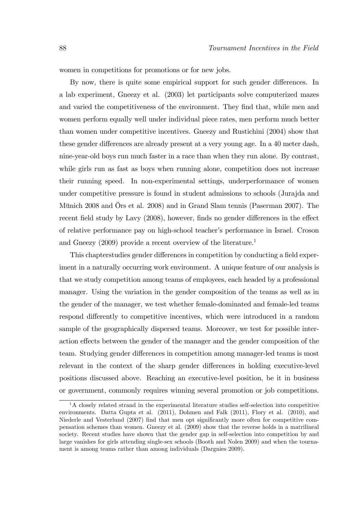women in competitions for promotions or for new jobs.

By now, there is quite some empirical support for such gender differences. In a lab experiment, Gneezy et al. (2003) let participants solve computerized mazes and varied the competitiveness of the environment. They find that, while men and women perform equally well under individual piece rates, men perform much better than women under competitive incentives. Gneezy and Rustichini (2004) show that these gender differences are already present at a very young age. In a 40 meter dash, nine-year-old boys run much faster in a race than when they run alone. By contrast, while girls run as fast as boys when running alone, competition does not increase their running speed. In non-experimental settings, underperformance of women under competitive pressure is found in student admissions to schools (Jurajda and Münich 2008 and Örs et al. 2008) and in Grand Slam tennis (Paserman 2007). The recent field study by Lavy (2008), however, finds no gender differences in the effect of relative performance pay on high-school teacherís performance in Israel. Croson and Gneezy (2009) provide a recent overview of the literature.<sup>1</sup>

This chapterstudies gender differences in competition by conducting a field experiment in a naturally occurring work environment. A unique feature of our analysis is that we study competition among teams of employees, each headed by a professional manager. Using the variation in the gender composition of the teams as well as in the gender of the manager, we test whether female-dominated and female-led teams respond differently to competitive incentives, which were introduced in a random sample of the geographically dispersed teams. Moreover, we test for possible interaction effects between the gender of the manager and the gender composition of the team. Studying gender differences in competition among manager-led teams is most relevant in the context of the sharp gender differences in holding executive-level positions discussed above. Reaching an executive-level position, be it in business or government, commonly requires winning several promotion or job competitions.

<sup>&</sup>lt;sup>1</sup>A closely related strand in the experimental literature studies self-selection into competitive environments. Datta Gupta et al. (2011), Dohmen and Falk (2011), Flory et al. (2010), and Niederle and Vesterlund (2007) find that men opt significantly more often for competitive compensation schemes than women. Gneezy et al. (2009) show that the reverse holds in a matrilineal society. Recent studies have shown that the gender gap in self-selection into competition by and large vanishes for girls attending single-sex schools (Booth and Nolen 2009) and when the tournament is among teams rather than among individuals (Dargnies 2009).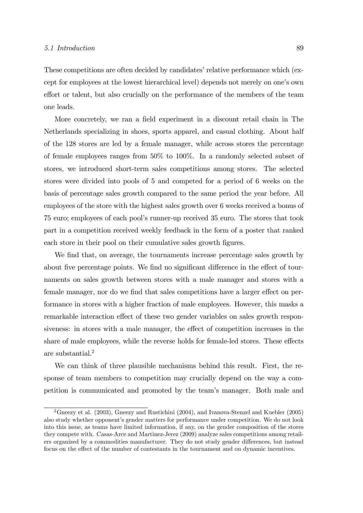These competitions are often decided by candidates' relative performance which (except for employees at the lowest hierarchical level) depends not merely on one's own effort or talent, but also crucially on the performance of the members of the team one leads.

More concretely, we ran a field experiment in a discount retail chain in The Netherlands specializing in shoes, sports apparel, and casual clothing. About half of the 128 stores are led by a female manager, while across stores the percentage of female employees ranges from 50% to 100%. In a randomly selected subset of stores, we introduced short-term sales competitions among stores. The selected stores were divided into pools of 5 and competed for a period of 6 weeks on the basis of percentage sales growth compared to the same period the year before. All employees of the store with the highest sales growth over 6 weeks received a bonus of 75 euro; employees of each poolís runner-up received 35 euro. The stores that took part in a competition received weekly feedback in the form of a poster that ranked each store in their pool on their cumulative sales growth figures.

We find that, on average, the tournaments increase percentage sales growth by about five percentage points. We find no significant difference in the effect of tournaments on sales growth between stores with a male manager and stores with a female manager, nor do we find that sales competitions have a larger effect on performance in stores with a higher fraction of male employees. However, this masks a remarkable interaction effect of these two gender variables on sales growth responsiveness: in stores with a male manager, the effect of competition increases in the share of male employees, while the reverse holds for female-led stores. These effects are substantial.<sup>2</sup>

We can think of three plausible mechanisms behind this result. First, the response of team members to competition may crucially depend on the way a competition is communicated and promoted by the teamís manager. Both male and

<sup>&</sup>lt;sup>2</sup>Gneezy et al. (2003), Gneezy and Rustichini (2004), and Ivanova-Stenzel and Kuebler (2005) also study whether opponent's gender matters for performance under competition. We do not look into this issue, as teams have limited information, if any, on the gender composition of the stores they compete with. Casas-Arce and Martinez-Jerez (2009) analyze sales competitions among retailers organized by a commodities manufacturer. They do not study gender differences, but instead focus on the effect of the number of contestants in the tournament and on dynamic incentives.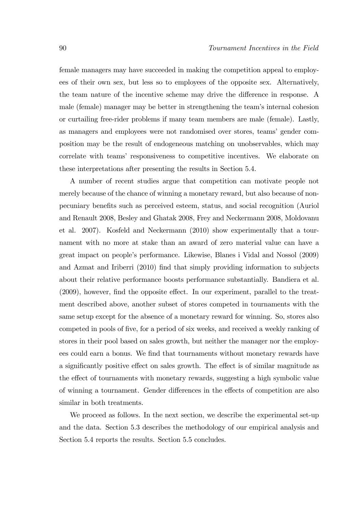female managers may have succeeded in making the competition appeal to employees of their own sex, but less so to employees of the opposite sex. Alternatively, the team nature of the incentive scheme may drive the difference in response. A male (female) manager may be better in strengthening the team's internal cohesion or curtailing free-rider problems if many team members are male (female). Lastly, as managers and employees were not randomised over stores, teams' gender composition may be the result of endogeneous matching on unobservables, which may correlate with teams' responsiveness to competitive incentives. We elaborate on these interpretations after presenting the results in Section 5.4.

A number of recent studies argue that competition can motivate people not merely because of the chance of winning a monetary reward, but also because of nonpecuniary beneÖts such as perceived esteem, status, and social recognition (Auriol and Renault 2008, Besley and Ghatak 2008, Frey and Neckermann 2008, Moldovanu et al. 2007). Kosfeld and Neckermann (2010) show experimentally that a tournament with no more at stake than an award of zero material value can have a great impact on peopleís performance. Likewise, Blanes i Vidal and Nossol (2009) and Azmat and Iriberri (2010) find that simply providing information to subjects about their relative performance boosts performance substantially. Bandiera et al.  $(2009)$ , however, find the opposite effect. In our experiment, parallel to the treatment described above, another subset of stores competed in tournaments with the same setup except for the absence of a monetary reward for winning. So, stores also competed in pools of Öve, for a period of six weeks, and received a weekly ranking of stores in their pool based on sales growth, but neither the manager nor the employees could earn a bonus. We find that tournaments without monetary rewards have a significantly positive effect on sales growth. The effect is of similar magnitude as the effect of tournaments with monetary rewards, suggesting a high symbolic value of winning a tournament. Gender differences in the effects of competition are also similar in both treatments.

We proceed as follows. In the next section, we describe the experimental set-up and the data. Section 5.3 describes the methodology of our empirical analysis and Section 5.4 reports the results. Section 5.5 concludes.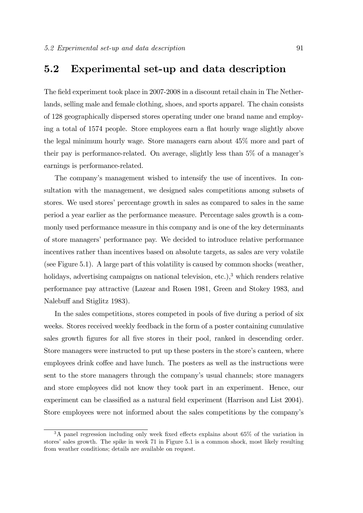#### 5.2 Experimental set-up and data description

The field experiment took place in 2007-2008 in a discount retail chain in The Netherlands, selling male and female clothing, shoes, and sports apparel. The chain consists of 128 geographically dispersed stores operating under one brand name and employing a total of 1574 people. Store employees earn a flat hourly wage slightly above the legal minimum hourly wage. Store managers earn about 45% more and part of their pay is performance-related. On average, slightly less than  $5\%$  of a manager's earnings is performance-related.

The companyís management wished to intensify the use of incentives. In consultation with the management, we designed sales competitions among subsets of stores. We used stores' percentage growth in sales as compared to sales in the same period a year earlier as the performance measure. Percentage sales growth is a commonly used performance measure in this company and is one of the key determinants of store managersíperformance pay. We decided to introduce relative performance incentives rather than incentives based on absolute targets, as sales are very volatile (see Figure 5.1). A large part of this volatility is caused by common shocks (weather, holidays, advertising campaigns on national television, etc.), $3$  which renders relative performance pay attractive (Lazear and Rosen 1981, Green and Stokey 1983, and Nalebuff and Stiglitz 1983).

In the sales competitions, stores competed in pools of five during a period of six weeks. Stores received weekly feedback in the form of a poster containing cumulative sales growth figures for all five stores in their pool, ranked in descending order. Store managers were instructed to put up these posters in the store's canteen, where employees drink coffee and have lunch. The posters as well as the instructions were sent to the store managers through the company's usual channels; store managers and store employees did not know they took part in an experiment. Hence, our experiment can be classified as a natural field experiment (Harrison and List 2004). Store employees were not informed about the sales competitions by the companyís

 $3A$  panel regression including only week fixed effects explains about 65% of the variation in stores' sales growth. The spike in week 71 in Figure 5.1 is a common shock, most likely resulting from weather conditions; details are available on request.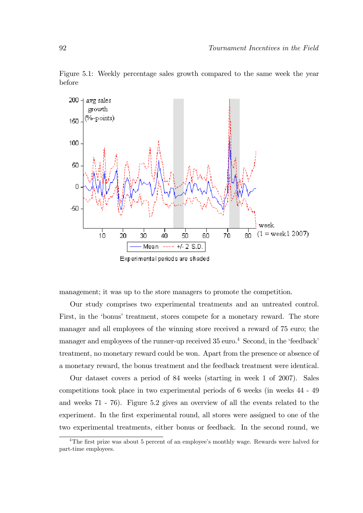

Figure 5.1: Weekly percentage sales growth compared to the same week the year before

management; it was up to the store managers to promote the competition.

Our study comprises two experimental treatments and an untreated control. First, in the 'bonus' treatment, stores compete for a monetary reward. The store manager and all employees of the winning store received a reward of 75 euro; the manager and employees of the runner-up received  $35$  euro.<sup>4</sup> Second, in the 'feedback' treatment, no monetary reward could be won. Apart from the presence or absence of a monetary reward, the bonus treatment and the feedback treatment were identical.

Our dataset covers a period of 84 weeks (starting in week 1 of 2007). Sales competitions took place in two experimental periods of 6 weeks (in weeks 44 - 49 and weeks 71 - 76). Figure 5.2 gives an overview of all the events related to the experiment. In the first experimental round, all stores were assigned to one of the two experimental treatments, either bonus or feedback. In the second round, we

<sup>&</sup>lt;sup>4</sup>The first prize was about 5 percent of an employee's monthly wage. Rewards were halved for part-time employees.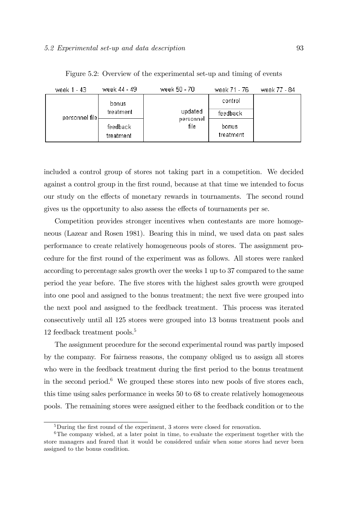| week 1 - 43 <sub>-</sub> | week 44 - 49          | week 50 - 70.     | week 71 - 76 <sub>-</sub> | week 77 - 84 |
|--------------------------|-----------------------|-------------------|---------------------------|--------------|
|                          | bonus                 |                   | control                   |              |
| personnel file}-         | treatment             | updated           | feedback                  |              |
|                          | feedback<br>treatment | personnel<br>file | bonus<br>treatment        |              |

Figure 5.2: Overview of the experimental set-up and timing of events

included a control group of stores not taking part in a competition. We decided against a control group in the first round, because at that time we intended to focus our study on the effects of monetary rewards in tournaments. The second round gives us the opportunity to also assess the effects of tournaments per se.

Competition provides stronger incentives when contestants are more homogeneous (Lazear and Rosen 1981). Bearing this in mind, we used data on past sales performance to create relatively homogeneous pools of stores. The assignment procedure for the first round of the experiment was as follows. All stores were ranked according to percentage sales growth over the weeks 1 up to 37 compared to the same period the year before. The Öve stores with the highest sales growth were grouped into one pool and assigned to the bonus treatment; the next Öve were grouped into the next pool and assigned to the feedback treatment. This process was iterated consecutively until all 125 stores were grouped into 13 bonus treatment pools and 12 feedback treatment pools.<sup>5</sup>

The assignment procedure for the second experimental round was partly imposed by the company. For fairness reasons, the company obliged us to assign all stores who were in the feedback treatment during the first period to the bonus treatment in the second period.<sup>6</sup> We grouped these stores into new pools of five stores each, this time using sales performance in weeks 50 to 68 to create relatively homogeneous pools. The remaining stores were assigned either to the feedback condition or to the

 $5$ During the first round of the experiment, 3 stores were closed for renovation.

<sup>&</sup>lt;sup>6</sup>The company wished, at a later point in time, to evaluate the experiment together with the store managers and feared that it would be considered unfair when some stores had never been assigned to the bonus condition.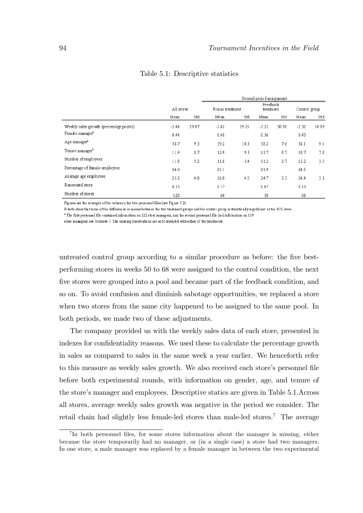|                                         |            |       |                 |       | Second period assignment |       |               |       |
|-----------------------------------------|------------|-------|-----------------|-------|--------------------------|-------|---------------|-------|
|                                         | All stores |       | Bonus treatment |       | Feedback<br>treatment    |       | Control group |       |
|                                         | Mean       | Std   | Mean            | Std   | Mean                     | Std   | Mean          | Std   |
| Weekly sales growth (percentage points) | $-2.44$    | 29.87 | $-2.62$         | 29.21 | $-2.22$                  | 30.90 | $-2.32$       | 30.09 |
| Female manager <sup>a</sup>             | 0.44       |       | 0.48            |       | 0.36                     |       | 0.43          |       |
| Age manager <sup>a</sup>                | 38.7       | 9.3   | 39.2            | 10.3  | 38.2                     | 7.6   | 38.1          | 9.1   |
| Tenure manager <sup>a</sup>             | 11.9       | 8.7   | 12.9            | 9.3   | 11.7                     | 8.7   | 10.7          | 7.8   |
| Number of employees                     | 11.8       | 3.2   | 11.8            | 3.4   | 11.2                     | 2.7   | 12.2          | 3.5   |
| Percentage of female employees          | 84.9       |       | 85.1            |       | 81.9                     |       | 84.5          |       |
| Average age employees                   | 25.2       | 4.0   | 26.0            | 4.5   | 24.7                     | 3.3   | 24.4          | 3.3   |
| Renovated store                         | 0.13       |       | 0.17            |       | 0.07                     |       | 0.13          |       |
| Number of stores                        | 128        |       | 60              |       | 30                       |       | 38            |       |

#### Table 5.1: Descriptive statistics

Figures are the averages of the values in the two personnel files (see Figure 5.2).

F-tests show that none of the differences in means between the two treatment groups and the control group is statistically significant at the 10% level.

\* The first personnel file contained information on 122 store managers, and the second personnel file had information on 119

store maragers; see footnote 7. The missing observations are not correlated with either of the treatments

untreated control group according to a similar procedure as before: the five bestperforming stores in weeks 50 to 68 were assigned to the control condition, the next five stores were grouped into a pool and became part of the feedback condition, and so on. To avoid confusion and diminish sabotage opportunities, we replaced a store when two stores from the same city happened to be assigned to the same pool. In both periods, we made two of these adjustments.

The company provided us with the weekly sales data of each store, presented in indexes for confidentiality reasons. We used these to calculate the percentage growth in sales as compared to sales in the same week a year earlier. We henceforth refer to this measure as weekly sales growth. We also received each store's personnel file before both experimental rounds, with information on gender, age, and tenure of the store's manager and employees. Descriptive statics are given in Table 5.1.Across all stores, average weekly sales growth was negative in the period we consider. The retail chain had slightly less female-led stores than male-led stores.<sup>7</sup> The average

<sup>&</sup>lt;sup>7</sup>In both personnel files, for some stores information about the manager is missing, either because the store temporarily had no manager, or (in a single case) a store had two managers. In one store, a male manager was replaced by a female manager in between the two experimental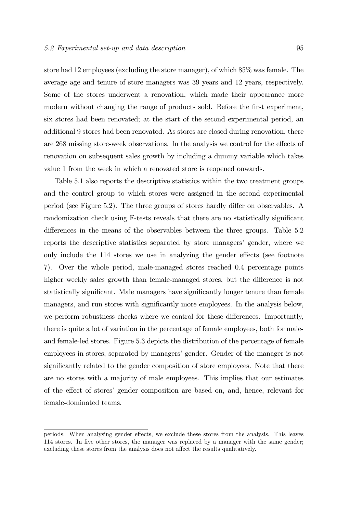store had 12 employees (excluding the store manager), of which 85% was female. The average age and tenure of store managers was 39 years and 12 years, respectively. Some of the stores underwent a renovation, which made their appearance more modern without changing the range of products sold. Before the first experiment, six stores had been renovated; at the start of the second experimental period, an additional 9 stores had been renovated. As stores are closed during renovation, there are 268 missing store-week observations. In the analysis we control for the effects of renovation on subsequent sales growth by including a dummy variable which takes value 1 from the week in which a renovated store is reopened onwards.

Table 5.1 also reports the descriptive statistics within the two treatment groups and the control group to which stores were assigned in the second experimental period (see Figure 5.2). The three groups of stores hardly differ on observables. A randomization check using F-tests reveals that there are no statistically significant differences in the means of the observables between the three groups. Table 5.2 reports the descriptive statistics separated by store managers' gender, where we only include the 114 stores we use in analyzing the gender effects (see footnote 7). Over the whole period, male-managed stores reached 0.4 percentage points higher weekly sales growth than female-managed stores, but the difference is not statistically significant. Male managers have significantly longer tenure than female managers, and run stores with significantly more employees. In the analysis below, we perform robustness checks where we control for these differences. Importantly, there is quite a lot of variation in the percentage of female employees, both for maleand female-led stores. Figure 5.3 depicts the distribution of the percentage of female employees in stores, separated by managers' gender. Gender of the manager is not significantly related to the gender composition of store employees. Note that there are no stores with a majority of male employees. This implies that our estimates of the effect of stores' gender composition are based on, and, hence, relevant for female-dominated teams.

periods. When analysing gender effects, we exclude these stores from the analysis. This leaves 114 stores. In five other stores, the manager was replaced by a manager with the same gender; excluding these stores from the analysis does not affect the results qualitatively.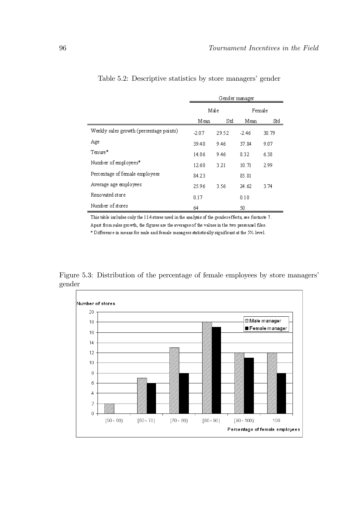|                                         |         | Gender manager |         |       |
|-----------------------------------------|---------|----------------|---------|-------|
|                                         | Male    |                | Female  |       |
|                                         | Mean    | Std            | Mean    | Std   |
| Weekly sales growth (percentage points) | $-2.07$ | 29.52          | $-2.46$ | 30.79 |
| Age                                     | 39.40   | 9.46           | 37.84   | 9.07  |
| Tenure*                                 | 14.86   | 9.46           | 8.32    | 6.38  |
| Number of employees*                    | 12.60   | 3.21           | 10.71   | 2.99  |
| Percentage of female employees          | 84.23   |                | 85.81   |       |
| Average age employees                   | 25.96   | 3.56           | 24.62   | 3.74  |
| Renovated store                         | 0.17    |                | 0.10    |       |
| Number of stores                        | 64      |                | 50.     |       |

Table 5.2: Descriptive statistics by store managers' gender

This table includes only the 114 stores used in the analysis of the gender effects, see footnote 7.

Apart from sales growth, the figures are the averages of the values in the two personnel files.

\* Difference in means for male and female managers statistically significant at the 5% level.

Figure 5.3: Distribution of the percentage of female employees by store managers' gender

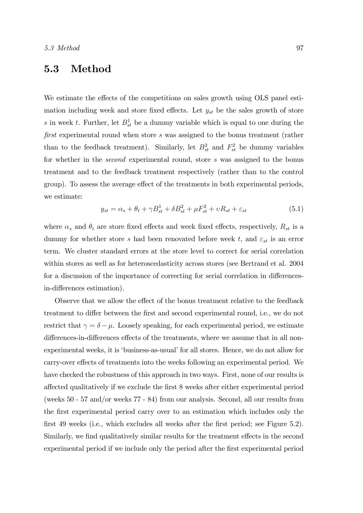#### 5.3 Method

We estimate the effects of the competitions on sales growth using OLS panel estimation including week and store fixed effects. Let  $y_{st}$  be the sales growth of store s in week t. Further, let  $B_{st}^1$  be a dummy variable which is equal to one during the first experimental round when store  $s$  was assigned to the bonus treatment (rather than to the feedback treatment). Similarly, let  $B_{st}^2$  and  $F_{st}^2$  be dummy variables for whether in the second experimental round, store s was assigned to the bonus treatment and to the feedback treatment respectively (rather than to the control group). To assess the average effect of the treatments in both experimental periods, we estimate:

$$
y_{st} = \alpha_s + \theta_t + \gamma B_{st}^1 + \delta B_{st}^2 + \mu F_{st}^2 + \nu R_{st} + \varepsilon_{st}
$$
(5.1)

where  $\alpha_s$  and  $\theta_t$  are store fixed effects and week fixed effects, respectively,  $R_{st}$  is a dummy for whether store s had been renovated before week t, and  $\varepsilon_{st}$  is an error term. We cluster standard errors at the store level to correct for serial correlation within stores as well as for heteroscedasticity across stores (see Bertrand et al. 2004 for a discussion of the importance of correcting for serial correlation in differencesin-differences estimation).

Observe that we allow the effect of the bonus treatment relative to the feedback treatment to differ between the first and second experimental round, i.e., we do not restrict that  $\gamma = \delta - \mu$ . Loosely speaking, for each experimental period, we estimate differences-in-differences effects of the treatments, where we assume that in all nonexperimental weeks, it is 'business-as-usual' for all stores. Hence, we do not allow for carry-over effects of treatments into the weeks following an experimental period. We have checked the robustness of this approach in two ways. First, none of our results is a§ected qualitatively if we exclude the Örst 8 weeks after either experimental period (weeks 50 - 57 and/or weeks 77 - 84) from our analysis. Second, all our results from the Örst experimental period carry over to an estimation which includes only the first 49 weeks (i.e., which excludes all weeks after the first period; see Figure 5.2). Similarly, we find qualitatively similar results for the treatment effects in the second experimental period if we include only the period after the first experimental period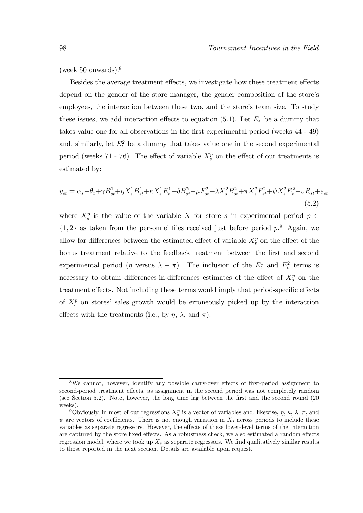(week 50 onwards). $8$ 

Besides the average treatment effects, we investigate how these treatment effects depend on the gender of the store manager, the gender composition of the store's employees, the interaction between these two, and the store's team size. To study these issues, we add interaction effects to equation (5.1). Let  $E_t^1$  be a dummy that takes value one for all observations in the first experimental period (weeks  $44 - 49$ ) and, similarly, let  $E_t^2$  be a dummy that takes value one in the second experimental period (weeks 71 - 76). The effect of variable  $X_s^p$  on the effect of our treatments is estimated by:

$$
y_{st} = \alpha_s + \theta_t + \gamma B_{st}^1 + \eta X_s^1 B_{st}^1 + \kappa X_s^1 E_t^1 + \delta B_{st}^2 + \mu F_{st}^2 + \lambda X_s^2 B_{st}^2 + \pi X_s^2 F_{st}^2 + \psi X_s^2 E_t^2 + \nu R_{st} + \varepsilon_{st}
$$
\n
$$
(5.2)
$$

where  $X_s^p$  is the value of the variable X for store s in experimental period  $p \in$  $\{1, 2\}$  as taken from the personnel files received just before period  $p$ <sup>9</sup>. Again, we allow for differences between the estimated effect of variable  $X_s^p$  on the effect of the bonus treatment relative to the feedback treatment between the first and second experimental period ( $\eta$  versus  $\lambda - \pi$ ). The inclusion of the  $E_t^1$  and  $E_t^2$  terms is necessary to obtain differences-in-differences estimates of the effect of  $X_s^p$  on the treatment effects. Not including these terms would imply that period-specific effects of  $X_s^p$  on stores' sales growth would be erroneously picked up by the interaction effects with the treatments (i.e., by  $\eta$ ,  $\lambda$ , and  $\pi$ ).

 $8$ We cannot, however, identify any possible carry-over effects of first-period assignment to second-period treatment effects, as assignment in the second period was not completely random (see Section 5.2). Note, however, the long time lag between the first and the second round (20) weeks).

<sup>&</sup>lt;sup>9</sup>Obviously, in most of our regressions  $X_s^p$  is a vector of variables and, likewise,  $\eta$ ,  $\kappa$ ,  $\lambda$ ,  $\pi$ , and  $\psi$  are vectors of coefficients. There is not enough variation in  $X_s$  across periods to include these variables as separate regressors. However, the effects of these lower-level terms of the interaction are captured by the store fixed effects. As a robustness check, we also estimated a random effects regression model, where we took up  $X_s$  as separate regressors. We find qualitatively similar results to those reported in the next section. Details are available upon request.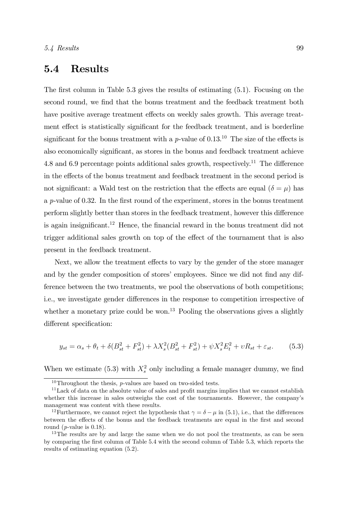### 5.4 Results

The first column in Table 5.3 gives the results of estimating  $(5.1)$ . Focusing on the second round, we find that the bonus treatment and the feedback treatment both have positive average treatment effects on weekly sales growth. This average treatment effect is statistically significant for the feedback treatment, and is borderline significant for the bonus treatment with a p-value of  $0.13^{10}$ . The size of the effects is also economically significant, as stores in the bonus and feedback treatment achieve 4.8 and 6.9 percentage points additional sales growth, respectively.<sup>11</sup> The difference in the effects of the bonus treatment and feedback treatment in the second period is not significant: a Wald test on the restriction that the effects are equal  $(\delta = \mu)$  has a p-value of 0.32. In the first round of the experiment, stores in the bonus treatment perform slightly better than stores in the feedback treatment, however this difference is again insignificant.<sup>12</sup> Hence, the financial reward in the bonus treatment did not trigger additional sales growth on top of the effect of the tournament that is also present in the feedback treatment.

Next, we allow the treatment effects to vary by the gender of the store manager and by the gender composition of stores' employees. Since we did not find any difference between the two treatments, we pool the observations of both competitions; i.e., we investigate gender differences in the response to competition irrespective of whether a monetary prize could be won.<sup>13</sup> Pooling the observations gives a slightly different specification:

$$
y_{st} = \alpha_s + \theta_t + \delta(B_{st}^2 + F_{st}^2) + \lambda X_s^2 (B_{st}^2 + F_{st}^2) + \psi X_s^2 E_t^2 + \nu R_{st} + \varepsilon_{st}.
$$
 (5.3)

When we estimate (5.3) with  $X_s^2$  only including a female manager dummy, we find

<sup>&</sup>lt;sup>10</sup>Throughout the thesis, *p*-values are based on two-sided tests.

 $11$ Lack of data on the absolute value of sales and profit margins implies that we cannot establish whether this increase in sales outweighs the cost of the tournaments. However, the company's management was content with these results.

<sup>&</sup>lt;sup>12</sup> Furthermore, we cannot reject the hypothesis that  $\gamma = \delta - \mu$  in (5.1), i.e., that the differences between the effects of the bonus and the feedback treatments are equal in the first and second round ( $p$ -value is 0.18).

<sup>&</sup>lt;sup>13</sup>The results are by and large the same when we do not pool the treatments, as can be seen by comparing the first column of Table 5.4 with the second column of Table 5.3, which reports the results of estimating equation (5.2).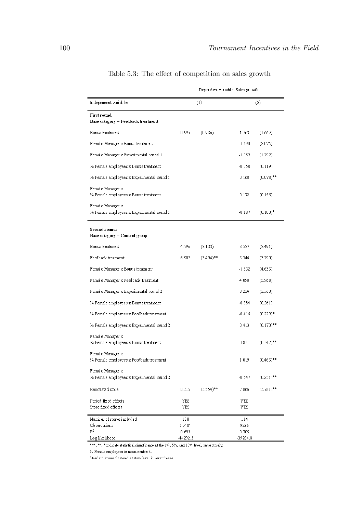| Independent van ables                                         | Dependent variable: Sales growth |              |                     |              |  |
|---------------------------------------------------------------|----------------------------------|--------------|---------------------|--------------|--|
|                                                               | (1)                              |              | (2)                 |              |  |
| <b>First round:</b>                                           |                                  |              |                     |              |  |
| Base category = Feedback treatment                            |                                  |              |                     |              |  |
| Bonus treatment                                               | 0.995                            | (0.986)      | 1.763               | (1.667)      |  |
| Female Manager x Bonus treatment                              |                                  |              | $-1.590$            | (2.075)      |  |
| Female Manager x Experimental round 1                         |                                  |              | $-1.057$            | (1.292)      |  |
| % Female employees x Bonus treatment                          |                                  |              | $-0.058$            | (0.119)      |  |
| % Female employees x Experimental round 1                     |                                  |              | 0.168               | $(0.078)$ ** |  |
| Female Manager x<br>% Female employees x Bonus treatment      |                                  |              | 0.172               | (0.155)      |  |
| Female Manager x<br>% Female employees x Experimental round 1 |                                  |              | $-0.187$            | $(0.100)*$   |  |
| Second round:<br>Base category = Control group                |                                  |              |                     |              |  |
| Bonus treatment                                               | 4.796                            | (3.133)      | 3.537               | (3.491)      |  |
| Feedback treatment                                            | 6.902                            | $(3.494)$ ** | 3.346               | (3.290)      |  |
| Female Manager x Bonus treatment                              |                                  |              | $-1.832$            | (4.633)      |  |
| Female Manager x Feedback treatment                           |                                  |              | 4.098               | (5.968)      |  |
| Female Manager x Experimental round 2                         |                                  |              | 3.234               | (3.563)      |  |
| % Female employees x Bonus treatment                          |                                  |              | $-0.384$            | (0.261)      |  |
| % Female employees x Feedback treatment                       |                                  |              | $-0.416$            | $(0.229)*$   |  |
| % Female employees x Experimental round 2                     |                                  |              | 0.413               | $(0.170)$ ** |  |
| Female Manager x<br>% Female employees x Bonus treatment      |                                  |              | 0.831               | $(0.347)$ ** |  |
| Female Manager x<br>% Female employees x Feedback treatment   |                                  |              | 1.019               | $(0.463)$ ** |  |
| Female Manager x<br>% Female employees x Experimental round 2 |                                  |              | $-0.547$            | $(0.231)$ ** |  |
| Renovated store                                               | 8.315                            | $(3.554)$ ** | 7.866               | $(3,781)$ ** |  |
| Period fixed effects                                          | YES                              |              | YES                 |              |  |
| Store fixed effects                                           | YES                              |              | YES                 |              |  |
| Number of stores included                                     | 128                              |              | 114                 |              |  |
| Observations                                                  | 10484                            |              | 9326                |              |  |
| $R^2$<br>Log likelihood                                       | 0.693<br>$-44292.3$              |              | 0.705<br>$-39284.8$ |              |  |

Table 5.3: The effect of competition on sales growth

 $\frac{\text{Log likelihood}}{***,\text{**},\text{**},\text{the indicate statistical significance at the 1\%,5\%, and 10\% level, respectively.}}$ 

 $\%$  Female employees is mean-centered.

Standard errors clustered at store level in parentheses.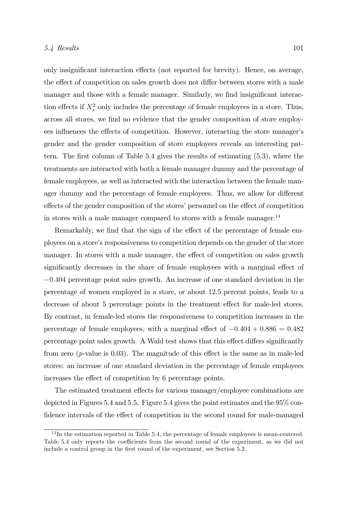only insignificant interaction effects (not reported for brevity). Hence, on average, the effect of competition on sales growth does not differ between stores with a male manager and those with a female manager. Similarly, we find insignificant interaction effects if  $X_s^2$  only includes the percentage of female employees in a store. Thus, across all stores, we find no evidence that the gender composition of store employees influences the effects of competition. However, interacting the store manager's gender and the gender composition of store employees reveals an interesting pattern. The first column of Table  $5.4$  gives the results of estimating  $(5.3)$ , where the treatments are interacted with both a female manager dummy and the percentage of female employees, as well as interacted with the interaction between the female manager dummy and the percentage of female employees. Thus, we allow for different effects of the gender composition of the stores' personnel on the effect of competition in stores with a male manager compared to stores with a female manager.<sup>14</sup>

Remarkably, we find that the sign of the effect of the percentage of female employees on a store's responsiveness to competition depends on the gender of the store manager. In stores with a male manager, the effect of competition on sales growth significantly decreases in the share of female employees with a marginal effect of  $-0.404$  percentage point sales growth. An increase of one standard deviation in the percentage of women employed in a store, or about 12.5 percent points, leads to a decrease of about 5 percentage points in the treatment effect for male-led stores. By contrast, in female-led stores the responsiveness to competition increases in the percentage of female employees, with a marginal effect of  $-0.404 + 0.886 = 0.482$ percentage point sales growth. A Wald test shows that this effect differs significantly from zero ( $p$ -value is 0.03). The magnitude of this effect is the same as in male-led stores: an increase of one standard deviation in the percentage of female employees increases the effect of competition by 6 percentage points.

The estimated treatment effects for various manager/employee combinations are depicted in Figures 5.4 and 5.5. Figure 5.4 gives the point estimates and the 95% confidence intervals of the effect of competition in the second round for male-managed

 $14$ In the estimation reported in Table 5.4, the percentage of female employees is mean-centered. Table 5.4 only reports the coefficients from the second round of the experiment, as we did not include a control group in the first round of the experiment, see Section 5.2.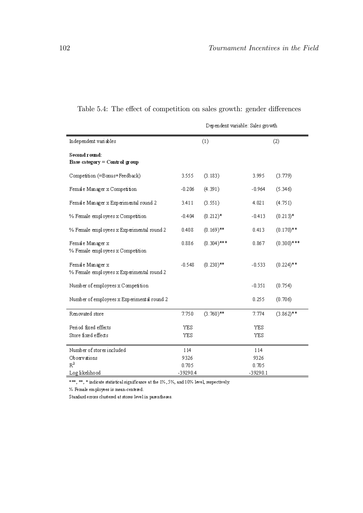|                                                               |            | Dependent variable: Sales growth |            |               |  |
|---------------------------------------------------------------|------------|----------------------------------|------------|---------------|--|
| Independent van ables                                         | (1)        |                                  | (2)        |               |  |
| Second round:<br>Base category = Control group                |            |                                  |            |               |  |
| Competition (=Bonus+Feedback)                                 | 3.555      | (3.183)                          | 3.995      | (3.779)       |  |
| Female Manager x Competition                                  | $-0.206$   | (4.391)                          | $-0.964$   | (5.346)       |  |
| Female Manager x Experimental round 2                         | 3.411      | (3.551)                          | 4.021      | (4.751)       |  |
| % Female employees x Competition                              | $-0.404$   | $(0.212)*$                       | $-0.413$   | $(0.213)*$    |  |
| % Female employees x Experimental round 2                     | 0.408      | $(0.169)$ **                     | 0.413      | $(0.170)**$   |  |
| Female Manager x<br>% Female employees x Competition          | 0.886      | $(0.304)$ ***                    | 0.867      | $(0.300)$ *** |  |
| Female Manager x<br>% Female employees x Experimental round 2 | $-0.548$   | $(0.230)$ **                     | $-0.533$   | $(0.224)$ **  |  |
| Number of employees x Competition                             |            |                                  | $-0.351$   | (0.754)       |  |
| Number of employees x Experimental round 2                    |            |                                  | 0.255      | (0.706)       |  |
| Renovated store                                               | 7.750      | $(3.760)$ **                     | 7.774      | $(3.862)$ **  |  |
| Period fixed effects                                          | YES        |                                  | YES        |               |  |
| Store fixed effects                                           | YES        |                                  | YES        |               |  |
| Number of stores included                                     | 114        |                                  | 114        |               |  |
| Observations                                                  | 9326       |                                  | 9326       |               |  |
| R <sup>2</sup>                                                | 0.705      |                                  | 0.705      |               |  |
| Log likelihood                                                | $-39290.4$ |                                  | $-39290.1$ |               |  |

Table 5.4: The effect of competition on sales growth: gender differences

\*\*\*, \*\*, \* indicate statistical significance at the  $1\%$  ,  $5\%$  , and  $10\%$  level, respectively.

 $\%$  Female employees is mean-centered.

Standard errors clustered at stores level in parentheses.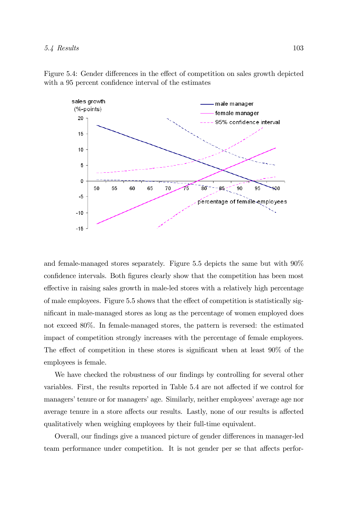

Figure 5.4: Gender differences in the effect of competition on sales growth depicted with a 95 percent confidence interval of the estimates

and female-managed stores separately. Figure 5.5 depicts the same but with 90% confidence intervals. Both figures clearly show that the competition has been most effective in raising sales growth in male-led stores with a relatively high percentage of male employees. Figure  $5.5$  shows that the effect of competition is statistically significant in male-managed stores as long as the percentage of women employed does not exceed 80%. In female-managed stores, the pattern is reversed: the estimated impact of competition strongly increases with the percentage of female employees. The effect of competition in these stores is significant when at least  $90\%$  of the employees is female.

We have checked the robustness of our findings by controlling for several other variables. First, the results reported in Table 5.4 are not affected if we control for managers' tenure or for managers' age. Similarly, neither employees' average age nor average tenure in a store affects our results. Lastly, none of our results is affected qualitatively when weighing employees by their full-time equivalent.

Overall, our findings give a nuanced picture of gender differences in manager-led team performance under competition. It is not gender per se that affects perfor-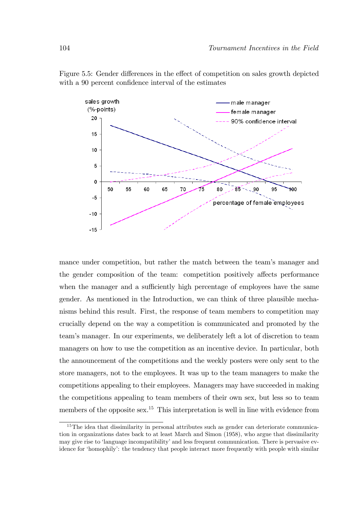



mance under competition, but rather the match between the team's manager and the gender composition of the team: competition positively affects performance when the manager and a sufficiently high percentage of employees have the same gender. As mentioned in the Introduction, we can think of three plausible mechanisms behind this result. First, the response of team members to competition may crucially depend on the way a competition is communicated and promoted by the teamís manager. In our experiments, we deliberately left a lot of discretion to team managers on how to use the competition as an incentive device. In particular, both the announcement of the competitions and the weekly posters were only sent to the store managers, not to the employees. It was up to the team managers to make the competitions appealing to their employees. Managers may have succeeded in making the competitions appealing to team members of their own sex, but less so to team members of the opposite sex.<sup>15</sup> This interpretation is well in line with evidence from

<sup>&</sup>lt;sup>15</sup>The idea that dissimilarity in personal attributes such as gender can deteriorate communication in organizations dates back to at least March and Simon (1958), who argue that dissimilarity may give rise to 'language incompatibility' and less frequent communication. There is pervasive evidence for 'homophily': the tendency that people interact more frequently with people with similar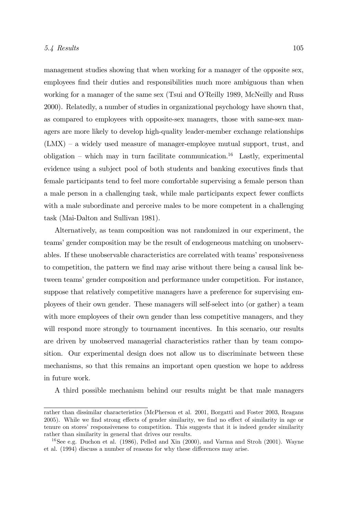management studies showing that when working for a manager of the opposite sex, employees find their duties and responsibilities much more ambiguous than when working for a manager of the same sex (Tsui and O'Reilly 1989, McNeilly and Russ 2000). Relatedly, a number of studies in organizational psychology have shown that, as compared to employees with opposite-sex managers, those with same-sex managers are more likely to develop high-quality leader-member exchange relationships  $(LMX) - a$  widely used measure of manager-employee mutual support, trust, and obligation – which may in turn facilitate communication.<sup>16</sup> Lastly, experimental evidence using a subject pool of both students and banking executives finds that female participants tend to feel more comfortable supervising a female person than a male person in a challenging task, while male participants expect fewer conflicts with a male subordinate and perceive males to be more competent in a challenging task (Mai-Dalton and Sullivan 1981).

Alternatively, as team composition was not randomized in our experiment, the teams' gender composition may be the result of endogeneous matching on unobservables. If these unobservable characteristics are correlated with teams' responsiveness to competition, the pattern we find may arise without there being a causal link between teams' gender composition and performance under competition. For instance, suppose that relatively competitive managers have a preference for supervising employees of their own gender. These managers will self-select into (or gather) a team with more employees of their own gender than less competitive managers, and they will respond more strongly to tournament incentives. In this scenario, our results are driven by unobserved managerial characteristics rather than by team composition. Our experimental design does not allow us to discriminate between these mechanisms, so that this remains an important open question we hope to address in future work.

A third possible mechanism behind our results might be that male managers

rather than dissimilar characteristics (McPherson et al. 2001, Borgatti and Foster 2003, Reagans 2005). While we find strong effects of gender similarity, we find no effect of similarity in age or tenure on stores' responsiveness to competition. This suggests that it is indeed gender similarity rather than similarity in general that drives our results.

<sup>16</sup>See e.g. Duchon et al. (1986), Pelled and Xin (2000), and Varma and Stroh (2001). Wayne et al.  $(1994)$  discuss a number of reasons for why these differences may arise.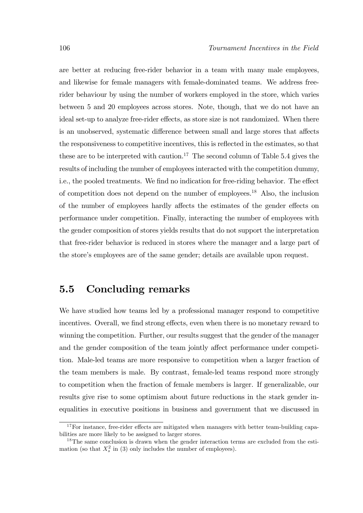are better at reducing free-rider behavior in a team with many male employees, and likewise for female managers with female-dominated teams. We address freerider behaviour by using the number of workers employed in the store, which varies between 5 and 20 employees across stores. Note, though, that we do not have an ideal set-up to analyze free-rider effects, as store size is not randomized. When there is an unobserved, systematic difference between small and large stores that affects the responsiveness to competitive incentives, this is reflected in the estimates, so that these are to be interpreted with caution.<sup>17</sup> The second column of Table 5.4 gives the results of including the number of employees interacted with the competition dummy, i.e., the pooled treatments. We find no indication for free-riding behavior. The effect of competition does not depend on the number of employees.<sup>18</sup> Also, the inclusion of the number of employees hardly affects the estimates of the gender effects on performance under competition. Finally, interacting the number of employees with the gender composition of stores yields results that do not support the interpretation that free-rider behavior is reduced in stores where the manager and a large part of the store's employees are of the same gender; details are available upon request.

## 5.5 Concluding remarks

We have studied how teams led by a professional manager respond to competitive incentives. Overall, we find strong effects, even when there is no monetary reward to winning the competition. Further, our results suggest that the gender of the manager and the gender composition of the team jointly affect performance under competition. Male-led teams are more responsive to competition when a larger fraction of the team members is male. By contrast, female-led teams respond more strongly to competition when the fraction of female members is larger. If generalizable, our results give rise to some optimism about future reductions in the stark gender inequalities in executive positions in business and government that we discussed in

 $17$  For instance, free-rider effects are mitigated when managers with better team-building capabilities are more likely to be assigned to larger stores.

<sup>&</sup>lt;sup>18</sup>The same conclusion is drawn when the gender interaction terms are excluded from the estimation (so that  $X_s^2$  in (3) only includes the number of employees).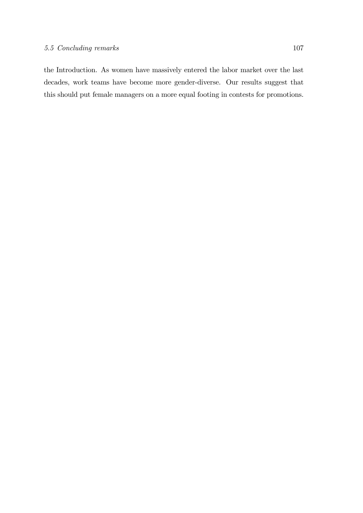the Introduction. As women have massively entered the labor market over the last decades, work teams have become more gender-diverse. Our results suggest that this should put female managers on a more equal footing in contests for promotions.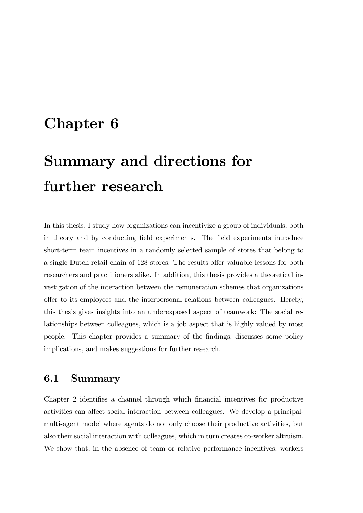## Chapter 6

# Summary and directions for further research

In this thesis, I study how organizations can incentivize a group of individuals, both in theory and by conducting field experiments. The field experiments introduce short-term team incentives in a randomly selected sample of stores that belong to a single Dutch retail chain of 128 stores. The results offer valuable lessons for both researchers and practitioners alike. In addition, this thesis provides a theoretical investigation of the interaction between the remuneration schemes that organizations o§er to its employees and the interpersonal relations between colleagues. Hereby, this thesis gives insights into an underexposed aspect of teamwork: The social relationships between colleagues, which is a job aspect that is highly valued by most people. This chapter provides a summary of the Öndings, discusses some policy implications, and makes suggestions for further research.

## 6.1 Summary

Chapter 2 identifies a channel through which financial incentives for productive activities can affect social interaction between colleagues. We develop a principalmulti-agent model where agents do not only choose their productive activities, but also their social interaction with colleagues, which in turn creates co-worker altruism. We show that, in the absence of team or relative performance incentives, workers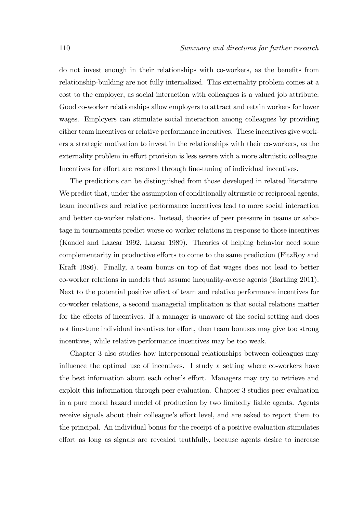do not invest enough in their relationships with co-workers, as the benefits from relationship-building are not fully internalized. This externality problem comes at a cost to the employer, as social interaction with colleagues is a valued job attribute: Good co-worker relationships allow employers to attract and retain workers for lower wages. Employers can stimulate social interaction among colleagues by providing either team incentives or relative performance incentives. These incentives give workers a strategic motivation to invest in the relationships with their co-workers, as the externality problem in effort provision is less severe with a more altruistic colleague. Incentives for effort are restored through fine-tuning of individual incentives.

The predictions can be distinguished from those developed in related literature. We predict that, under the assumption of conditionally altruistic or reciprocal agents, team incentives and relative performance incentives lead to more social interaction and better co-worker relations. Instead, theories of peer pressure in teams or sabotage in tournaments predict worse co-worker relations in response to those incentives (Kandel and Lazear 1992, Lazear 1989). Theories of helping behavior need some complementarity in productive efforts to come to the same prediction (FitzRoy and Kraft 1986). Finally, a team bonus on top of flat wages does not lead to better co-worker relations in models that assume inequality-averse agents (Bartling 2011). Next to the potential positive effect of team and relative performance incentives for co-worker relations, a second managerial implication is that social relations matter for the effects of incentives. If a manager is unaware of the social setting and does not fine-tune individual incentives for effort, then team bonuses may give too strong incentives, while relative performance incentives may be too weak.

Chapter 3 also studies how interpersonal relationships between colleagues may influence the optimal use of incentives. I study a setting where co-workers have the best information about each other's effort. Managers may try to retrieve and exploit this information through peer evaluation. Chapter 3 studies peer evaluation in a pure moral hazard model of production by two limitedly liable agents. Agents receive signals about their colleague's effort level, and are asked to report them to the principal. An individual bonus for the receipt of a positive evaluation stimulates effort as long as signals are revealed truthfully, because agents desire to increase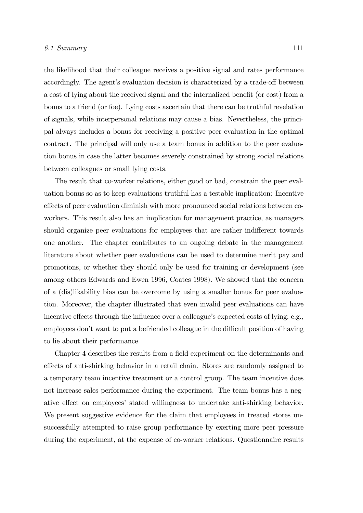the likelihood that their colleague receives a positive signal and rates performance accordingly. The agent's evaluation decision is characterized by a trade-off between a cost of lying about the received signal and the internalized benefit (or cost) from a bonus to a friend (or foe). Lying costs ascertain that there can be truthful revelation of signals, while interpersonal relations may cause a bias. Nevertheless, the principal always includes a bonus for receiving a positive peer evaluation in the optimal contract. The principal will only use a team bonus in addition to the peer evaluation bonus in case the latter becomes severely constrained by strong social relations between colleagues or small lying costs.

The result that co-worker relations, either good or bad, constrain the peer evaluation bonus so as to keep evaluations truthful has a testable implication: Incentive effects of peer evaluation diminish with more pronounced social relations between coworkers. This result also has an implication for management practice, as managers should organize peer evaluations for employees that are rather indifferent towards one another. The chapter contributes to an ongoing debate in the management literature about whether peer evaluations can be used to determine merit pay and promotions, or whether they should only be used for training or development (see among others Edwards and Ewen 1996, Coates 1998). We showed that the concern of a (dis)likability bias can be overcome by using a smaller bonus for peer evaluation. Moreover, the chapter illustrated that even invalid peer evaluations can have incentive effects through the influence over a colleague's expected costs of lying; e.g., employees don't want to put a befriended colleague in the difficult position of having to lie about their performance.

Chapter 4 describes the results from a field experiment on the determinants and effects of anti-shirking behavior in a retail chain. Stores are randomly assigned to a temporary team incentive treatment or a control group. The team incentive does not increase sales performance during the experiment. The team bonus has a negative effect on employees' stated willingness to undertake anti-shirking behavior. We present suggestive evidence for the claim that employees in treated stores unsuccessfully attempted to raise group performance by exerting more peer pressure during the experiment, at the expense of co-worker relations. Questionnaire results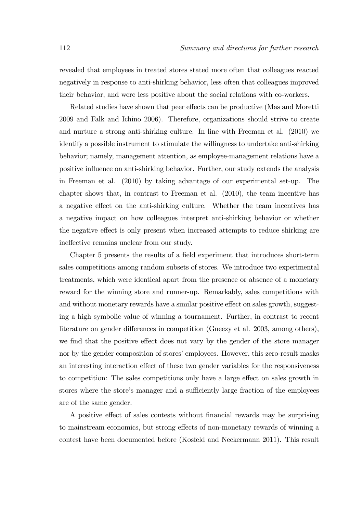revealed that employees in treated stores stated more often that colleagues reacted negatively in response to anti-shirking behavior, less often that colleagues improved their behavior, and were less positive about the social relations with co-workers.

Related studies have shown that peer effects can be productive (Mas and Moretti 2009 and Falk and Ichino 2006). Therefore, organizations should strive to create and nurture a strong anti-shirking culture. In line with Freeman et al. (2010) we identify a possible instrument to stimulate the willingness to undertake anti-shirking behavior; namely, management attention, as employee-management relations have a positive ináuence on anti-shirking behavior. Further, our study extends the analysis in Freeman et al. (2010) by taking advantage of our experimental set-up. The chapter shows that, in contrast to Freeman et al. (2010), the team incentive has a negative effect on the anti-shirking culture. Whether the team incentives has a negative impact on how colleagues interpret anti-shirking behavior or whether the negative effect is only present when increased attempts to reduce shirking are ineffective remains unclear from our study.

Chapter 5 presents the results of a field experiment that introduces short-term sales competitions among random subsets of stores. We introduce two experimental treatments, which were identical apart from the presence or absence of a monetary reward for the winning store and runner-up. Remarkably, sales competitions with and without monetary rewards have a similar positive effect on sales growth, suggesting a high symbolic value of winning a tournament. Further, in contrast to recent literature on gender differences in competition (Gneezy et al. 2003, among others), we find that the positive effect does not vary by the gender of the store manager nor by the gender composition of stores' employees. However, this zero-result masks an interesting interaction effect of these two gender variables for the responsiveness to competition: The sales competitions only have a large effect on sales growth in stores where the store's manager and a sufficiently large fraction of the employees are of the same gender.

A positive effect of sales contests without financial rewards may be surprising to mainstream economics, but strong effects of non-monetary rewards of winning a contest have been documented before (Kosfeld and Neckermann 2011). This result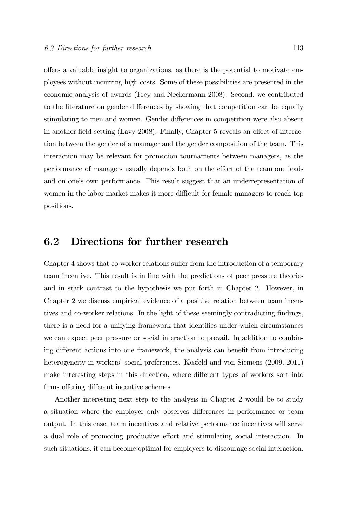offers a valuable insight to organizations, as there is the potential to motivate employees without incurring high costs. Some of these possibilities are presented in the economic analysis of awards (Frey and Neckermann 2008). Second, we contributed to the literature on gender differences by showing that competition can be equally stimulating to men and women. Gender differences in competition were also absent in another field setting (Lavy 2008). Finally, Chapter 5 reveals an effect of interaction between the gender of a manager and the gender composition of the team. This interaction may be relevant for promotion tournaments between managers, as the performance of managers usually depends both on the effort of the team one leads and on one's own performance. This result suggest that an underrepresentation of women in the labor market makes it more difficult for female managers to reach top positions.

## 6.2 Directions for further research

Chapter 4 shows that co-worker relations suffer from the introduction of a temporary team incentive. This result is in line with the predictions of peer pressure theories and in stark contrast to the hypothesis we put forth in Chapter 2. However, in Chapter 2 we discuss empirical evidence of a positive relation between team incentives and co-worker relations. In the light of these seemingly contradicting findings, there is a need for a unifying framework that identifies under which circumstances we can expect peer pressure or social interaction to prevail. In addition to combining different actions into one framework, the analysis can benefit from introducing heterogeneity in workers' social preferences. Kosfeld and von Siemens (2009, 2011) make interesting steps in this direction, where different types of workers sort into firms offering different incentive schemes.

Another interesting next step to the analysis in Chapter 2 would be to study a situation where the employer only observes differences in performance or team output. In this case, team incentives and relative performance incentives will serve a dual role of promoting productive effort and stimulating social interaction. In such situations, it can become optimal for employers to discourage social interaction.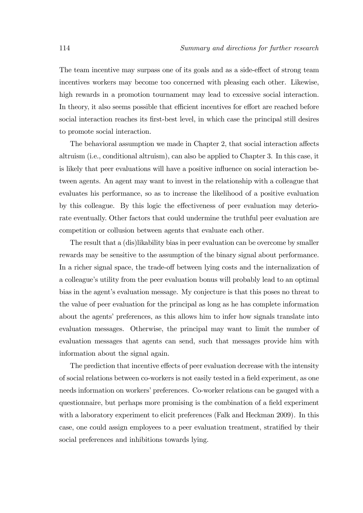The team incentive may surpass one of its goals and as a side-effect of strong team incentives workers may become too concerned with pleasing each other. Likewise, high rewards in a promotion tournament may lead to excessive social interaction. In theory, it also seems possible that efficient incentives for effort are reached before social interaction reaches its first-best level, in which case the principal still desires to promote social interaction.

The behavioral assumption we made in Chapter 2, that social interaction affects altruism (i.e., conditional altruism), can also be applied to Chapter 3. In this case, it is likely that peer evaluations will have a positive influence on social interaction between agents. An agent may want to invest in the relationship with a colleague that evaluates his performance, so as to increase the likelihood of a positive evaluation by this colleague. By this logic the effectiveness of peer evaluation may deteriorate eventually. Other factors that could undermine the truthful peer evaluation are competition or collusion between agents that evaluate each other.

The result that a (dis)likability bias in peer evaluation can be overcome by smaller rewards may be sensitive to the assumption of the binary signal about performance. In a richer signal space, the trade-off between lying costs and the internalization of a colleague's utility from the peer evaluation bonus will probably lead to an optimal bias in the agent's evaluation message. My conjecture is that this poses no threat to the value of peer evaluation for the principal as long as he has complete information about the agents' preferences, as this allows him to infer how signals translate into evaluation messages. Otherwise, the principal may want to limit the number of evaluation messages that agents can send, such that messages provide him with information about the signal again.

The prediction that incentive effects of peer evaluation decrease with the intensity of social relations between co-workers is not easily tested in a field experiment, as one needs information on workers' preferences. Co-worker relations can be gauged with a questionnaire, but perhaps more promising is the combination of a field experiment with a laboratory experiment to elicit preferences (Falk and Heckman 2009). In this case, one could assign employees to a peer evaluation treatment, stratified by their social preferences and inhibitions towards lying.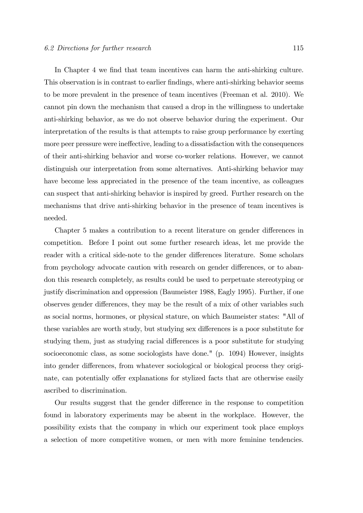In Chapter 4 we find that team incentives can harm the anti-shirking culture. This observation is in contrast to earlier findings, where anti-shirking behavior seems to be more prevalent in the presence of team incentives (Freeman et al. 2010). We cannot pin down the mechanism that caused a drop in the willingness to undertake anti-shirking behavior, as we do not observe behavior during the experiment. Our interpretation of the results is that attempts to raise group performance by exerting more peer pressure were ineffective, leading to a dissatisfaction with the consequences of their anti-shirking behavior and worse co-worker relations. However, we cannot distinguish our interpretation from some alternatives. Anti-shirking behavior may have become less appreciated in the presence of the team incentive, as colleagues can suspect that anti-shirking behavior is inspired by greed. Further research on the mechanisms that drive anti-shirking behavior in the presence of team incentives is needed.

Chapter 5 makes a contribution to a recent literature on gender differences in competition. Before I point out some further research ideas, let me provide the reader with a critical side-note to the gender differences literature. Some scholars from psychology advocate caution with research on gender differences, or to abandon this research completely, as results could be used to perpetuate stereotyping or justify discrimination and oppression (Baumeister 1988, Eagly 1995). Further, if one observes gender differences, they may be the result of a mix of other variables such as social norms, hormones, or physical stature, on which Baumeister states: "All of these variables are worth study, but studying sex differences is a poor substitute for studying them, just as studying racial differences is a poor substitute for studying socioeconomic class, as some sociologists have done." (p. 1094) However, insights into gender differences, from whatever sociological or biological process they originate, can potentially offer explanations for stylized facts that are otherwise easily ascribed to discrimination.

Our results suggest that the gender difference in the response to competition found in laboratory experiments may be absent in the workplace. However, the possibility exists that the company in which our experiment took place employs a selection of more competitive women, or men with more feminine tendencies.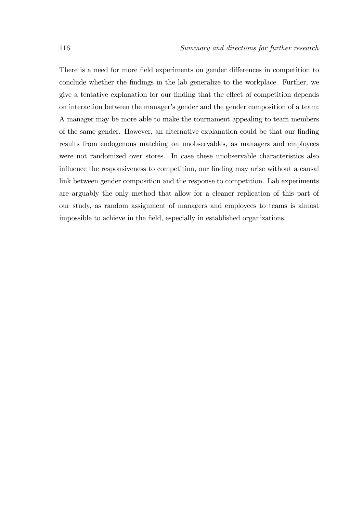There is a need for more field experiments on gender differences in competition to conclude whether the Öndings in the lab generalize to the workplace. Further, we give a tentative explanation for our finding that the effect of competition depends on interaction between the manager's gender and the gender composition of a team: A manager may be more able to make the tournament appealing to team members of the same gender. However, an alternative explanation could be that our finding results from endogenous matching on unobservables, as managers and employees were not randomized over stores. In case these unobservable characteristics also influence the responsiveness to competition, our finding may arise without a causal link between gender composition and the response to competition. Lab experiments are arguably the only method that allow for a cleaner replication of this part of our study, as random assignment of managers and employees to teams is almost impossible to achieve in the Öeld, especially in established organizations.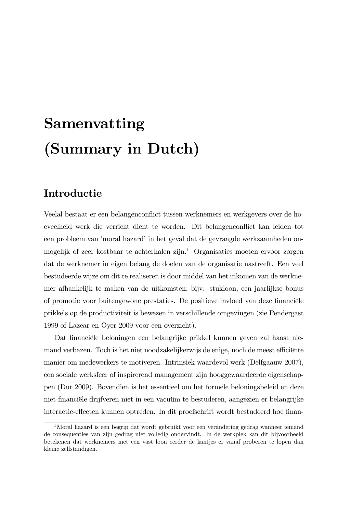# Samenvatting (Summary in Dutch)

## Introductie

Veelal bestaat er een belangenconáict tussen werknemers en werkgevers over de hoeveelheid werk die verricht dient te worden. Dit belangenconáict kan leiden tot een probleem van 'moral hazard' in het geval dat de gevraagde werkzaamheden onmogelijk of zeer kostbaar te achterhalen zijn.<sup>1</sup> Organisaties moeten ervoor zorgen dat de werknemer in eigen belang de doelen van de organisatie nastreeft. Een veel bestudeerde wijze om dit te realiseren is door middel van het inkomen van de werknemer afhankelijk te maken van de uitkomsten; bijv. stukloon, een jaarlijkse bonus of promotie voor buitengewone prestaties. De positieve invloed van deze financiële prikkels op de productiviteit is bewezen in verschillende omgevingen (zie Pendergast 1999 of Lazear en Oyer 2009 voor een overzicht).

Dat financiële beloningen een belangrijke prikkel kunnen geven zal haast niemand verbazen. Toch is het niet noodzakelijkerwijs de enige, noch de meest efficiënte manier om medewerkers te motiveren. Intrinsiek waardevol werk (Delfgaauw 2007), een sociale werksfeer of inspirerend management zijn hooggewaardeerde eigenschappen (Dur 2009). Bovendien is het essentieel om het formele beloningsbeleid en deze niet-financiële drijfveren niet in een vacuum te bestuderen, aangezien er belangrijke interactie-effecten kunnen optreden. In dit proefschrift wordt bestudeerd hoe finan-

<sup>1</sup>Moral hazard is een begrip dat wordt gebruikt voor een verandering gedrag wanneer iemand de consequenties van zijn gedrag niet volledig ondervindt. In de werkplek kan dit bijvoorbeeld betekenen dat werknemers met een vast loon eerder de kantjes er vanaf proberen te lopen dan kleine zelfstandigen.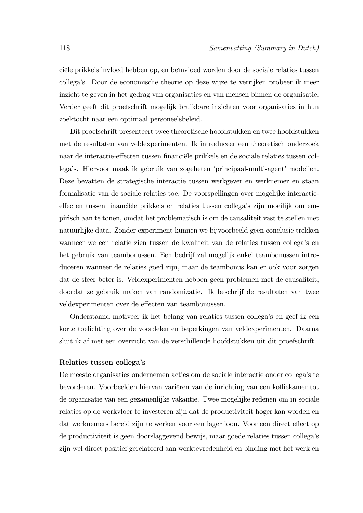ciële prikkels invloed hebben op, en beïnvloed worden door de sociale relaties tussen collegaís. Door de economische theorie op deze wijze te verrijken probeer ik meer inzicht te geven in het gedrag van organisaties en van mensen binnen de organisatie. Verder geeft dit proefschrift mogelijk bruikbare inzichten voor organisaties in hun zoektocht naar een optimaal personeelsbeleid.

Dit proefschrift presenteert twee theoretische hoofdstukken en twee hoofdstukken met de resultaten van veldexperimenten. Ik introduceer een theoretisch onderzoek naar de interactie-effecten tussen financiële prikkels en de sociale relaties tussen collega's. Hiervoor maak ik gebruik van zogeheten 'principaal-multi-agent' modellen. Deze bevatten de strategische interactie tussen werkgever en werknemer en staan formalisatie van de sociale relaties toe. De voorspellingen over mogelijke interactieeffecten tussen financiële prikkels en relaties tussen collega's zijn moeilijk om empirisch aan te tonen, omdat het problematisch is om de causaliteit vast te stellen met natuurlijke data. Zonder experiment kunnen we bijvoorbeeld geen conclusie trekken wanneer we een relatie zien tussen de kwaliteit van de relaties tussen collegaís en het gebruik van teambonussen. Een bedrijf zal mogelijk enkel teambonussen introduceren wanneer de relaties goed zijn, maar de teambonus kan er ook voor zorgen dat de sfeer beter is. Veldexperimenten hebben geen problemen met de causaliteit, doordat ze gebruik maken van randomizatie. Ik beschrijf de resultaten van twee veldexperimenten over de effecten van teambonussen.

Onderstaand motiveer ik het belang van relaties tussen collegaís en geef ik een korte toelichting over de voordelen en beperkingen van veldexperimenten. Daarna sluit ik af met een overzicht van de verschillende hoofdstukken uit dit proefschrift.

#### Relaties tussen collega's

De meeste organisaties ondernemen acties om de sociale interactie onder collegaís te bevorderen. Voorbeelden hiervan variëren van de inrichting van een koffiekamer tot de organisatie van een gezamenlijke vakantie. Twee mogelijke redenen om in sociale relaties op de werkvloer te investeren zijn dat de productiviteit hoger kan worden en dat werknemers bereid zijn te werken voor een lager loon. Voor een direct effect op de productiviteit is geen doorslaggevend bewijs, maar goede relaties tussen collegaís zijn wel direct positief gerelateerd aan werktevredenheid en binding met het werk en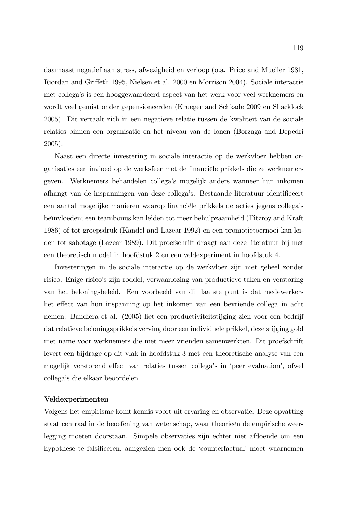daarnaast negatief aan stress, afwezigheid en verloop (o.a. Price and Mueller 1981, Riordan and Griffeth 1995, Nielsen et al. 2000 en Morrison 2004). Sociale interactie met collegaís is een hooggewaardeerd aspect van het werk voor veel werknemers en wordt veel gemist onder gepensioneerden (Krueger and Schkade 2009 en Shacklock 2005). Dit vertaalt zich in een negatieve relatie tussen de kwaliteit van de sociale relaties binnen een organisatie en het niveau van de lonen (Borzaga and Depedri 2005).

Naast een directe investering in sociale interactie op de werkvloer hebben organisaties een invloed op de werksfeer met de financiële prikkels die ze werknemers geven. Werknemers behandelen collegaís mogelijk anders wanneer hun inkomen afhangt van de inspanningen van deze collega's. Bestaande literatuur identificeert een aantal mogelijke manieren waarop financiële prikkels de acties jegens collega's beïnvloeden; een teambonus kan leiden tot meer behulpzaamheid (Fitzroy and Kraft 1986) of tot groepsdruk (Kandel and Lazear 1992) en een promotietoernooi kan leiden tot sabotage (Lazear 1989). Dit proefschrift draagt aan deze literatuur bij met een theoretisch model in hoofdstuk 2 en een veldexperiment in hoofdstuk 4.

Investeringen in de sociale interactie op de werkvloer zijn niet geheel zonder risico. Enige risicoís zijn roddel, verwaarlozing van productieve taken en verstoring van het beloningsbeleid. Een voorbeeld van dit laatste punt is dat medewerkers het effect van hun inspanning op het inkomen van een bevriende collega in acht nemen. Bandiera et al. (2005) liet een productiviteitstijging zien voor een bedrijf dat relatieve beloningsprikkels verving door een individuele prikkel, deze stijging gold met name voor werknemers die met meer vrienden samenwerkten. Dit proefschrift levert een bijdrage op dit vlak in hoofdstuk 3 met een theoretische analyse van een mogelijk verstorend effect van relaties tussen collega's in 'peer evaluation', ofwel collegaís die elkaar beoordelen.

#### Veldexperimenten

Volgens het empirisme komt kennis voort uit ervaring en observatie. Deze opvatting staat centraal in de beoefening van wetenschap, waar theorieën de empirische weerlegging moeten doorstaan. Simpele observaties zijn echter niet afdoende om een hypothese te falsificeren, aangezien men ook de 'counterfactual' moet waarnemen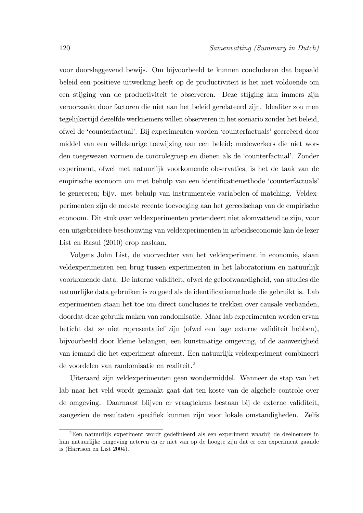voor doorslaggevend bewijs. Om bijvoorbeeld te kunnen concluderen dat bepaald beleid een positieve uitwerking heeft op de productiviteit is het niet voldoende om een stijging van de productiviteit te observeren. Deze stijging kan immers zijn veroorzaakt door factoren die niet aan het beleid gerelateerd zijn. Idealiter zou men tegelijkertijd dezelfde werknemers willen observeren in het scenario zonder het beleid, ofwel de 'counterfactual'. Bij experimenten worden 'counterfactuals' gecreëerd door middel van een willekeurige toewijzing aan een beleid; medewerkers die niet worden toegewezen vormen de controlegroep en dienen als de 'counterfactual'. Zonder experiment, ofwel met natuurlijk voorkomende observaties, is het de taak van de empirische econoom om met behulp van een identificatiemethode 'counterfactuals' te genereren; bijv. met behulp van instrumentele variabelen of matching. Veldexperimenten zijn de meeste recente toevoeging aan het gereedschap van de empirische econoom. Dit stuk over veldexperimenten pretendeert niet alomvattend te zijn, voor een uitgebreidere beschouwing van veldexperimenten in arbeidseconomie kan de lezer List en Rasul (2010) erop naslaan.

Volgens John List, de voorvechter van het veldexperiment in economie, slaan veldexperimenten een brug tussen experimenten in het laboratorium en natuurlijk voorkomende data. De interne validiteit, ofwel de geloofwaardigheid, van studies die natuurlijke data gebruiken is zo goed als de identificatiemethode die gebruikt is. Lab experimenten staan het toe om direct conclusies te trekken over causale verbanden, doordat deze gebruik maken van randomisatie. Maar lab experimenten worden ervan beticht dat ze niet representatief zijn (ofwel een lage externe validiteit hebben), bijvoorbeeld door kleine belangen, een kunstmatige omgeving, of de aanwezigheid van iemand die het experiment afneemt. Een natuurlijk veldexperiment combineert de voordelen van randomisatie en realiteit.<sup>2</sup>

Uiteraard zijn veldexperimenten geen wondermiddel. Wanneer de stap van het lab naar het veld wordt gemaakt gaat dat ten koste van de algehele controle over de omgeving. Daarnaast blijven er vraagtekens bestaan bij de externe validiteit, aangezien de resultaten specifiek kunnen zijn voor lokale omstandigheden. Zelfs

 $2E$ en natuurlijk experiment wordt gedefinieerd als een experiment waarbij de deelnemers in hun natuurlijke omgeving acteren en er niet van op de hoogte zijn dat er een experiment gaande is (Harrison en List 2004).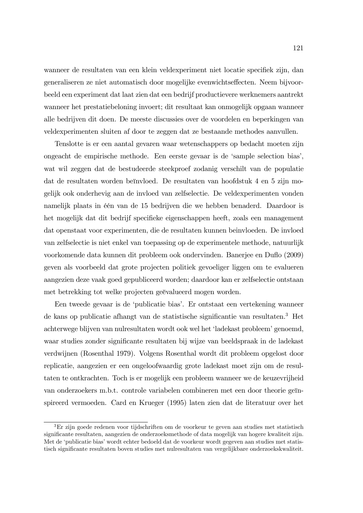wanneer de resultaten van een klein veldexperiment niet locatie specifiek zijn, dan generaliseren ze niet automatisch door mogelijke evenwichtseffecten. Neem bijvoorbeeld een experiment dat laat zien dat een bedrijf productievere werknemers aantrekt wanneer het prestatiebeloning invoert; dit resultaat kan onmogelijk opgaan wanneer alle bedrijven dit doen. De meeste discussies over de voordelen en beperkingen van veldexperimenten sluiten af door te zeggen dat ze bestaande methodes aanvullen.

Tenslotte is er een aantal gevaren waar wetenschappers op bedacht moeten zijn ongeacht de empirische methode. Een eerste gevaar is de ësample selection biasí, wat wil zeggen dat de bestudeerde steekproef zodanig verschilt van de populatie dat de resultaten worden beïnvloed. De resultaten van hoofdstuk 4 en 5 zijn mogelijk ook onderhevig aan de invloed van zelfselectie. De veldexperimenten vonden namelijk plaats in één van de 15 bedrijven die we hebben benaderd. Daardoor is het mogelijk dat dit bedrijf specifieke eigenschappen heeft, zoals een management dat openstaat voor experimenten, die de resultaten kunnen beinvloeden. De invloed van zelfselectie is niet enkel van toepassing op de experimentele methode, natuurlijk voorkomende data kunnen dit probleem ook ondervinden. Banerjee en Duáo (2009) geven als voorbeeld dat grote projecten politiek gevoeliger liggen om te evalueren aangezien deze vaak goed gepubliceerd worden; daardoor kan er zelfselectie ontstaan met betrekking tot welke projecten geëvalueerd mogen worden.

Een tweede gevaar is de ëpublicatie biasí. Er ontstaat een vertekening wanneer de kans op publicatie afhangt van de statistische significantie van resultaten.<sup>3</sup> Het achterwege blijven van nulresultaten wordt ook wel het 'ladekast probleem' genoemd, waar studies zonder significante resultaten bij wijze van beeldspraak in de ladekast verdwijnen (Rosenthal 1979). Volgens Rosenthal wordt dit probleem opgelost door replicatie, aangezien er een ongeloofwaardig grote ladekast moet zijn om de resultaten te ontkrachten. Toch is er mogelijk een probleem wanneer we de keuzevrijheid van onderzoekers m.b.t. controle variabelen combineren met een door theorie geïnspireerd vermoeden. Card en Krueger (1995) laten zien dat de literatuur over het

<sup>3</sup>Er zijn goede redenen voor tijdschriften om de voorkeur te geven aan studies met statistisch significante resultaten, aangezien de onderzoeksmethode of data mogelijk van hogere kwaliteit zijn. Met de ëpublicatie biasíwordt echter bedoeld dat de voorkeur wordt gegeven aan studies met statistisch significante resultaten boven studies met nulresultaten van vergelijkbare onderzoekskwaliteit.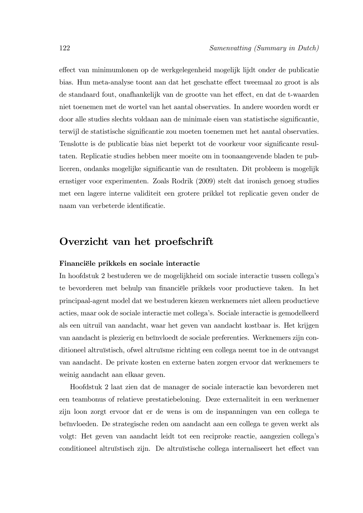e§ect van minimumlonen op de werkgelegenheid mogelijk lijdt onder de publicatie bias. Hun meta-analyse toont aan dat het geschatte effect tweemaal zo groot is als de standaard fout, onafhankelijk van de grootte van het effect, en dat de t-waarden niet toenemen met de wortel van het aantal observaties. In andere woorden wordt er door alle studies slechts voldaan aan de minimale eisen van statistische significantie, terwijl de statistische significantie zou moeten toenemen met het aantal observaties. Tenslotte is de publicatie bias niet beperkt tot de voorkeur voor significante resultaten. Replicatie studies hebben meer moeite om in toonaangevende bladen te publiceren, ondanks mogelijke significantie van de resultaten. Dit probleem is mogelijk ernstiger voor experimenten. Zoals Rodrik (2009) stelt dat ironisch genoeg studies met een lagere interne validiteit een grotere prikkel tot replicatie geven onder de naam van verbeterde identificatie.

### Overzicht van het proefschrift

#### Financiële prikkels en sociale interactie

In hoofdstuk 2 bestuderen we de mogelijkheid om sociale interactie tussen collegaís te bevorderen met behulp van financiële prikkels voor productieve taken. In het principaal-agent model dat we bestuderen kiezen werknemers niet alleen productieve acties, maar ook de sociale interactie met collega's. Sociale interactie is gemodelleerd als een uitruil van aandacht, waar het geven van aandacht kostbaar is. Het krijgen van aandacht is plezierig en beïnvloedt de sociale preferenties. Werknemers zijn conditioneel altruïstisch, ofwel altruïsme richting een collega neemt toe in de ontvangst van aandacht. De private kosten en externe baten zorgen ervoor dat werknemers te weinig aandacht aan elkaar geven.

Hoofdstuk 2 laat zien dat de manager de sociale interactie kan bevorderen met een teambonus of relatieve prestatiebeloning. Deze externaliteit in een werknemer zijn loon zorgt ervoor dat er de wens is om de inspanningen van een collega te beïnvloeden. De strategische reden om aandacht aan een collega te geven werkt als volgt: Het geven van aandacht leidt tot een reciproke reactie, aangezien collegaís conditioneel altruïstisch zijn. De altruïstische collega internaliseert het effect van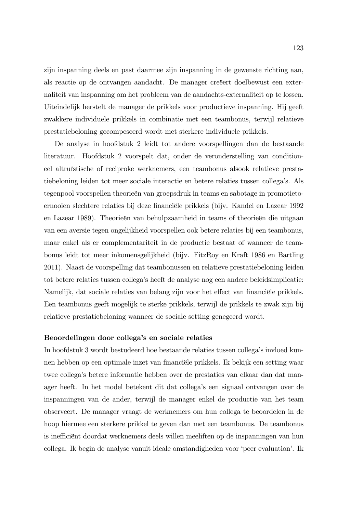zijn inspanning deels en past daarmee zijn inspanning in de gewenste richting aan, als reactie op de ontvangen aandacht. De manager creëert doelbewust een externaliteit van inspanning om het probleem van de aandachts-externaliteit op te lossen. Uiteindelijk herstelt de manager de prikkels voor productieve inspanning. Hij geeft zwakkere individuele prikkels in combinatie met een teambonus, terwijl relatieve prestatiebeloning gecompeseerd wordt met sterkere individuele prikkels.

De analyse in hoofdstuk 2 leidt tot andere voorspellingen dan de bestaande literatuur. Hoofdstuk 2 voorspelt dat, onder de veronderstelling van conditioneel altruïstische of reciproke werknemers, een teambonus alsook relatieve prestatiebeloning leiden tot meer sociale interactie en betere relaties tussen collega's. Als tegenpool voorspellen theorieën van groepsdruk in teams en sabotage in promotietoernooien slechtere relaties bij deze financiële prikkels (bijv. Kandel en Lazear 1992 en Lazear 1989). Theorieën van behulpzaamheid in teams of theorieën die uitgaan van een aversie tegen ongelijkheid voorspellen ook betere relaties bij een teambonus, maar enkel als er complementariteit in de productie bestaat of wanneer de teambonus leidt tot meer inkomensgelijkheid (bijv. FitzRoy en Kraft 1986 en Bartling 2011). Naast de voorspelling dat teambonussen en relatieve prestatiebeloning leiden tot betere relaties tussen collegaís heeft de analyse nog een andere beleidsimplicatie: Namelijk, dat sociale relaties van belang zijn voor het effect van financiële prikkels. Een teambonus geeft mogelijk te sterke prikkels, terwijl de prikkels te zwak zijn bij relatieve prestatiebeloning wanneer de sociale setting genegeerd wordt.

#### Beoordelingen door collega's en sociale relaties

In hoofdstuk 3 wordt bestudeerd hoe bestaande relaties tussen collegaís invloed kunnen hebben op een optimale inzet van financiële prikkels. Ik bekijk een setting waar twee collegaís betere informatie hebben over de prestaties van elkaar dan dat manager heeft. In het model betekent dit dat collegaís een signaal ontvangen over de inspanningen van de ander, terwijl de manager enkel de productie van het team observeert. De manager vraagt de werknemers om hun collega te beoordelen in de hoop hiermee een sterkere prikkel te geven dan met een teambonus. De teambonus is inefficiënt doordat werknemers deels willen meeliften op de inspanningen van hun collega. Ik begin de analyse vanuit ideale omstandigheden voor ëpeer evaluationí. Ik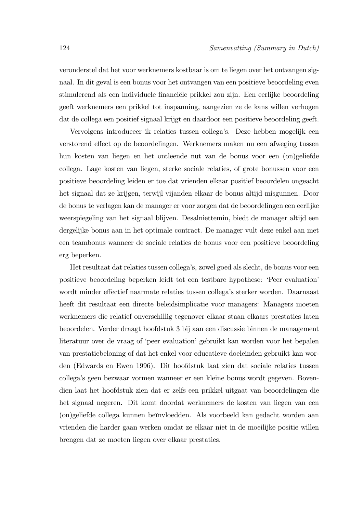veronderstel dat het voor werknemers kostbaar is om te liegen over het ontvangen signaal. In dit geval is een bonus voor het ontvangen van een positieve beoordeling even stimulerend als een individuele financiële prikkel zou zijn. Een eerlijke beoordeling geeft werknemers een prikkel tot inspanning, aangezien ze de kans willen verhogen dat de collega een positief signaal krijgt en daardoor een positieve beoordeling geeft.

Vervolgens introduceer ik relaties tussen collegaís. Deze hebben mogelijk een verstorend effect op de beoordelingen. Werknemers maken nu een afweging tussen hun kosten van liegen en het ontleende nut van de bonus voor een (on)geliefde collega. Lage kosten van liegen, sterke sociale relaties, of grote bonussen voor een positieve beoordeling leiden er toe dat vrienden elkaar positief beoordelen ongeacht het signaal dat ze krijgen, terwijl vijanden elkaar de bonus altijd misgunnen. Door de bonus te verlagen kan de manager er voor zorgen dat de beoordelingen een eerlijke weerspiegeling van het signaal blijven. Desalniettemin, biedt de manager altijd een dergelijke bonus aan in het optimale contract. De manager vult deze enkel aan met een teambonus wanneer de sociale relaties de bonus voor een positieve beoordeling erg beperken.

Het resultaat dat relaties tussen collegaís, zowel goed als slecht, de bonus voor een positieve beoordeling beperken leidt tot een testbare hypothese: ëPeer evaluationí wordt minder effectief naarmate relaties tussen collega's sterker worden. Daarnaast heeft dit resultaat een directe beleidsimplicatie voor managers: Managers moeten werknemers die relatief onverschillig tegenover elkaar staan elkaars prestaties laten beoordelen. Verder draagt hoofdstuk 3 bij aan een discussie binnen de management literatuur over de vraag of 'peer evaluation' gebruikt kan worden voor het bepalen van prestatiebeloning of dat het enkel voor educatieve doeleinden gebruikt kan worden (Edwards en Ewen 1996). Dit hoofdstuk laat zien dat sociale relaties tussen collegaís geen bezwaar vormen wanneer er een kleine bonus wordt gegeven. Bovendien laat het hoofdstuk zien dat er zelfs een prikkel uitgaat van beoordelingen die het signaal negeren. Dit komt doordat werknemers de kosten van liegen van een (on)geliefde collega kunnen beïnvloedden. Als voorbeeld kan gedacht worden aan vrienden die harder gaan werken omdat ze elkaar niet in de moeilijke positie willen brengen dat ze moeten liegen over elkaar prestaties.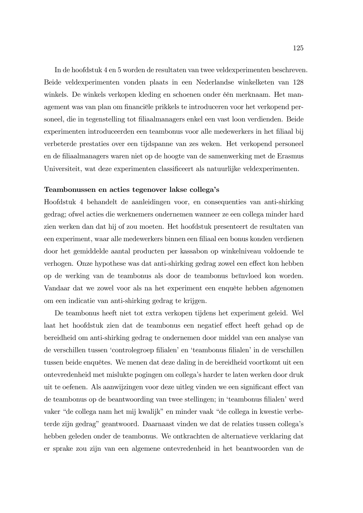In de hoofdstuk 4 en 5 worden de resultaten van twee veldexperimenten beschreven. Beide veldexperimenten vonden plaats in een Nederlandse winkelketen van 128 winkels. De winkels verkopen kleding en schoenen onder één merknaam. Het management was van plan om financiële prikkels te introduceren voor het verkopend personeel, die in tegenstelling tot Öliaalmanagers enkel een vast loon verdienden. Beide experimenten introduceerden een teambonus voor alle medewerkers in het Öliaal bij verbeterde prestaties over een tijdspanne van zes weken. Het verkopend personeel en de Öliaalmanagers waren niet op de hoogte van de samenwerking met de Erasmus Universiteit, wat deze experimenten classificeert als natuurlijke veldexperimenten.

#### Teambonussen en acties tegenover lakse collega's

Hoofdstuk 4 behandelt de aanleidingen voor, en consequenties van anti-shirking gedrag; ofwel acties die werknemers ondernemen wanneer ze een collega minder hard zien werken dan dat hij of zou moeten. Het hoofdstuk presenteert de resultaten van een experiment, waar alle medewerkers binnen een filiaal een bonus konden verdienen door het gemiddelde aantal producten per kassabon op winkelniveau voldoende te verhogen. Onze hypothese was dat anti-shirking gedrag zowel een effect kon hebben op de werking van de teambonus als door de teambonus beïnvloed kon worden. Vandaar dat we zowel voor als na het experiment een enquête hebben afgenomen om een indicatie van anti-shirking gedrag te krijgen.

De teambonus heeft niet tot extra verkopen tijdens het experiment geleid. Wel laat het hoofdstuk zien dat de teambonus een negatief effect heeft gehad op de bereidheid om anti-shirking gedrag te ondernemen door middel van een analyse van de verschillen tussen 'controlegroep filialen' en 'teambonus filialen' in de verschillen tussen beide enquêtes. We menen dat deze daling in de bereidheid voortkomt uit een ontevredenheid met mislukte pogingen om collegaís harder te laten werken door druk uit te oefenen. Als aanwijzingen voor deze uitleg vinden we een significant effect van de teambonus op de beantwoording van twee stellingen; in 'teambonus filialen' werd vaker "de collega nam het mij kwalijk" en minder vaak "de collega in kwestie verbeterde zijn gedrag" geantwoord. Daarnaast vinden we dat de relaties tussen collega's hebben geleden onder de teambonus. We ontkrachten de alternatieve verklaring dat er sprake zou zijn van een algemene ontevredenheid in het beantwoorden van de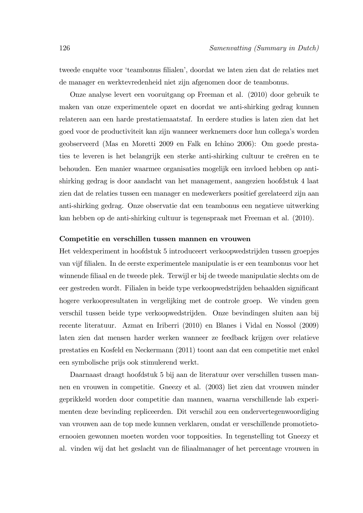tweede enquête voor 'teambonus filialen', doordat we laten zien dat de relaties met de manager en werktevredenheid niet zijn afgenomen door de teambonus.

Onze analyse levert een vooruitgang op Freeman et al. (2010) door gebruik te maken van onze experimentele opzet en doordat we anti-shirking gedrag kunnen relateren aan een harde prestatiemaatstaf. In eerdere studies is laten zien dat het goed voor de productiviteit kan zijn wanneer werknemers door hun collegaís worden geobserveerd (Mas en Moretti 2009 en Falk en Ichino 2006): Om goede prestaties te leveren is het belangrijk een sterke anti-shirking cultuur te creëren en te behouden. Een manier waarmee organisaties mogelijk een invloed hebben op antishirking gedrag is door aandacht van het management, aangezien hoofdstuk 4 laat zien dat de relaties tussen een manager en medewerkers positief gerelateerd zijn aan anti-shirking gedrag. Onze observatie dat een teambonus een negatieve uitwerking kan hebben op de anti-shirking cultuur is tegenspraak met Freeman et al. (2010).

#### Competitie en verschillen tussen mannen en vrouwen

Het veldexperiment in hoofdstuk 5 introduceert verkoopwedstrijden tussen groepjes van vijf Ölialen. In de eerste experimentele manipulatie is er een teambonus voor het winnende Öliaal en de tweede plek. Terwijl er bij de tweede manipulatie slechts om de eer gestreden wordt. Filialen in beide type verkoopwedstrijden behaalden significant hogere verkoopresultaten in vergelijking met de controle groep. We vinden geen verschil tussen beide type verkoopwedstrijden. Onze bevindingen sluiten aan bij recente literatuur. Azmat en Iriberri (2010) en Blanes i Vidal en Nossol (2009) laten zien dat mensen harder werken wanneer ze feedback krijgen over relatieve prestaties en Kosfeld en Neckermann (2011) toont aan dat een competitie met enkel een symbolische prijs ook stimulerend werkt.

Daarnaast draagt hoofdstuk 5 bij aan de literatuur over verschillen tussen mannen en vrouwen in competitie. Gneezy et al. (2003) liet zien dat vrouwen minder geprikkeld worden door competitie dan mannen, waarna verschillende lab experimenten deze bevinding repliceerden. Dit verschil zou een ondervertegenwoordiging van vrouwen aan de top mede kunnen verklaren, omdat er verschillende promotietoernooien gewonnen moeten worden voor topposities. In tegenstelling tot Gneezy et al. vinden wij dat het geslacht van de Öliaalmanager of het percentage vrouwen in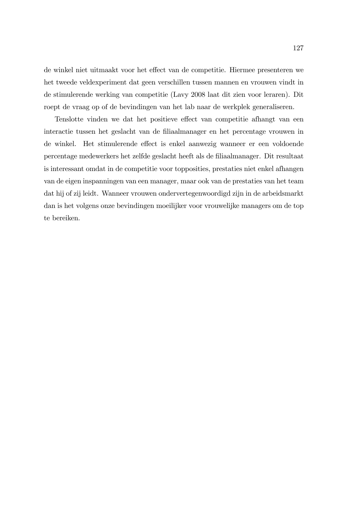de winkel niet uitmaakt voor het effect van de competitie. Hiermee presenteren we het tweede veldexperiment dat geen verschillen tussen mannen en vrouwen vindt in de stimulerende werking van competitie (Lavy 2008 laat dit zien voor leraren). Dit roept de vraag op of de bevindingen van het lab naar de werkplek generaliseren.

Tenslotte vinden we dat het positieve effect van competitie afhangt van een interactie tussen het geslacht van de Öliaalmanager en het percentage vrouwen in de winkel. Het stimulerende effect is enkel aanwezig wanneer er een voldoende percentage medewerkers het zelfde geslacht heeft als de Öliaalmanager. Dit resultaat is interessant omdat in de competitie voor topposities, prestaties niet enkel afhangen van de eigen inspanningen van een manager, maar ook van de prestaties van het team dat hij of zij leidt. Wanneer vrouwen ondervertegenwoordigd zijn in de arbeidsmarkt dan is het volgens onze bevindingen moeilijker voor vrouwelijke managers om de top te bereiken.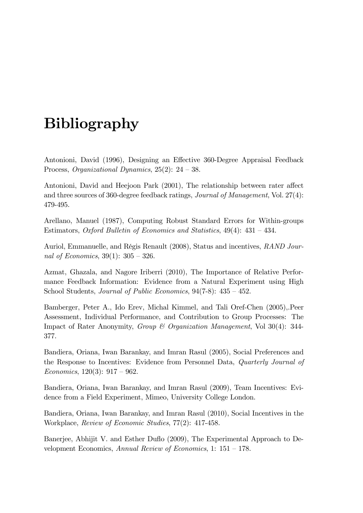## Bibliography

Antonioni, David (1996), Designing an Effective 360-Degree Appraisal Feedback Process, Organizational Dynamics,  $25(2)$ :  $24 - 38$ .

Antonioni, David and Heejoon Park (2001), The relationship between rater affect and three sources of 360-degree feedback ratings, Journal of Management, Vol. 27(4): 479-495.

Arellano, Manuel (1987), Computing Robust Standard Errors for Within-groups Estimators, Oxford Bulletin of Economics and Statistics,  $49(4)$ :  $431 - 434$ .

Auriol, Emmanuelle, and Régis Renault (2008), Status and incentives, RAND Journal of Economics,  $39(1)$ :  $305 - 326$ .

Azmat, Ghazala, and Nagore Iriberri (2010), The Importance of Relative Performance Feedback Information: Evidence from a Natural Experiment using High School Students, *Journal of Public Economics*,  $94(7-8)$ :  $435 - 452$ .

Bamberger, Peter A., Ido Erev, Michal Kimmel, and Tali Oref-Chen (2005),.Peer Assessment, Individual Performance, and Contribution to Group Processes: The Impact of Rater Anonymity, Group & Organization Management, Vol 30(4): 344-377.

Bandiera, Oriana, Iwan Barankay, and Imran Rasul (2005), Social Preferences and the Response to Incentives: Evidence from Personnel Data, Quarterly Journal of Economics,  $120(3)$ :  $917 - 962$ .

Bandiera, Oriana, Iwan Barankay, and Imran Rasul (2009), Team Incentives: Evidence from a Field Experiment, Mimeo, University College London.

Bandiera, Oriana, Iwan Barankay, and Imran Rasul (2010), Social Incentives in the Workplace, Review of Economic Studies, 77(2): 417-458.

Banerjee, Abhijit V. and Esther Duflo (2009), The Experimental Approach to Development Economics, Annual Review of Economics, 1:  $151 - 178$ .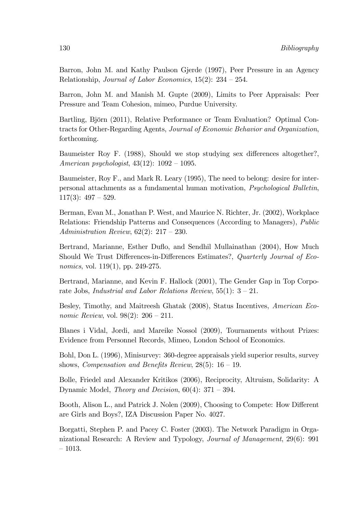Barron, John M. and Kathy Paulson Gjerde (1997), Peer Pressure in an Agency Relationship, *Journal of Labor Economics*,  $15(2)$ :  $234 - 254$ .

Barron, John M. and Manish M. Gupte (2009), Limits to Peer Appraisals: Peer Pressure and Team Cohesion, mimeo, Purdue University.

Bartling, Björn (2011), Relative Performance or Team Evaluation? Optimal Contracts for Other-Regarding Agents, Journal of Economic Behavior and Organization, forthcoming.

Baumeister Roy F. (1988), Should we stop studying sex differences altogether?, American psychologist,  $43(12)$ :  $1092 - 1095$ .

Baumeister, Roy F., and Mark R. Leary (1995), The need to belong: desire for interpersonal attachments as a fundamental human motivation, Psychological Bulletin,  $117(3): 497 - 529.$ 

Berman, Evan M., Jonathan P. West, and Maurice N. Richter, Jr. (2002), Workplace Relations: Friendship Patterns and Consequences (According to Managers), Public Administration Review,  $62(2)$ :  $217 - 230$ .

Bertrand, Marianne, Esther Duflo, and Sendhil Mullainathan (2004), How Much Should We Trust Differences-in-Differences Estimates?, Quarterly Journal of Economics, vol. 119(1), pp. 249-275.

Bertrand, Marianne, and Kevin F. Hallock (2001), The Gender Gap in Top Corporate Jobs, *Industrial and Labor Relations Review*,  $55(1)$ :  $3 - 21$ .

Besley, Timothy, and Maitreesh Ghatak (2008), Status Incentives, American Economic Review, vol.  $98(2)$ :  $206 - 211$ .

Blanes i Vidal, Jordi, and Mareike Nossol (2009), Tournaments without Prizes: Evidence from Personnel Records, Mimeo, London School of Economics.

Bohl, Don L. (1996), Minisurvey: 360-degree appraisals yield superior results, survey shows, Compensation and Benefits Review,  $28(5)$ :  $16 - 19$ .

Bolle, Friedel and Alexander Kritikos (2006), Reciprocity, Altruism, Solidarity: A Dynamic Model, *Theory and Decision*,  $60(4)$ :  $371 - 394$ .

Booth, Alison L., and Patrick J. Nolen (2009), Choosing to Compete: How Different are Girls and Boys?, IZA Discussion Paper No. 4027.

Borgatti, Stephen P. and Pacey C. Foster (2003). The Network Paradigm in Organizational Research: A Review and Typology, Journal of Management, 29(6): 991  $-1013.$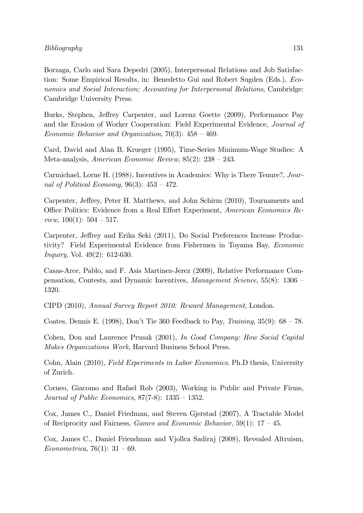Borzaga, Carlo and Sara Depedri (2005), Interpersonal Relations and Job Satisfaction: Some Empirical Results, in: Benedetto Gui and Robert Sugden (Eds.), Economics and Social Interaction; Accounting for Interpersonal Relations, Cambridge: Cambridge University Press.

Burks, Stephen, Jeffrey Carpenter, and Lorenz Goette (2009), Performance Pay and the Erosion of Worker Cooperation: Field Experimental Evidence, Journal of Economic Behavior and Organization, 70(3):  $458 - 469$ .

Card, David and Alan B. Krueger (1995), Time-Series Minimum-Wage Studies: A Meta-analysis, American Economic Review,  $85(2)$ :  $238 - 243$ .

Carmichael, Lorne H. (1988), Incentives in Academics: Why is There Tenure?, Journal of Political Economy,  $96(3)$ :  $453 - 472$ .

Carpenter, Jeffrey, Peter H. Matthews, and John Schirm (2010), Tournaments and Office Politics: Evidence from a Real Effort Experiment, American Economics Re*view*,  $100(1)$ :  $504 - 517$ .

Carpenter, Jeffrey and Erika Seki (2011), Do Social Preferences Increase Productivity? Field Experimental Evidence from Fishermen in Toyama Bay, Economic Inquiry, Vol. 49(2): 612-630.

Casas-Arce, Pablo, and F. Asis Martinez-Jerez (2009), Relative Performance Compensation, Contests, and Dynamic Incentives, Management Science,  $55(8)$ : 1306  $-$ 1320.

CIPD (2010), Annual Survey Report 2010: Reward Management, London.

Coates, Dennis E. (1998), Don't Tie 360 Feedback to Pay, Training,  $35(9)$ : 68 – 78.

Cohen, Don and Laurence Prusak (2001), In Good Company: How Social Capital Makes Organizations Work, Harvard Business School Press.

Cohn, Alain (2010), Field Experiments in Labor Economics, Ph.D thesis, University of Zurich.

Corneo, Giacomo and Rafael Rob (2003), Working in Public and Private Firms, *Journal of Public Economics*,  $87(7-8)$ :  $1335 - 1352$ .

Cox, James C., Daniel Friedman, and Steven Gjerstad (2007), A Tractable Model of Reciprocity and Fairness, *Games and Economic Behavior*,  $59(1)$ :  $17 - 45$ .

Cox, James C., Daniel Friendman and Vjollca Sadiraj (2008), Revealed Altruism, Econometrica, 76(1):  $31 - 69$ .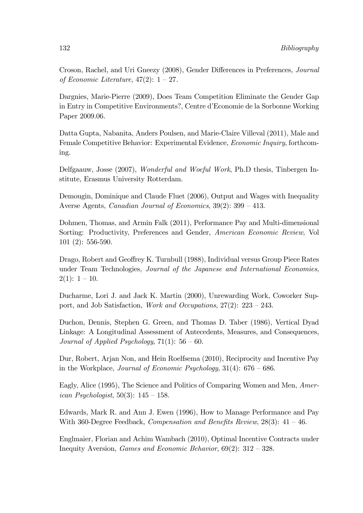Croson, Rachel, and Uri Gneezy (2008), Gender Differences in Preferences, *Journal* of Economic Literature,  $47(2): 1-27$ .

Dargnies, Marie-Pierre (2009), Does Team Competition Eliminate the Gender Gap in Entry in Competitive Environments?, Centre d'Economie de la Sorbonne Working Paper 2009.06.

Datta Gupta, Nabanita, Anders Poulsen, and Marie-Claire Villeval (2011), Male and Female Competitive Behavior: Experimental Evidence, Economic Inquiry, forthcoming.

Delfgaauw, Josse (2007), Wonderful and Woeful Work, Ph.D thesis, Tinbergen Institute, Erasmus University Rotterdam.

Demougin, Dominique and Claude Fluet (2006), Output and Wages with Inequality Averse Agents, Canadian Journal of Economics,  $39(2)$ :  $399 - 413$ .

Dohmen, Thomas, and Armin Falk (2011), Performance Pay and Multi-dimensional Sorting: Productivity, Preferences and Gender, American Economic Review, Vol 101 (2): 556-590.

Drago, Robert and Geoffrey K. Turnbull (1988), Individual versus Group Piece Rates under Team Technologies, Journal of the Japanese and International Economies,  $2(1): 1 - 10.$ 

Ducharme, Lori J. and Jack K. Martin (2000), Unrewarding Work, Coworker Support, and Job Satisfaction, *Work and Occupations*,  $27(2)$ :  $223 - 243$ .

Duchon, Dennis, Stephen G. Green, and Thomas D. Taber (1986), Vertical Dyad Linkage: A Longitudinal Assessment of Antecedents, Measures, and Consequences, Journal of Applied Psychology,  $71(1)$ :  $56 - 60$ .

Dur, Robert, Arjan Non, and Hein Roelfsema (2010), Reciprocity and Incentive Pay in the Workplace, *Journal of Economic Psychology*,  $31(4)$ :  $676 - 686$ .

Eagly, Alice (1995), The Science and Politics of Comparing Women and Men, Amer*ican Psychologist*,  $50(3)$ :  $145 - 158$ .

Edwards, Mark R. and Ann J. Ewen (1996), How to Manage Performance and Pay With 360-Degree Feedback, Compensation and Benefits Review,  $28(3)$ : 41 – 46.

Englmaier, Florian and Achim Wambach (2010), Optimal Incentive Contracts under Inequity Aversion, *Games and Economic Behavior*,  $69(2)$ :  $312 - 328$ .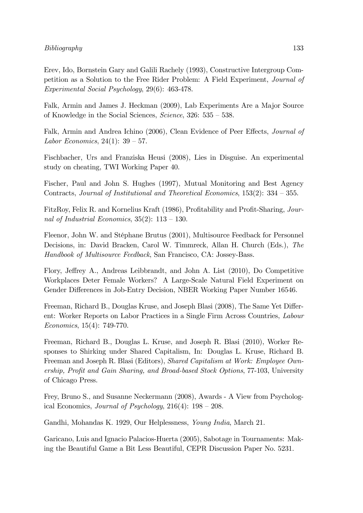Erev, Ido, Bornstein Gary and Galili Rachely (1993), Constructive Intergroup Competition as a Solution to the Free Rider Problem: A Field Experiment, Journal of Experimental Social Psychology, 29(6): 463-478.

Falk, Armin and James J. Heckman (2009), Lab Experiments Are a Major Source of Knowledge in the Social Sciences,  $Science$ ,  $326: 535 - 538$ .

Falk, Armin and Andrea Ichino (2006), Clean Evidence of Peer Effects, *Journal of* Labor Economics,  $24(1)$ :  $39 - 57$ .

Fischbacher, Urs and Franziska Heusi (2008), Lies in Disguise. An experimental study on cheating, TWI Working Paper 40.

Fischer, Paul and John S. Hughes (1997), Mutual Monitoring and Best Agency Contracts, Journal of Institutional and Theoretical Economics,  $153(2)$ :  $334 - 355$ .

FitzRoy, Felix R. and Kornelius Kraft (1986), Profitability and Profit-Sharing, Journal of Industrial Economics,  $35(2)$ : 113 – 130.

Fleenor, John W. and Stéphane Brutus (2001), Multisource Feedback for Personnel Decisions, in: David Bracken, Carol W. Timmreck, Allan H. Church (Eds.), The Handbook of Multisource Feedback, San Francisco, CA: Jossey-Bass.

Flory, Jeffrey A., Andreas Leibbrandt, and John A. List (2010), Do Competitive Workplaces Deter Female Workers? A Large-Scale Natural Field Experiment on Gender Differences in Job-Entry Decision, NBER Working Paper Number 16546.

Freeman, Richard B., Douglas Kruse, and Joseph Blasi (2008), The Same Yet Different: Worker Reports on Labor Practices in a Single Firm Across Countries, Labour Economics, 15(4): 749-770.

Freeman, Richard B., Douglas L. Kruse, and Joseph R. Blasi (2010), Worker Responses to Shirking under Shared Capitalism, In: Douglas L. Kruse, Richard B. Freeman and Joseph R. Blasi (Editors), Shared Capitalism at Work: Employee Ownership, Profit and Gain Sharing, and Broad-based Stock Options, 77-103, University of Chicago Press.

Frey, Bruno S., and Susanne Neckermann (2008), Awards - A View from Psychological Economics, *Journal of Psychology*,  $216(4)$ :  $198 - 208$ .

Gandhi, Mohandas K. 1929, Our Helplessness, Young India, March 21.

Garicano, Luis and Ignacio Palacios-Huerta (2005), Sabotage in Tournaments: Making the Beautiful Game a Bit Less Beautiful, CEPR Discussion Paper No. 5231.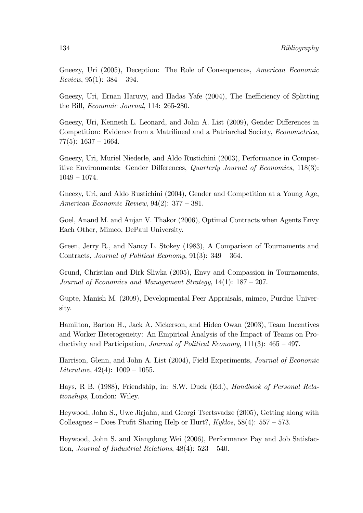Gneezy, Uri (2005), Deception: The Role of Consequences, American Economic *Review*, 95(1):  $384 - 394$ .

Gneezy, Uri, Ernan Haruvy, and Hadas Yafe (2004), The Inefficiency of Splitting the Bill, Economic Journal, 114: 265-280.

Gneezy, Uri, Kenneth L. Leonard, and John A. List (2009), Gender Differences in Competition: Evidence from a Matrilineal and a Patriarchal Society, Econometrica,  $77(5): 1637 - 1664.$ 

Gneezy, Uri, Muriel Niederle, and Aldo Rustichini (2003), Performance in Competitive Environments: Gender Differences, Quarterly Journal of Economics, 118(3):  $1049 - 1074.$ 

Gneezy, Uri, and Aldo Rustichini (2004), Gender and Competition at a Young Age, American Economic Review,  $94(2): 377 - 381$ .

Goel, Anand M. and Anjan V. Thakor (2006), Optimal Contracts when Agents Envy Each Other, Mimeo, DePaul University.

Green, Jerry R., and Nancy L. Stokey (1983), A Comparison of Tournaments and Contracts, Journal of Political Economy,  $91(3)$ :  $349 - 364$ .

Grund, Christian and Dirk Sliwka (2005), Envy and Compassion in Tournaments, Journal of Economics and Management Strategy,  $14(1)$ :  $187 - 207$ .

Gupte, Manish M. (2009), Developmental Peer Appraisals, mimeo, Purdue University.

Hamilton, Barton H., Jack A. Nickerson, and Hideo Owan (2003), Team Incentives and Worker Heterogeneity: An Empirical Analysis of the Impact of Teams on Productivity and Participation, *Journal of Political Economy*,  $111(3)$ :  $465 - 497$ .

Harrison, Glenn, and John A. List (2004), Field Experiments, Journal of Economic Literature,  $42(4)$ :  $1009 - 1055$ .

Hays, R B. (1988), Friendship, in: S.W. Duck (Ed.), Handbook of Personal Relationships, London: Wiley.

Heywood, John S., Uwe Jirjahn, and Georgi Tsertsvadze (2005), Getting along with Colleagues – Does Profit Sharing Help or Hurt?,  $Kyklos$ , 58(4): 557 – 573.

Heywood, John S. and Xiangdong Wei (2006), Performance Pay and Job Satisfaction, Journal of Industrial Relations,  $48(4)$ : 523 – 540.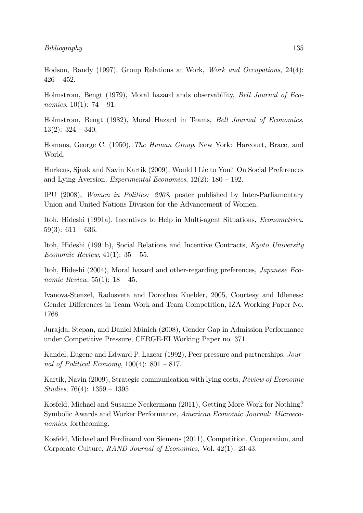Hodson, Randy (1997), Group Relations at Work, Work and Occupations, 24(4):  $426 - 452.$ 

Holmstrom, Bengt (1979), Moral hazard ands observability, Bell Journal of Economics,  $10(1)$ : 74 – 91.

Holmstrom, Bengt (1982), Moral Hazard in Teams, Bell Journal of Economics,  $13(2): 324 - 340.$ 

Homans, George C. (1950), The Human Group, New York: Harcourt, Brace, and World.

Hurkens, Sjaak and Navin Kartik (2009), Would I Lie to You? On Social Preferences and Lying Aversion, *Experimental Economics*,  $12(2)$ :  $180 - 192$ .

IPU (2008), Women in Politics: 2008, poster published by Inter-Parliamentary Union and United Nations Division for the Advancement of Women.

Itoh, Hideshi (1991a), Incentives to Help in Multi-agent Situations, Econometrica,  $59(3): 611 - 636.$ 

Itoh, Hideshi (1991b), Social Relations and Incentive Contracts, Kyoto University Economic Review,  $41(1)$ :  $35 - 55$ .

Itoh, Hideshi (2004), Moral hazard and other-regarding preferences, Japanese Economic Review,  $55(1)$ :  $18 - 45$ .

Ivanova-Stenzel, Radosveta and Dorothea Kuebler, 2005, Courtesy and Idleness: Gender Differences in Team Work and Team Competition, IZA Working Paper No. 1768.

Jurajda, Stepan, and Daniel Münich (2008), Gender Gap in Admission Performance under Competitive Pressure, CERGE-EI Working Paper no. 371.

Kandel, Eugene and Edward P. Lazear (1992), Peer pressure and partnerships, Journal of Political Economy,  $100(4)$ : 801 – 817.

Kartik, Navin (2009), Strategic communication with lying costs, Review of Economic Studies, 76(4):  $1359 - 1395$ 

Kosfeld, Michael and Susanne Neckermann (2011), Getting More Work for Nothing? Symbolic Awards and Worker Performance, American Economic Journal: Microeconomics, forthcoming.

Kosfeld, Michael and Ferdinand von Siemens (2011), Competition, Cooperation, and Corporate Culture, RAND Journal of Economics, Vol. 42(1): 23-43.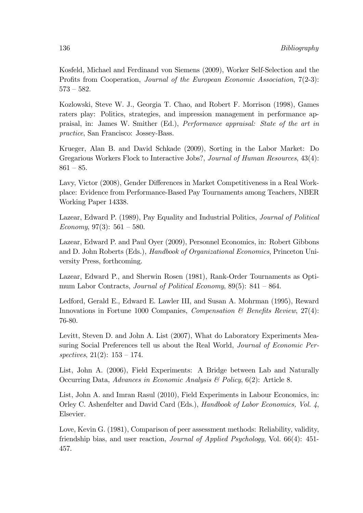Kosfeld, Michael and Ferdinand von Siemens (2009), Worker Self-Selection and the Profits from Cooperation, Journal of the European Economic Association, 7(2-3):  $573 - 582.$ 

Kozlowski, Steve W. J., Georgia T. Chao, and Robert F. Morrison (1998), Games raters play: Politics, strategies, and impression management in performance appraisal, in: James W. Smither (Ed.), Performance appraisal: State of the art in practice, San Francisco: Jossey-Bass.

Krueger, Alan B. and David Schkade (2009), Sorting in the Labor Market: Do Gregarious Workers Flock to Interactive Jobs?, *Journal of Human Resources*,  $43(4)$ :  $861 - 85.$ 

Lavy, Victor (2008), Gender Differences in Market Competitiveness in a Real Workplace: Evidence from Performance-Based Pay Tournaments among Teachers, NBER Working Paper 14338.

Lazear, Edward P. (1989), Pay Equality and Industrial Politics, Journal of Political Economy,  $97(3)$ :  $561 - 580$ .

Lazear, Edward P. and Paul Oyer (2009), Personnel Economics, in: Robert Gibbons and D. John Roberts (Eds.), Handbook of Organizational Economics, Princeton University Press, forthcoming.

Lazear, Edward P., and Sherwin Rosen (1981), Rank-Order Tournaments as Optimum Labor Contracts, *Journal of Political Economy*,  $89(5)$ :  $841 - 864$ .

Ledford, Gerald E., Edward E. Lawler III, and Susan A. Mohrman (1995), Reward Innovations in Fortune 1000 Companies, Compensation & Benefits Review, 27(4): 76-80.

Levitt, Steven D. and John A. List (2007), What do Laboratory Experiments Measuring Social Preferences tell us about the Real World, Journal of Economic Perspectives,  $21(2): 153 - 174.$ 

List, John A. (2006), Field Experiments: A Bridge between Lab and Naturally Occurring Data, Advances in Economic Analysis  $\mathcal{E}$  Policy, 6(2): Article 8.

List, John A. and Imran Rasul (2010), Field Experiments in Labour Economics, in: Orley C. Ashenfelter and David Card (Eds.), Handbook of Labor Economics, Vol. 4, Elsevier.

Love, Kevin G. (1981), Comparison of peer assessment methods: Reliability, validity, friendship bias, and user reaction, Journal of Applied Psychology, Vol. 66(4): 451- 457.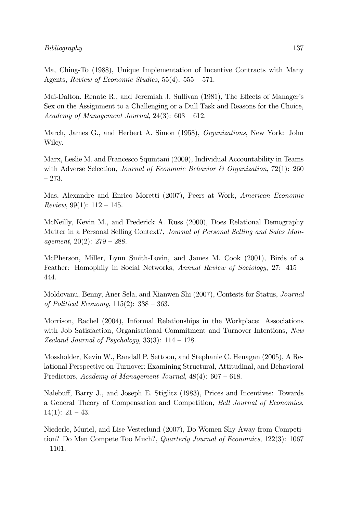Ma, Ching-To (1988), Unique Implementation of Incentive Contracts with Many Agents, Review of Economic Studies,  $55(4)$ :  $555-571$ .

Mai-Dalton, Renate R., and Jeremiah J. Sullivan (1981), The Effects of Manager's Sex on the Assignment to a Challenging or a Dull Task and Reasons for the Choice, Academy of Management Journal,  $24(3)$ : 603 – 612.

March, James G., and Herbert A. Simon (1958), Organizations, New York: John Wiley.

Marx, Leslie M. and Francesco Squintani (2009), Individual Accountability in Teams with Adverse Selection, *Journal of Economic Behavior*  $\mathcal{B}$  *Organization*, 72(1): 260  $-273.$ 

Mas, Alexandre and Enrico Moretti (2007), Peers at Work, American Economic *Review*, 99(1):  $112 - 145$ .

McNeilly, Kevin M., and Frederick A. Russ (2000), Does Relational Demography Matter in a Personal Selling Context?, Journal of Personal Selling and Sales Management,  $20(2)$ :  $279 - 288$ .

McPherson, Miller, Lynn Smith-Lovin, and James M. Cook (2001), Birds of a Feather: Homophily in Social Networks, Annual Review of Sociology, 27: 415 – 444.

Moldovanu, Benny, Aner Sela, and Xianwen Shi (2007), Contests for Status, Journal of Political Economy,  $115(2)$ :  $338 - 363$ .

Morrison, Rachel (2004), Informal Relationships in the Workplace: Associations with Job Satisfaction, Organisational Commitment and Turnover Intentions, New Zealand Journal of Psychology,  $33(3)$ : 114 – 128.

Mossholder, Kevin W., Randall P. Settoon, and Stephanie C. Henagan (2005), A Relational Perspective on Turnover: Examining Structural, Attitudinal, and Behavioral Predictors, Academy of Management Journal,  $48(4)$ :  $607 - 618$ .

Nalebuff, Barry J., and Joseph E. Stiglitz (1983), Prices and Incentives: Towards a General Theory of Compensation and Competition, Bell Journal of Economics,  $14(1): 21 - 43.$ 

Niederle, Muriel, and Lise Vesterlund (2007), Do Women Shy Away from Competition? Do Men Compete Too Much?, Quarterly Journal of Economics, 122(3): 1067  $-1101.$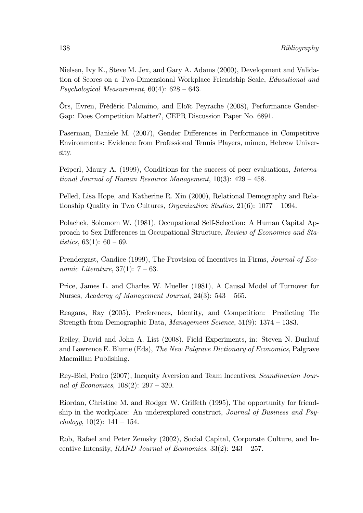Nielsen, Ivy K., Steve M. Jex, and Gary A. Adams (2000), Development and Validation of Scores on a Two-Dimensional Workplace Friendship Scale, Educational and Psychological Measurement,  $60(4)$ :  $628 - 643$ .

Örs, Evren, Frédéric Palomino, and Eloïc Peyrache (2008), Performance Gender-Gap: Does Competition Matter?, CEPR Discussion Paper No. 6891.

Paserman, Daniele M. (2007), Gender Differences in Performance in Competitive Environments: Evidence from Professional Tennis Players, mimeo, Hebrew University.

Peiperl, Maury A. (1999), Conditions for the success of peer evaluations, International Journal of Human Resource Management,  $10(3)$ :  $429 - 458$ .

Pelled, Lisa Hope, and Katherine R. Xin (2000), Relational Demography and Relationship Quality in Two Cultures, *Organization Studies*,  $21(6)$ :  $1077 - 1094$ .

Polachek, Solomom W. (1981), Occupational Self-Selection: A Human Capital Approach to Sex Differences in Occupational Structure, Review of Economics and Statistics,  $63(1)$ :  $60 - 69$ .

Prendergast, Candice (1999), The Provision of Incentives in Firms, Journal of Economic Literature,  $37(1)$ :  $7-63$ .

Price, James L. and Charles W. Mueller (1981), A Causal Model of Turnover for Nurses, Academy of Management Journal,  $24(3)$ : 543 – 565.

Reagans, Ray (2005), Preferences, Identity, and Competition: Predicting Tie Strength from Demographic Data, Management Science,  $51(9)$ : 1374 – 1383.

Reiley, David and John A. List (2008), Field Experiments, in: Steven N. Durlauf and Lawrence E. Blume (Eds), The New Palgrave Dictionary of Economics, Palgrave Macmillan Publishing.

Rey-Biel, Pedro (2007), Inequity Aversion and Team Incentives, Scandinavian Journal of Economics,  $108(2)$ :  $297 - 320$ .

Riordan, Christine M. and Rodger W. Griffeth (1995), The opportunity for friendship in the workplace: An underexplored construct, Journal of Business and Psychology,  $10(2)$ :  $141 - 154$ .

Rob, Rafael and Peter Zemsky (2002), Social Capital, Corporate Culture, and Incentive Intensity, RAND Journal of Economics,  $33(2)$ :  $243 - 257$ .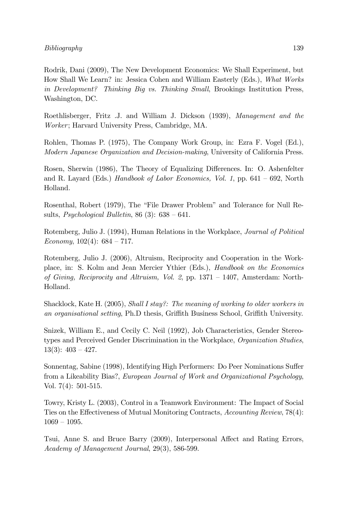Rodrik, Dani (2009), The New Development Economics: We Shall Experiment, but How Shall We Learn? in: Jessica Cohen and William Easterly (Eds.), What Works in Development? Thinking Big vs. Thinking Small, Brookings Institution Press, Washington, DC.

Roethlisberger, Fritz .J. and William J. Dickson (1939), Management and the Worker; Harvard University Press, Cambridge, MA.

Rohlen, Thomas P. (1975), The Company Work Group, in: Ezra F. Vogel (Ed.), Modern Japanese Organization and Decision-making, University of California Press.

Rosen, Sherwin (1986), The Theory of Equalizing Differences. In: O. Ashenfelter and R. Layard (Eds.) Handbook of Labor Economics, Vol. 1, pp.  $641 - 692$ , North Holland.

Rosenthal, Robert (1979), The "File Drawer Problem" and Tolerance for Null Results, Psychological Bulletin,  $86(3)$ :  $638 - 641$ .

Rotemberg, Julio J. (1994), Human Relations in the Workplace, Journal of Political Economy,  $102(4)$ : 684 – 717.

Rotemberg, Julio J. (2006), Altruism, Reciprocity and Cooperation in the Workplace, in: S. Kolm and Jean Mercier Ythier (Eds.), Handbook on the Economics of Giving, Reciprocity and Altruism, Vol. 2, pp.  $1371 - 1407$ , Amsterdam: North-Holland.

Shacklock, Kate H. (2005), Shall I stay?: The meaning of working to older workers in an organisational setting, Ph.D thesis, Griffith Business School, Griffith University.

Snizek, William E., and Cecily C. Neil (1992), Job Characteristics, Gender Stereotypes and Perceived Gender Discrimination in the Workplace, Organization Studies,  $13(3): 403 - 427.$ 

Sonnentag, Sabine (1998), Identifying High Performers: Do Peer Nominations Suffer from a Likeability Bias?, European Journal of Work and Organizational Psychology, Vol. 7(4): 501-515.

Towry, Kristy L. (2003), Control in a Teamwork Environment: The Impact of Social Ties on the Effectiveness of Mutual Monitoring Contracts, Accounting Review, 78(4):  $1069 - 1095.$ 

Tsui, Anne S. and Bruce Barry (2009), Interpersonal Affect and Rating Errors, Academy of Management Journal, 29(3), 586-599.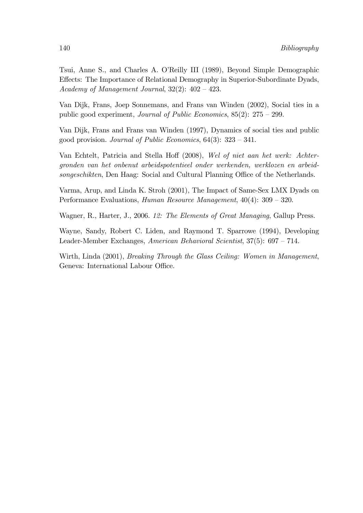Tsui, Anne S., and Charles A. OíReilly III (1989), Beyond Simple Demographic Effects: The Importance of Relational Demography in Superior-Subordinate Dyads, Academy of Management Journal,  $32(2)$ :  $402 - 423$ .

Van Dijk, Frans, Joep Sonnemans, and Frans van Winden (2002), Social ties in a public good experiment, *Journal of Public Economics*,  $85(2)$ :  $275 - 299$ .

Van Dijk, Frans and Frans van Winden (1997), Dynamics of social ties and public good provision. Journal of Public Economics,  $64(3)$ :  $323 - 341$ .

Van Echtelt, Patricia and Stella Hoff (2008), Wel of niet aan het werk: Achtergronden van het onbenut arbeidspotentieel onder werkenden, werklozen en arbeidsongeschikten, Den Haag: Social and Cultural Planning Office of the Netherlands.

Varma, Arup, and Linda K. Stroh (2001), The Impact of Same-Sex LMX Dyads on Performance Evaluations, Human Resource Management,  $40(4)$ : 309 – 320.

Wagner, R., Harter, J., 2006. 12: The Elements of Great Managing, Gallup Press.

Wayne, Sandy, Robert C. Liden, and Raymond T. Sparrowe (1994), Developing Leader-Member Exchanges, American Behavioral Scientist, 37(5): 697 – 714.

Wirth, Linda (2001), *Breaking Through the Glass Ceiling: Women in Management*, Geneva: International Labour Office.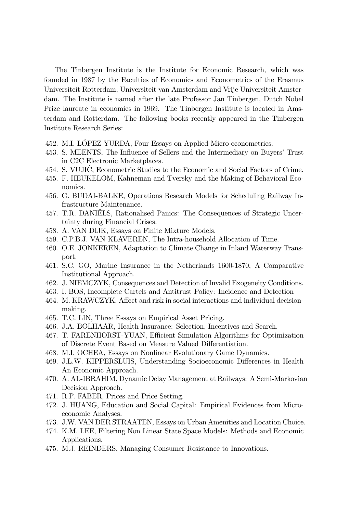The Tinbergen Institute is the Institute for Economic Research, which was founded in 1987 by the Faculties of Economics and Econometrics of the Erasmus Universiteit Rotterdam, Universiteit van Amsterdam and Vrije Universiteit Amsterdam. The Institute is named after the late Professor Jan Tinbergen, Dutch Nobel Prize laureate in economics in 1969. The Tinbergen Institute is located in Amsterdam and Rotterdam. The following books recently appeared in the Tinbergen Institute Research Series:

- 452. M.I. LÓPEZ YURDA, Four Essays on Applied Micro econometrics.
- 453. S. MEENTS, The Influence of Sellers and the Intermediary on Buyers' Trust in C2C Electronic Marketplaces.
- 454. S. VUJIC, Econometric Studies to the Economic and Social Factors of Crime.
- 455. F. HEUKELOM, Kahneman and Tversky and the Making of Behavioral Economics.
- 456. G. BUDAI-BALKE, Operations Research Models for Scheduling Railway Infrastructure Maintenance.
- 457. T.R. DANIËLS, Rationalised Panics: The Consequences of Strategic Uncertainty during Financial Crises.
- 458. A. VAN DIJK, Essays on Finite Mixture Models.
- 459. C.P.B.J. VAN KLAVEREN, The Intra-household Allocation of Time.
- 460. O.E. JONKEREN, Adaptation to Climate Change in Inland Waterway Transport.
- 461. S.C. GO, Marine Insurance in the Netherlands 1600-1870, A Comparative Institutional Approach.
- 462. J. NIEMCZYK, Consequences and Detection of Invalid Exogeneity Conditions.
- 463. I. BOS, Incomplete Cartels and Antitrust Policy: Incidence and Detection
- 464. M. KRAWCZYK, Affect and risk in social interactions and individual decisionmaking.
- 465. T.C. LIN, Three Essays on Empirical Asset Pricing.
- 466. J.A. BOLHAAR, Health Insurance: Selection, Incentives and Search.
- 467. T. FARENHORST-YUAN, Efficient Simulation Algorithms for Optimization of Discrete Event Based on Measure Valued Differentiation.
- 468. M.I. OCHEA, Essays on Nonlinear Evolutionary Game Dynamics.
- 469. J.L.W. KIPPERSLUIS, Understanding Socioeconomic Differences in Health An Economic Approach.
- 470. A. AL-IBRAHIM, Dynamic Delay Management at Railways: A Semi-Markovian Decision Approach.
- 471. R.P. FABER, Prices and Price Setting.
- 472. J. HUANG, Education and Social Capital: Empirical Evidences from Microeconomic Analyses.
- 473. J.W. VAN DER STRAATEN, Essays on Urban Amenities and Location Choice.
- 474. K.M. LEE, Filtering Non Linear State Space Models: Methods and Economic Applications.
- 475. M.J. REINDERS, Managing Consumer Resistance to Innovations.